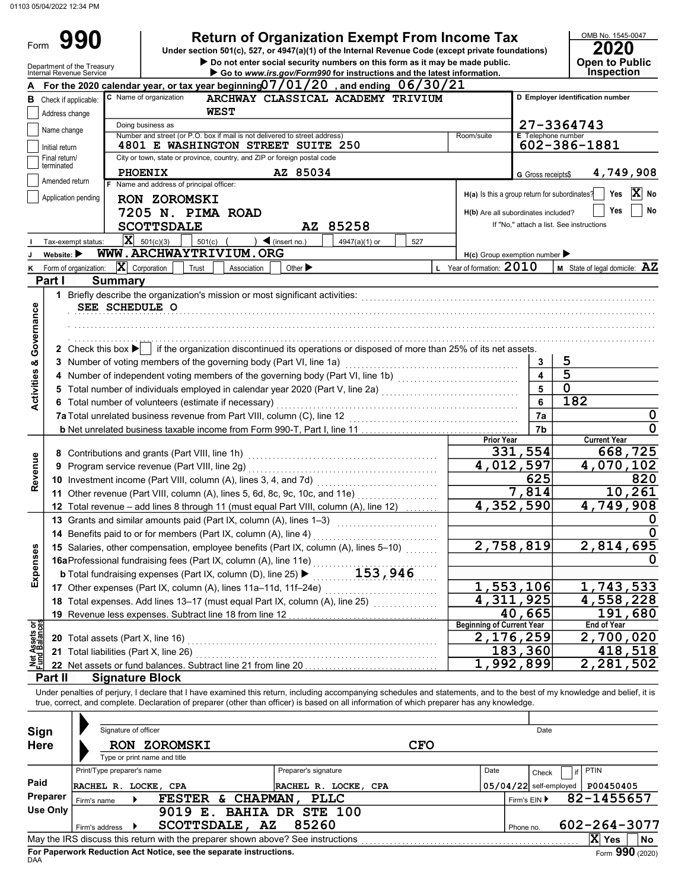01103 05/04/2022 12:34 PM

| Form                                        | 990                                                                                                                                                                                                             | <b>Return of Organization Exempt From Income Tax</b>                                                                                                                                                                                                                                                                     |                                     |                           | OMB No. 1545-0047<br>2020                                    |  |  |  |  |  |
|---------------------------------------------|-----------------------------------------------------------------------------------------------------------------------------------------------------------------------------------------------------------------|--------------------------------------------------------------------------------------------------------------------------------------------------------------------------------------------------------------------------------------------------------------------------------------------------------------------------|-------------------------------------|---------------------------|--------------------------------------------------------------|--|--|--|--|--|
|                                             | Under section 501(c), 527, or 4947(a)(1) of the Internal Revenue Code (except private foundations)                                                                                                              |                                                                                                                                                                                                                                                                                                                          |                                     |                           |                                                              |  |  |  |  |  |
|                                             | Do not enter social security numbers on this form as it may be made public.<br>Department of the Treasury<br>Go to www.irs.gov/Form990 for instructions and the latest information.<br>Internal Revenue Service |                                                                                                                                                                                                                                                                                                                          |                                     |                           |                                                              |  |  |  |  |  |
|                                             | For the 2020 calendar year, or tax year beginning $07/01/20$ , and ending $06/30/21$                                                                                                                            |                                                                                                                                                                                                                                                                                                                          |                                     |                           |                                                              |  |  |  |  |  |
|                                             | <b>B</b> Check if applicable:                                                                                                                                                                                   | C Name of organization<br>ARCHWAY CLASSICAL ACADEMY TRIVIUM                                                                                                                                                                                                                                                              |                                     |                           | D Employer identification number                             |  |  |  |  |  |
|                                             | Address change                                                                                                                                                                                                  | <b>WEST</b>                                                                                                                                                                                                                                                                                                              |                                     |                           |                                                              |  |  |  |  |  |
|                                             |                                                                                                                                                                                                                 | Doing business as                                                                                                                                                                                                                                                                                                        |                                     |                           | 27-3364743                                                   |  |  |  |  |  |
|                                             | Name change                                                                                                                                                                                                     | Number and street (or P.O. box if mail is not delivered to street address)<br>Room/suite                                                                                                                                                                                                                                 |                                     | <b>E</b> Telephone number |                                                              |  |  |  |  |  |
|                                             | Initial return                                                                                                                                                                                                  | <b>4801 E WASHINGTON STREET SUITE 250</b>                                                                                                                                                                                                                                                                                |                                     |                           | 602-386-1881                                                 |  |  |  |  |  |
|                                             | Final return/<br>terminated                                                                                                                                                                                     | City or town, state or province, country, and ZIP or foreign postal code                                                                                                                                                                                                                                                 |                                     |                           |                                                              |  |  |  |  |  |
|                                             | Amended return                                                                                                                                                                                                  | <b>PHOENIX</b><br>AZ 85034                                                                                                                                                                                                                                                                                               |                                     | G Gross receipts\$        | 4,749,908                                                    |  |  |  |  |  |
|                                             |                                                                                                                                                                                                                 | F Name and address of principal officer:                                                                                                                                                                                                                                                                                 |                                     |                           | X No<br>Yes<br>H(a) Is this a group return for subordinates? |  |  |  |  |  |
|                                             | Application pending                                                                                                                                                                                             | <b>RON ZOROMSKI</b>                                                                                                                                                                                                                                                                                                      |                                     |                           | Yes<br>No                                                    |  |  |  |  |  |
|                                             |                                                                                                                                                                                                                 | 7205 N. PIMA ROAD                                                                                                                                                                                                                                                                                                        | H(b) Are all subordinates included? |                           |                                                              |  |  |  |  |  |
|                                             |                                                                                                                                                                                                                 | AZ 85258<br><b>SCOTTSDALE</b>                                                                                                                                                                                                                                                                                            |                                     |                           | If "No," attach a list. See instructions                     |  |  |  |  |  |
|                                             | Tax-exempt status:                                                                                                                                                                                              | $\mathbf{X}$ 501(c)(3)<br>501(c)<br>$\blacktriangleleft$ (insert no.)<br>4947(a)(1) or<br>527                                                                                                                                                                                                                            |                                     |                           |                                                              |  |  |  |  |  |
|                                             | Website: $\blacktriangleright$                                                                                                                                                                                  | WWW.ARCHWAYTRIVIUM.ORG                                                                                                                                                                                                                                                                                                   | $H(c)$ Group exemption number       |                           |                                                              |  |  |  |  |  |
| ĸ                                           | Form of organization:                                                                                                                                                                                           | L Year of formation: $2010$<br>$ \mathbf{X} $ Corporation<br>Trust<br>Association<br>Other $\blacktriangleright$                                                                                                                                                                                                         |                                     |                           | <b>M</b> State of legal domicile: $\mathbf{AZ}$              |  |  |  |  |  |
|                                             | Part I                                                                                                                                                                                                          | <b>Summary</b>                                                                                                                                                                                                                                                                                                           |                                     |                           |                                                              |  |  |  |  |  |
|                                             |                                                                                                                                                                                                                 |                                                                                                                                                                                                                                                                                                                          |                                     |                           |                                                              |  |  |  |  |  |
|                                             |                                                                                                                                                                                                                 | SEE SCHEDULE O                                                                                                                                                                                                                                                                                                           |                                     |                           |                                                              |  |  |  |  |  |
|                                             |                                                                                                                                                                                                                 |                                                                                                                                                                                                                                                                                                                          |                                     |                           |                                                              |  |  |  |  |  |
| Governance                                  |                                                                                                                                                                                                                 |                                                                                                                                                                                                                                                                                                                          |                                     |                           |                                                              |  |  |  |  |  |
|                                             |                                                                                                                                                                                                                 | 2 Check this box ▶ if the organization discontinued its operations or disposed of more than 25% of its net assets.                                                                                                                                                                                                       |                                     |                           |                                                              |  |  |  |  |  |
| ×                                           |                                                                                                                                                                                                                 |                                                                                                                                                                                                                                                                                                                          |                                     | 3                         | 5                                                            |  |  |  |  |  |
|                                             |                                                                                                                                                                                                                 | 4 Number of independent voting members of the governing body (Part VI, line 1b) [100] [100] with the Number of independent voting                                                                                                                                                                                        |                                     | $\overline{\mathbf{4}}$   | 5                                                            |  |  |  |  |  |
| Activities                                  |                                                                                                                                                                                                                 | 5 Total number of individuals employed in calendar year 2020 (Part V, line 2a) [[[[[[[[[[[[[[[[[[[[[[[[[[[[[[                                                                                                                                                                                                            |                                     | 5                         | $\overline{0}$                                               |  |  |  |  |  |
|                                             |                                                                                                                                                                                                                 | 6 Total number of volunteers (estimate if necessary)                                                                                                                                                                                                                                                                     |                                     | 6                         | 182                                                          |  |  |  |  |  |
|                                             |                                                                                                                                                                                                                 |                                                                                                                                                                                                                                                                                                                          |                                     | 7a                        | 0                                                            |  |  |  |  |  |
|                                             |                                                                                                                                                                                                                 |                                                                                                                                                                                                                                                                                                                          |                                     | 7b                        | $\mathbf 0$                                                  |  |  |  |  |  |
|                                             |                                                                                                                                                                                                                 |                                                                                                                                                                                                                                                                                                                          | <b>Prior Year</b>                   |                           | <b>Current Year</b>                                          |  |  |  |  |  |
|                                             |                                                                                                                                                                                                                 |                                                                                                                                                                                                                                                                                                                          | 331,554                             |                           | 668,725                                                      |  |  |  |  |  |
| Revenue                                     |                                                                                                                                                                                                                 | 9 Program service revenue (Part VIII, line 2g)                                                                                                                                                                                                                                                                           | 4,012,597                           |                           | 4,070,102                                                    |  |  |  |  |  |
|                                             |                                                                                                                                                                                                                 |                                                                                                                                                                                                                                                                                                                          |                                     | 625                       | 820                                                          |  |  |  |  |  |
|                                             |                                                                                                                                                                                                                 | 11 Other revenue (Part VIII, column (A), lines 5, 6d, 8c, 9c, 10c, and 11e)                                                                                                                                                                                                                                              |                                     | $\overline{7,814}$        | 10,261                                                       |  |  |  |  |  |
|                                             |                                                                                                                                                                                                                 | 12 Total revenue - add lines 8 through 11 (must equal Part VIII, column (A), line 12)                                                                                                                                                                                                                                    | $\overline{4,352,590}$              |                           | 4,749,908                                                    |  |  |  |  |  |
|                                             |                                                                                                                                                                                                                 | 13 Grants and similar amounts paid (Part IX, column (A), lines 1-3)                                                                                                                                                                                                                                                      |                                     |                           |                                                              |  |  |  |  |  |
|                                             |                                                                                                                                                                                                                 | 14 Benefits paid to or for members (Part IX, column (A), line 4)                                                                                                                                                                                                                                                         |                                     |                           | 0                                                            |  |  |  |  |  |
| Expenses                                    |                                                                                                                                                                                                                 | 15 Salaries, other compensation, employee benefits (Part IX, column (A), lines 5-10)                                                                                                                                                                                                                                     | 2,758,819                           |                           | 2,814,695                                                    |  |  |  |  |  |
|                                             |                                                                                                                                                                                                                 | 16aProfessional fundraising fees (Part IX, column (A), line 11e)                                                                                                                                                                                                                                                         |                                     |                           | 0                                                            |  |  |  |  |  |
|                                             |                                                                                                                                                                                                                 | 153,946<br><b>b</b> Total fundraising expenses (Part IX, column (D), line 25) ▶                                                                                                                                                                                                                                          |                                     |                           |                                                              |  |  |  |  |  |
|                                             |                                                                                                                                                                                                                 | 17 Other expenses (Part IX, column (A), lines 11a-11d, 11f-24e)                                                                                                                                                                                                                                                          | 1,553,106                           |                           | 1,743,533                                                    |  |  |  |  |  |
|                                             |                                                                                                                                                                                                                 | 18 Total expenses. Add lines 13-17 (must equal Part IX, column (A), line 25)                                                                                                                                                                                                                                             | 4,311,925                           |                           | 4,558,228                                                    |  |  |  |  |  |
|                                             |                                                                                                                                                                                                                 | 19 Revenue less expenses. Subtract line 18 from line 12                                                                                                                                                                                                                                                                  | <b>Beginning of Current Year</b>    | 40,665                    | 191,680<br><b>End of Year</b>                                |  |  |  |  |  |
| let Assets or<br><u>und Balances</u>        |                                                                                                                                                                                                                 |                                                                                                                                                                                                                                                                                                                          | 2,176,259                           |                           | 2,700,020                                                    |  |  |  |  |  |
|                                             |                                                                                                                                                                                                                 |                                                                                                                                                                                                                                                                                                                          | 183,360                             |                           | 418,518                                                      |  |  |  |  |  |
| 호리                                          |                                                                                                                                                                                                                 | 22 Net assets or fund balances. Subtract line 21 from line 20                                                                                                                                                                                                                                                            | 1,992,899                           |                           | 2,281,502                                                    |  |  |  |  |  |
|                                             |                                                                                                                                                                                                                 |                                                                                                                                                                                                                                                                                                                          |                                     |                           |                                                              |  |  |  |  |  |
|                                             | Part II                                                                                                                                                                                                         | <b>Signature Block</b>                                                                                                                                                                                                                                                                                                   |                                     |                           |                                                              |  |  |  |  |  |
|                                             |                                                                                                                                                                                                                 | Under penalties of perjury, I declare that I have examined this return, including accompanying schedules and statements, and to the best of my knowledge and belief, it is<br>true, correct, and complete. Declaration of preparer (other than officer) is based on all information of which preparer has any knowledge. |                                     |                           |                                                              |  |  |  |  |  |
|                                             |                                                                                                                                                                                                                 |                                                                                                                                                                                                                                                                                                                          |                                     |                           |                                                              |  |  |  |  |  |
|                                             |                                                                                                                                                                                                                 | Signature of officer                                                                                                                                                                                                                                                                                                     |                                     | Date                      |                                                              |  |  |  |  |  |
| Sign                                        |                                                                                                                                                                                                                 | RON ZOROMSKI<br><b>CFO</b>                                                                                                                                                                                                                                                                                               |                                     |                           |                                                              |  |  |  |  |  |
| <b>Here</b><br>Type or print name and title |                                                                                                                                                                                                                 |                                                                                                                                                                                                                                                                                                                          |                                     |                           |                                                              |  |  |  |  |  |
|                                             |                                                                                                                                                                                                                 | Print/Type preparer's name<br>Preparer's signature                                                                                                                                                                                                                                                                       | Date                                |                           | <b>PTIN</b>                                                  |  |  |  |  |  |
| Paid                                        |                                                                                                                                                                                                                 |                                                                                                                                                                                                                                                                                                                          |                                     | Check                     | if                                                           |  |  |  |  |  |
|                                             | Preparer                                                                                                                                                                                                        | RACHEL R. LOCKE, CPA<br>RACHEL R. LOCKE, CPA                                                                                                                                                                                                                                                                             | $05/04/22$ self-employed            |                           | P00450405                                                    |  |  |  |  |  |
|                                             | Firm's name<br><b>Use Only</b>                                                                                                                                                                                  | FESTER & CHAPMAN, PLLC                                                                                                                                                                                                                                                                                                   |                                     | Firm's EIN ▶              | 82-1455657                                                   |  |  |  |  |  |
|                                             |                                                                                                                                                                                                                 | 9019 E. BAHIA DR STE 100                                                                                                                                                                                                                                                                                                 |                                     |                           |                                                              |  |  |  |  |  |
|                                             | Firm's address                                                                                                                                                                                                  | SCOTTSDALE, AZ<br>85260<br>▸                                                                                                                                                                                                                                                                                             |                                     | Phone no.                 | 602-264-3077                                                 |  |  |  |  |  |
|                                             |                                                                                                                                                                                                                 |                                                                                                                                                                                                                                                                                                                          |                                     |                           | $ X $ Yes<br>No                                              |  |  |  |  |  |

| Sign                                                                                               | Signature of officer       |                                                                    |                         |      |              | Date                     |                             |  |  |
|----------------------------------------------------------------------------------------------------|----------------------------|--------------------------------------------------------------------|-------------------------|------|--------------|--------------------------|-----------------------------|--|--|
| <b>Here</b>                                                                                        | <b>RON</b>                 | <b>ZOROMSKI</b>                                                    |                         |      |              |                          |                             |  |  |
|                                                                                                    |                            | Type or print name and title                                       |                         |      |              |                          |                             |  |  |
|                                                                                                    | Print/Type preparer's name |                                                                    | Preparer's signature    | Date |              | Check                    | <b>PTIN</b>                 |  |  |
| Paid                                                                                               | RACHEL R.                  | LOCKE, CPA                                                         | RACHEL R. LOCKE, CPA    |      |              | $05/04/22$ self-employed | P00450405                   |  |  |
| Preparer                                                                                           | Firm's name                | <b>CHAPMAN</b><br><b>FESTER</b><br>б.                              | <b>PLLC</b>             |      | Firm's EIN ▶ |                          | 82-1455657                  |  |  |
| Use Only                                                                                           |                            | 9019<br>E.                                                         | <b>BAHIA DR STE 100</b> |      |              |                          |                             |  |  |
| $602 - 264 - 3077$<br>85260<br>SCOTTSDALE, AZ<br>Firm's address<br>Phone no.                       |                            |                                                                    |                         |      |              |                          |                             |  |  |
| X<br>May the IRS discuss this return with the preparer shown above? See instructions<br><b>Yes</b> |                            |                                                                    |                         |      |              |                          |                             |  |  |
|                                                                                                    |                            | For Paperwork Reduction Act Notice, see the separate instructions. |                         |      |              |                          | $F_{\text{Orm}}$ 990 (2020) |  |  |

For Paperwork Reduction Act Notice, see the separate instructions.<br><sub>DAA</sub>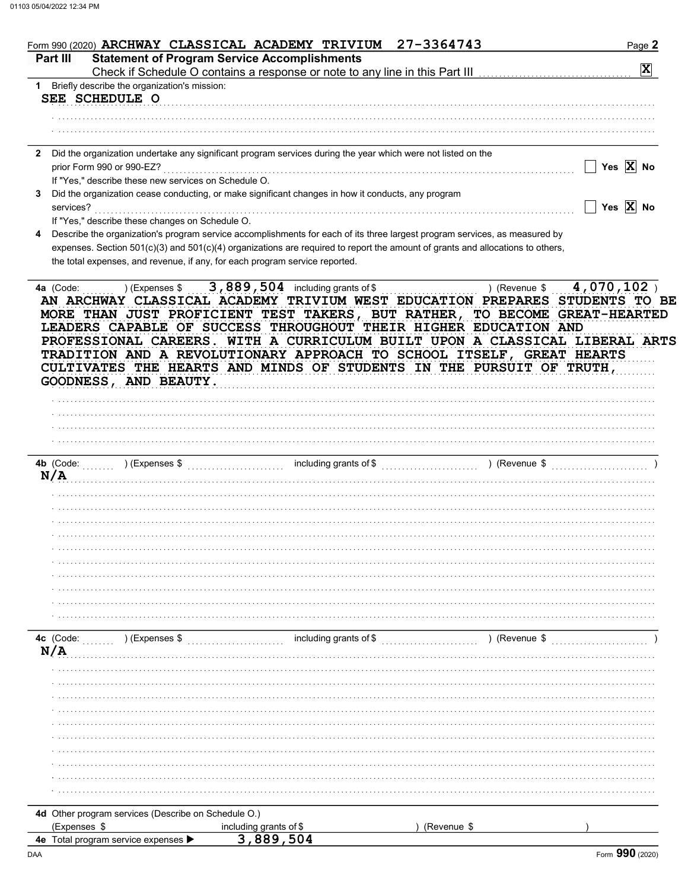| Form 990 (2020) ARCHWAY CLASSICAL ACADEMY TRIVIUM                                                                                                                                                                                                                                                |                        | 27-3364743    | Page 2                   |
|--------------------------------------------------------------------------------------------------------------------------------------------------------------------------------------------------------------------------------------------------------------------------------------------------|------------------------|---------------|--------------------------|
| <b>Statement of Program Service Accomplishments</b><br>Part III                                                                                                                                                                                                                                  |                        |               | $\vert \mathbf{X} \vert$ |
| 1 Briefly describe the organization's mission:                                                                                                                                                                                                                                                   |                        |               |                          |
| SEE SCHEDULE O                                                                                                                                                                                                                                                                                   |                        |               |                          |
|                                                                                                                                                                                                                                                                                                  |                        |               |                          |
|                                                                                                                                                                                                                                                                                                  |                        |               |                          |
| $\mathbf{2}$                                                                                                                                                                                                                                                                                     |                        |               |                          |
| Did the organization undertake any significant program services during the year which were not listed on the                                                                                                                                                                                     |                        |               |                          |
| prior Form 990 or 990-EZ?<br>If "Yes," describe these new services on Schedule O.                                                                                                                                                                                                                |                        |               | Yes $X$ No               |
| Did the organization cease conducting, or make significant changes in how it conducts, any program                                                                                                                                                                                               |                        |               |                          |
| services?                                                                                                                                                                                                                                                                                        |                        |               | Yes $\overline{X}$ No    |
| If "Yes," describe these changes on Schedule O.                                                                                                                                                                                                                                                  |                        |               |                          |
| Describe the organization's program service accomplishments for each of its three largest program services, as measured by                                                                                                                                                                       |                        |               |                          |
| expenses. Section 501(c)(3) and 501(c)(4) organizations are required to report the amount of grants and allocations to others,                                                                                                                                                                   |                        |               |                          |
| the total expenses, and revenue, if any, for each program service reported.                                                                                                                                                                                                                      |                        |               |                          |
|                                                                                                                                                                                                                                                                                                  |                        |               |                          |
| LEADERS CAPABLE OF SUCCESS THROUGHOUT THEIR HIGHER EDUCATION AND<br>PROFESSIONAL CAREERS. WITH A CURRICULUM BUILT UPON A CLASSICAL LIBERAL ARTS<br>TRADITION AND A REVOLUTIONARY APPROACH TO SCHOOL ITSELF, GREAT HEARTS<br>CULTIVATES THE HEARTS AND MINDS OF STUDENTS IN THE PURSUIT OF TRUTH, |                        |               |                          |
| GOODNESS, AND BEAUTY.                                                                                                                                                                                                                                                                            |                        |               |                          |
|                                                                                                                                                                                                                                                                                                  |                        |               |                          |
|                                                                                                                                                                                                                                                                                                  |                        |               |                          |
|                                                                                                                                                                                                                                                                                                  |                        |               |                          |
|                                                                                                                                                                                                                                                                                                  |                        |               |                          |
| 4b (Code:                                                                                                                                                                                                                                                                                        |                        |               |                          |
| N/A                                                                                                                                                                                                                                                                                              |                        |               |                          |
|                                                                                                                                                                                                                                                                                                  |                        |               |                          |
|                                                                                                                                                                                                                                                                                                  |                        |               |                          |
|                                                                                                                                                                                                                                                                                                  |                        |               |                          |
|                                                                                                                                                                                                                                                                                                  |                        |               |                          |
|                                                                                                                                                                                                                                                                                                  |                        |               |                          |
|                                                                                                                                                                                                                                                                                                  |                        |               |                          |
|                                                                                                                                                                                                                                                                                                  |                        |               |                          |
|                                                                                                                                                                                                                                                                                                  |                        |               |                          |
|                                                                                                                                                                                                                                                                                                  |                        |               |                          |
| 4c (Code:<br>) (Expenses \$                                                                                                                                                                                                                                                                      | including grants of \$ | ) (Revenue \$ |                          |
| N/A                                                                                                                                                                                                                                                                                              |                        |               |                          |
|                                                                                                                                                                                                                                                                                                  |                        |               |                          |
|                                                                                                                                                                                                                                                                                                  |                        |               |                          |
|                                                                                                                                                                                                                                                                                                  |                        |               |                          |
|                                                                                                                                                                                                                                                                                                  |                        |               |                          |
|                                                                                                                                                                                                                                                                                                  |                        |               |                          |
|                                                                                                                                                                                                                                                                                                  |                        |               |                          |
|                                                                                                                                                                                                                                                                                                  |                        |               |                          |
|                                                                                                                                                                                                                                                                                                  |                        |               |                          |
|                                                                                                                                                                                                                                                                                                  |                        |               |                          |
|                                                                                                                                                                                                                                                                                                  |                        |               |                          |
| 4d Other program services (Describe on Schedule O.)                                                                                                                                                                                                                                              |                        |               |                          |
| (Expenses \$                                                                                                                                                                                                                                                                                     | including grants of \$ | (Revenue \$   |                          |
| 4e Total program service expenses                                                                                                                                                                                                                                                                | 3,889,504              |               |                          |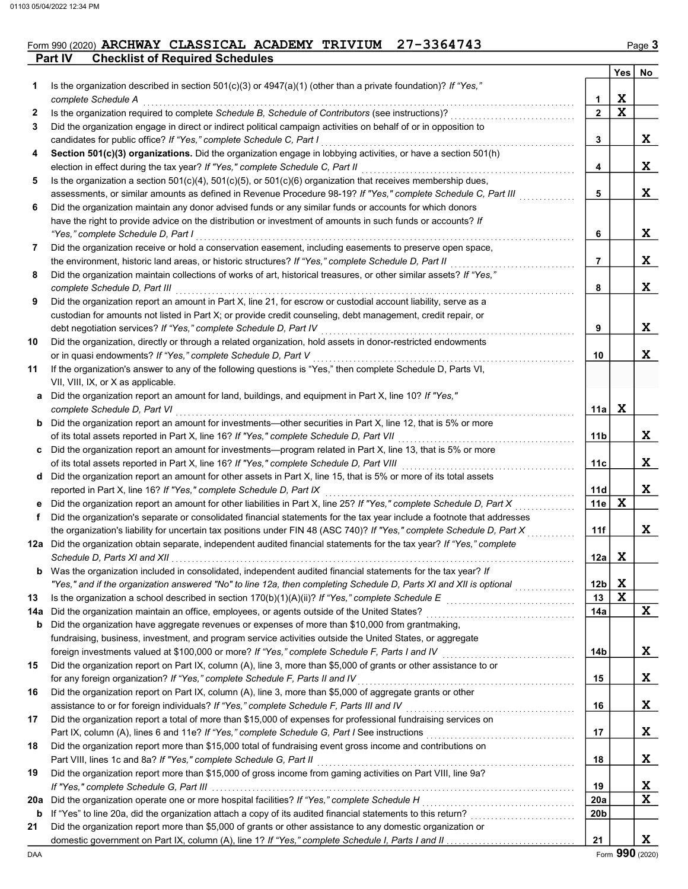### **Part IV** Checklist of Required Schedules Form 990 (2020) ARCHWAY CLASSICAL ACADEMY TRIVIUM  $27-3364743$  Page 3

|     |                                                                                                                                                                                                           |                 | Yes         | No |
|-----|-----------------------------------------------------------------------------------------------------------------------------------------------------------------------------------------------------------|-----------------|-------------|----|
| 1.  | Is the organization described in section $501(c)(3)$ or $4947(a)(1)$ (other than a private foundation)? If "Yes,"                                                                                         |                 |             |    |
|     | complete Schedule A                                                                                                                                                                                       | 1               | X           |    |
| 2   | Is the organization required to complete Schedule B, Schedule of Contributors (see instructions)?                                                                                                         | $\overline{2}$  | $\mathbf x$ |    |
| 3   | Did the organization engage in direct or indirect political campaign activities on behalf of or in opposition to                                                                                          |                 |             |    |
|     | candidates for public office? If "Yes," complete Schedule C, Part I                                                                                                                                       | 3               |             | X  |
| 4   | Section 501(c)(3) organizations. Did the organization engage in lobbying activities, or have a section 501(h)                                                                                             |                 |             |    |
|     | election in effect during the tax year? If "Yes," complete Schedule C, Part II                                                                                                                            | 4               |             | X  |
| 5   | Is the organization a section $501(c)(4)$ , $501(c)(5)$ , or $501(c)(6)$ organization that receives membership dues,                                                                                      |                 |             |    |
|     | assessments, or similar amounts as defined in Revenue Procedure 98-19? If "Yes," complete Schedule C, Part III                                                                                            | 5               |             | X  |
| 6   | Did the organization maintain any donor advised funds or any similar funds or accounts for which donors                                                                                                   |                 |             |    |
|     | have the right to provide advice on the distribution or investment of amounts in such funds or accounts? If                                                                                               |                 |             |    |
|     | "Yes," complete Schedule D, Part I                                                                                                                                                                        | 6               |             | X  |
| 7   | Did the organization receive or hold a conservation easement, including easements to preserve open space,                                                                                                 |                 |             |    |
|     | the environment, historic land areas, or historic structures? If "Yes," complete Schedule D, Part II                                                                                                      | 7               |             | X  |
| 8   | Did the organization maintain collections of works of art, historical treasures, or other similar assets? If "Yes,"                                                                                       |                 |             |    |
|     | complete Schedule D, Part III                                                                                                                                                                             | 8               |             | X  |
| 9   | Did the organization report an amount in Part X, line 21, for escrow or custodial account liability, serve as a                                                                                           |                 |             |    |
|     | custodian for amounts not listed in Part X; or provide credit counseling, debt management, credit repair, or                                                                                              |                 |             |    |
|     | debt negotiation services? If "Yes," complete Schedule D, Part IV                                                                                                                                         | 9               |             | X  |
| 10  | Did the organization, directly or through a related organization, hold assets in donor-restricted endowments                                                                                              |                 |             |    |
|     | or in quasi endowments? If "Yes," complete Schedule D, Part V                                                                                                                                             | 10              |             | X  |
| 11  | If the organization's answer to any of the following questions is "Yes," then complete Schedule D, Parts VI,                                                                                              |                 |             |    |
|     | VII, VIII, IX, or X as applicable.                                                                                                                                                                        |                 |             |    |
| a   | Did the organization report an amount for land, buildings, and equipment in Part X, line 10? If "Yes,"                                                                                                    |                 |             |    |
|     | complete Schedule D, Part VI                                                                                                                                                                              | 11a             | X           |    |
| b   | Did the organization report an amount for investments—other securities in Part X, line 12, that is 5% or more                                                                                             |                 |             |    |
|     | of its total assets reported in Part X, line 16? If "Yes," complete Schedule D, Part VII                                                                                                                  | 11 <sub>b</sub> |             | X  |
| c   | Did the organization report an amount for investments—program related in Part X, line 13, that is 5% or more<br>of its total assets reported in Part X, line 16? If "Yes," complete Schedule D, Part VIII | 11c             |             | X  |
| d   | .<br>Did the organization report an amount for other assets in Part X, line 15, that is 5% or more of its total assets                                                                                    |                 |             |    |
|     | reported in Part X, line 16? If "Yes," complete Schedule D, Part IX                                                                                                                                       | 11d             |             | X  |
| е   | Did the organization report an amount for other liabilities in Part X, line 25? If "Yes," complete Schedule D, Part X                                                                                     | 11e             | X           |    |
| f   | Did the organization's separate or consolidated financial statements for the tax year include a footnote that addresses                                                                                   |                 |             |    |
|     | the organization's liability for uncertain tax positions under FIN 48 (ASC 740)? If "Yes," complete Schedule D, Part X                                                                                    | 11f             |             | X  |
|     | 12a Did the organization obtain separate, independent audited financial statements for the tax year? If "Yes," complete                                                                                   |                 |             |    |
|     |                                                                                                                                                                                                           | 12a             | X           |    |
| b   | Was the organization included in consolidated, independent audited financial statements for the tax year? If                                                                                              |                 |             |    |
|     | "Yes," and if the organization answered "No" to line 12a, then completing Schedule D, Parts XI and XII is optional                                                                                        | 12 <sub>b</sub> | X           |    |
| 13  | Is the organization a school described in section $170(b)(1)(A)(ii)?$ If "Yes," complete Schedule E                                                                                                       | 13              | $\mathbf x$ |    |
| 14a | Did the organization maintain an office, employees, or agents outside of the United States?                                                                                                               | 14a             |             | X  |
| b   | Did the organization have aggregate revenues or expenses of more than \$10,000 from grantmaking,                                                                                                          |                 |             |    |
|     | fundraising, business, investment, and program service activities outside the United States, or aggregate                                                                                                 |                 |             |    |
|     | foreign investments valued at \$100,000 or more? If "Yes," complete Schedule F, Parts I and IV                                                                                                            | 14b             |             | X  |
| 15  | Did the organization report on Part IX, column (A), line 3, more than \$5,000 of grants or other assistance to or                                                                                         |                 |             |    |
|     | for any foreign organization? If "Yes," complete Schedule F, Parts II and IV                                                                                                                              | 15              |             | X  |
| 16  | Did the organization report on Part IX, column (A), line 3, more than \$5,000 of aggregate grants or other                                                                                                |                 |             |    |
|     | assistance to or for foreign individuals? If "Yes," complete Schedule F, Parts III and IV                                                                                                                 | 16              |             | X  |
| 17  | Did the organization report a total of more than \$15,000 of expenses for professional fundraising services on                                                                                            |                 |             |    |
|     | Part IX, column (A), lines 6 and 11e? If "Yes," complete Schedule G, Part I See instructions [[[[[[[[[[[[[[[[                                                                                             | 17              |             | X  |
| 18  | Did the organization report more than \$15,000 total of fundraising event gross income and contributions on                                                                                               |                 |             |    |
|     | Part VIII, lines 1c and 8a? If "Yes," complete Schedule G, Part II                                                                                                                                        | 18              |             | X  |
| 19  | Did the organization report more than \$15,000 of gross income from gaming activities on Part VIII, line 9a?                                                                                              |                 |             |    |
|     |                                                                                                                                                                                                           | 19              |             | X  |
| 20a |                                                                                                                                                                                                           | 20a             |             | X  |
| b   |                                                                                                                                                                                                           | 20 <sub>b</sub> |             |    |
| 21  | Did the organization report more than \$5,000 of grants or other assistance to any domestic organization or                                                                                               |                 |             |    |
|     |                                                                                                                                                                                                           | 21              |             | X  |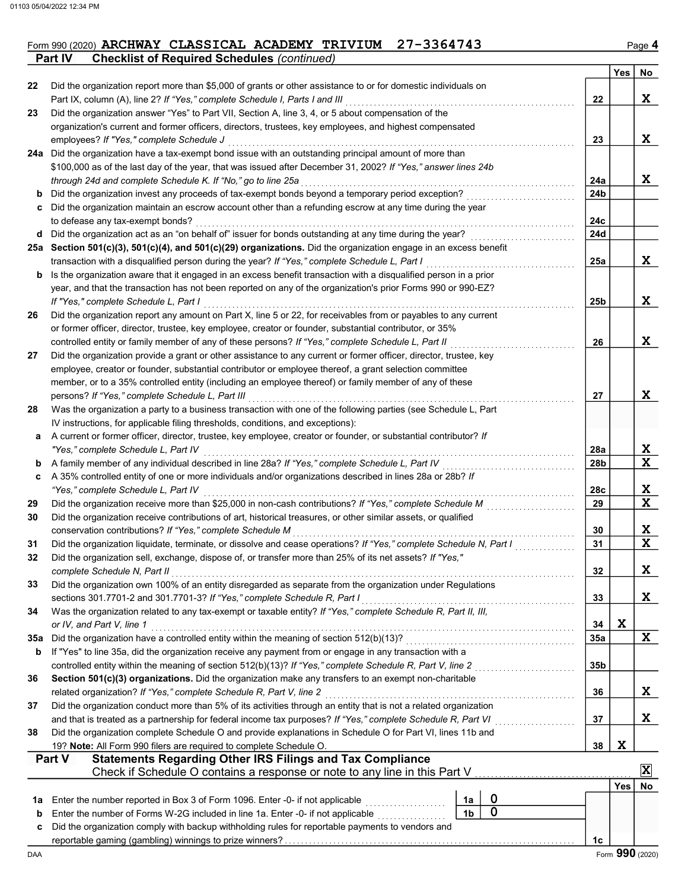### $From 990 (2020)$   $\bf ARCHWAY$  CLASSICAL ACADEMY TRIVIUM  $27-3364743$ **Part IV** Checklist of Required Schedules (continued)

|     |                                                                                                                                                                                                                            |                |             |  |            | Yes        | No                      |  |  |
|-----|----------------------------------------------------------------------------------------------------------------------------------------------------------------------------------------------------------------------------|----------------|-------------|--|------------|------------|-------------------------|--|--|
| 22  | Did the organization report more than \$5,000 of grants or other assistance to or for domestic individuals on                                                                                                              |                |             |  |            |            |                         |  |  |
|     | Part IX, column (A), line 2? If "Yes," complete Schedule I, Parts I and III                                                                                                                                                |                |             |  | 22         |            | X                       |  |  |
| 23  | Did the organization answer "Yes" to Part VII, Section A, line 3, 4, or 5 about compensation of the                                                                                                                        |                |             |  |            |            |                         |  |  |
|     | organization's current and former officers, directors, trustees, key employees, and highest compensated                                                                                                                    |                |             |  |            |            |                         |  |  |
|     | employees? If "Yes," complete Schedule J<br>24a Did the organization have a tax-exempt bond issue with an outstanding principal amount of more than                                                                        |                |             |  | 23         |            | X                       |  |  |
|     |                                                                                                                                                                                                                            |                |             |  |            |            |                         |  |  |
|     | \$100,000 as of the last day of the year, that was issued after December 31, 2002? If "Yes," answer lines 24b<br>through 24d and complete Schedule K. If "No," go to line 25a                                              |                |             |  | 24a        |            | X                       |  |  |
| b   | Did the organization invest any proceeds of tax-exempt bonds beyond a temporary period exception?                                                                                                                          |                |             |  | 24b        |            |                         |  |  |
| c   | Did the organization maintain an escrow account other than a refunding escrow at any time during the year                                                                                                                  |                |             |  |            |            |                         |  |  |
|     | to defease any tax-exempt bonds?                                                                                                                                                                                           |                |             |  | 24c        |            |                         |  |  |
| d   | Did the organization act as an "on behalf of" issuer for bonds outstanding at any time during the year?                                                                                                                    |                |             |  | 24d        |            |                         |  |  |
|     | 25a Section 501(c)(3), 501(c)(4), and 501(c)(29) organizations. Did the organization engage in an excess benefit                                                                                                           |                |             |  |            |            |                         |  |  |
|     | transaction with a disqualified person during the year? If "Yes," complete Schedule L, Part I                                                                                                                              |                |             |  | 25a        |            | X                       |  |  |
| b   | Is the organization aware that it engaged in an excess benefit transaction with a disqualified person in a prior                                                                                                           |                |             |  |            |            |                         |  |  |
|     | year, and that the transaction has not been reported on any of the organization's prior Forms 990 or 990-EZ?                                                                                                               |                |             |  |            |            |                         |  |  |
|     | If "Yes," complete Schedule L, Part I                                                                                                                                                                                      |                |             |  | 25b        |            | X                       |  |  |
| 26  | Did the organization report any amount on Part X, line 5 or 22, for receivables from or payables to any current                                                                                                            |                |             |  |            |            |                         |  |  |
|     | or former officer, director, trustee, key employee, creator or founder, substantial contributor, or 35%                                                                                                                    |                |             |  |            |            |                         |  |  |
|     | controlled entity or family member of any of these persons? If "Yes," complete Schedule L, Part II                                                                                                                         |                |             |  | 26         |            | X                       |  |  |
| 27  | Did the organization provide a grant or other assistance to any current or former officer, director, trustee, key                                                                                                          |                |             |  |            |            |                         |  |  |
|     | employee, creator or founder, substantial contributor or employee thereof, a grant selection committee                                                                                                                     |                |             |  |            |            |                         |  |  |
|     | member, or to a 35% controlled entity (including an employee thereof) or family member of any of these                                                                                                                     |                |             |  |            |            |                         |  |  |
|     | persons? If "Yes," complete Schedule L, Part III                                                                                                                                                                           |                |             |  | 27         |            | X                       |  |  |
| 28  | Was the organization a party to a business transaction with one of the following parties (see Schedule L, Part                                                                                                             |                |             |  |            |            |                         |  |  |
|     | IV instructions, for applicable filing thresholds, conditions, and exceptions):                                                                                                                                            |                |             |  |            |            |                         |  |  |
| а   | A current or former officer, director, trustee, key employee, creator or founder, or substantial contributor? If                                                                                                           |                | 28a         |  | X          |            |                         |  |  |
|     | "Yes," complete Schedule L, Part IV                                                                                                                                                                                        |                |             |  |            |            |                         |  |  |
| b   | A family member of any individual described in line 28a? If "Yes," complete Schedule L, Part IV<br>A 35% controlled entity of one or more individuals and/or organizations described in lines 28a or 28b? If               |                |             |  | 28b        |            | X                       |  |  |
| c   | "Yes," complete Schedule L, Part IV                                                                                                                                                                                        |                |             |  | 28c        |            | X                       |  |  |
| 29  |                                                                                                                                                                                                                            |                |             |  | 29         |            | X                       |  |  |
| 30  | Did the organization receive contributions of art, historical treasures, or other similar assets, or qualified                                                                                                             |                |             |  |            |            |                         |  |  |
|     | conservation contributions? If "Yes," complete Schedule M                                                                                                                                                                  |                |             |  | 30         |            | X                       |  |  |
| 31  | Did the organization liquidate, terminate, or dissolve and cease operations? If "Yes," complete Schedule N, Part I                                                                                                         |                |             |  | 31         |            | X                       |  |  |
| 32  | Did the organization sell, exchange, dispose of, or transfer more than 25% of its net assets? If "Yes,"                                                                                                                    |                |             |  |            |            |                         |  |  |
|     | complete Schedule N, Part II                                                                                                                                                                                               |                |             |  | 32         |            | x                       |  |  |
| 33  | Did the organization own 100% of an entity disregarded as separate from the organization under Regulations                                                                                                                 |                |             |  |            |            |                         |  |  |
|     | sections 301.7701-2 and 301.7701-3? If "Yes," complete Schedule R, Part I                                                                                                                                                  |                |             |  | 33         |            | X                       |  |  |
| 34  | Was the organization related to any tax-exempt or taxable entity? If "Yes," complete Schedule R, Part II, III,                                                                                                             |                |             |  |            |            |                         |  |  |
|     | or IV, and Part V, line 1                                                                                                                                                                                                  |                |             |  | 34         | X          |                         |  |  |
| 35а |                                                                                                                                                                                                                            |                |             |  | <b>35a</b> |            | X                       |  |  |
| b   | If "Yes" to line 35a, did the organization receive any payment from or engage in any transaction with a                                                                                                                    |                |             |  |            |            |                         |  |  |
|     | controlled entity within the meaning of section 512(b)(13)? If "Yes," complete Schedule R, Part V, line 2                                                                                                                  |                |             |  | 35b        |            |                         |  |  |
| 36  | Section 501(c)(3) organizations. Did the organization make any transfers to an exempt non-charitable                                                                                                                       |                |             |  |            |            |                         |  |  |
|     | related organization? If "Yes," complete Schedule R, Part V, line 2                                                                                                                                                        |                |             |  | 36         |            | X                       |  |  |
| 37  | Did the organization conduct more than 5% of its activities through an entity that is not a related organization                                                                                                           |                |             |  |            |            |                         |  |  |
|     | and that is treated as a partnership for federal income tax purposes? If "Yes," complete Schedule R, Part VI<br>Did the organization complete Schedule O and provide explanations in Schedule O for Part VI, lines 11b and |                |             |  |            |            |                         |  |  |
| 38  | 19? Note: All Form 990 filers are required to complete Schedule O.                                                                                                                                                         |                |             |  | 38         | X          |                         |  |  |
|     | <b>Statements Regarding Other IRS Filings and Tax Compliance</b><br><b>Part V</b>                                                                                                                                          |                |             |  |            |            |                         |  |  |
|     | Check if Schedule O contains a response or note to any line in this Part V                                                                                                                                                 |                |             |  |            |            | $\overline{\mathbf{x}}$ |  |  |
|     |                                                                                                                                                                                                                            |                |             |  |            | <b>Yes</b> | No                      |  |  |
| 1а  | Enter the number reported in Box 3 of Form 1096. Enter -0- if not applicable                                                                                                                                               | 1a             | 0           |  |            |            |                         |  |  |
| b   | Enter the number of Forms W-2G included in line 1a. Enter -0- if not applicable                                                                                                                                            | 1 <sub>b</sub> | $\mathbf 0$ |  |            |            |                         |  |  |
| c   | Did the organization comply with backup withholding rules for reportable payments to vendors and                                                                                                                           |                |             |  |            |            |                         |  |  |
|     |                                                                                                                                                                                                                            |                |             |  | 1с         |            |                         |  |  |

DAA Form 990 (2020)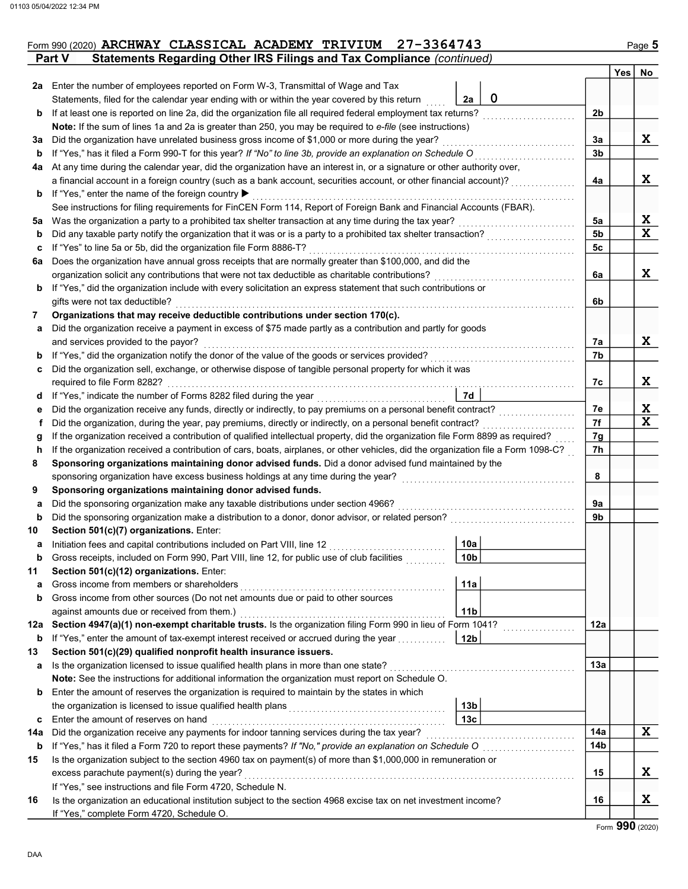|               |  |  | Form 990 (2020) ARCHWAY CLASSICAL ACADEMY TRIVIUM 27-3364743          | Page 5 |
|---------------|--|--|-----------------------------------------------------------------------|--------|
| <b>Part V</b> |  |  | Statements Regarding Other IRS Filings and Tax Compliance (continued) |        |

|     | <b>Prior into I lingto and Tax Politphanoo</b> (continua                                                                                         |                 |   |                | Yes | No                           |  |  |  |  |
|-----|--------------------------------------------------------------------------------------------------------------------------------------------------|-----------------|---|----------------|-----|------------------------------|--|--|--|--|
|     | 2a Enter the number of employees reported on Form W-3, Transmittal of Wage and Tax                                                               |                 |   |                |     |                              |  |  |  |  |
|     | Statements, filed for the calendar year ending with or within the year covered by this return                                                    | 2a              | 0 |                |     |                              |  |  |  |  |
| b   | If at least one is reported on line 2a, did the organization file all required federal employment tax returns?                                   |                 |   | 2b             |     |                              |  |  |  |  |
|     | Note: If the sum of lines 1a and 2a is greater than 250, you may be required to e-file (see instructions)                                        |                 |   |                |     |                              |  |  |  |  |
| За  | Did the organization have unrelated business gross income of \$1,000 or more during the year?                                                    |                 |   |                |     |                              |  |  |  |  |
| b   | If "Yes," has it filed a Form 990-T for this year? If "No" to line 3b, provide an explanation on Schedule O                                      |                 |   |                |     |                              |  |  |  |  |
| 4a  | At any time during the calendar year, did the organization have an interest in, or a signature or other authority over,                          |                 |   |                |     |                              |  |  |  |  |
|     | a financial account in a foreign country (such as a bank account, securities account, or other financial account)?                               |                 |   | 4a             |     | X.                           |  |  |  |  |
| b   | If "Yes," enter the name of the foreign country ▶                                                                                                |                 |   |                |     |                              |  |  |  |  |
|     | See instructions for filing requirements for FinCEN Form 114, Report of Foreign Bank and Financial Accounts (FBAR).                              |                 |   |                |     |                              |  |  |  |  |
| 5a  | Was the organization a party to a prohibited tax shelter transaction at any time during the tax year?                                            |                 |   | 5a             |     | X<br>$\overline{\mathbf{x}}$ |  |  |  |  |
| b   | Did any taxable party notify the organization that it was or is a party to a prohibited tax shelter transaction?                                 |                 |   | 5 <sub>b</sub> |     |                              |  |  |  |  |
| c   | If "Yes" to line 5a or 5b, did the organization file Form 8886-T?                                                                                |                 |   | 5c             |     |                              |  |  |  |  |
| 6a  | Does the organization have annual gross receipts that are normally greater than \$100,000, and did the                                           |                 |   |                |     |                              |  |  |  |  |
|     | organization solicit any contributions that were not tax deductible as charitable contributions?                                                 |                 |   | 6a             |     | X                            |  |  |  |  |
| b   | If "Yes," did the organization include with every solicitation an express statement that such contributions or<br>gifts were not tax deductible? |                 |   | 6b             |     |                              |  |  |  |  |
| 7   | Organizations that may receive deductible contributions under section 170(c).                                                                    |                 |   |                |     |                              |  |  |  |  |
| а   | Did the organization receive a payment in excess of \$75 made partly as a contribution and partly for goods                                      |                 |   |                |     |                              |  |  |  |  |
|     | and services provided to the payor?                                                                                                              |                 |   | 7a             |     | X                            |  |  |  |  |
| b   | If "Yes," did the organization notify the donor of the value of the goods or services provided?                                                  |                 |   | 7b             |     |                              |  |  |  |  |
| c   | Did the organization sell, exchange, or otherwise dispose of tangible personal property for which it was                                         |                 |   |                |     |                              |  |  |  |  |
|     | required to file Form 8282?                                                                                                                      |                 |   | 7c             |     | X                            |  |  |  |  |
| d   | If "Yes," indicate the number of Forms 8282 filed during the year                                                                                | 7d              |   |                |     |                              |  |  |  |  |
| е   | Did the organization receive any funds, directly or indirectly, to pay premiums on a personal benefit contract?                                  |                 |   | 7е             |     | X                            |  |  |  |  |
| f   | Did the organization, during the year, pay premiums, directly or indirectly, on a personal benefit contract?                                     |                 |   | 7f             |     | $\overline{\mathbf{x}}$      |  |  |  |  |
| g   | If the organization received a contribution of qualified intellectual property, did the organization file Form 8899 as required?                 |                 |   | 7g             |     |                              |  |  |  |  |
| h   | If the organization received a contribution of cars, boats, airplanes, or other vehicles, did the organization file a Form 1098-C?               |                 |   | 7h             |     |                              |  |  |  |  |
| 8   | Sponsoring organizations maintaining donor advised funds. Did a donor advised fund maintained by the                                             |                 |   |                |     |                              |  |  |  |  |
|     | sponsoring organization have excess business holdings at any time during the year?                                                               |                 |   | 8              |     |                              |  |  |  |  |
| 9   | Sponsoring organizations maintaining donor advised funds.                                                                                        |                 |   |                |     |                              |  |  |  |  |
| a   | Did the sponsoring organization make any taxable distributions under section 4966?                                                               |                 |   | 9a             |     |                              |  |  |  |  |
| b   | Did the sponsoring organization make a distribution to a donor, donor advisor, or related person?                                                |                 |   | 9b             |     |                              |  |  |  |  |
| 10  | Section 501(c)(7) organizations. Enter:                                                                                                          |                 |   |                |     |                              |  |  |  |  |
| а   | Initiation fees and capital contributions included on Part VIII, line 12                                                                         | 10a             |   |                |     |                              |  |  |  |  |
| b   | Gross receipts, included on Form 990, Part VIII, line 12, for public use of club facilities                                                      | 10 <sub>b</sub> |   |                |     |                              |  |  |  |  |
| 11  | Section 501(c)(12) organizations. Enter:                                                                                                         |                 |   |                |     |                              |  |  |  |  |
| а   | Gross income from members or shareholders                                                                                                        | 11a             |   |                |     |                              |  |  |  |  |
| b   | Gross income from other sources (Do not net amounts due or paid to other sources<br>against amounts due or received from them.)                  | 11 <sub>b</sub> |   |                |     |                              |  |  |  |  |
| 12a | Section 4947(a)(1) non-exempt charitable trusts. Is the organization filing Form 990 in lieu of Form 1041?                                       |                 |   | 12a            |     |                              |  |  |  |  |
| b   | If "Yes," enter the amount of tax-exempt interest received or accrued during the year                                                            | 12 <sub>b</sub> |   |                |     |                              |  |  |  |  |
| 13  | Section 501(c)(29) qualified nonprofit health insurance issuers.                                                                                 |                 |   |                |     |                              |  |  |  |  |
| а   | Is the organization licensed to issue qualified health plans in more than one state?                                                             |                 |   | 13a            |     |                              |  |  |  |  |
|     | Note: See the instructions for additional information the organization must report on Schedule O.                                                |                 |   |                |     |                              |  |  |  |  |
| b   | Enter the amount of reserves the organization is required to maintain by the states in which                                                     |                 |   |                |     |                              |  |  |  |  |
|     |                                                                                                                                                  | 13 <sub>b</sub> |   |                |     |                              |  |  |  |  |
| C   | Enter the amount of reserves on hand                                                                                                             | 13 <sub>c</sub> |   |                |     |                              |  |  |  |  |
| 14a | Did the organization receive any payments for indoor tanning services during the tax year?                                                       |                 |   | 14a            |     | X                            |  |  |  |  |
| b   | If "Yes," has it filed a Form 720 to report these payments? If "No," provide an explanation on Schedule O                                        |                 |   | 14b            |     |                              |  |  |  |  |
| 15  | Is the organization subject to the section 4960 tax on payment(s) of more than \$1,000,000 in remuneration or                                    |                 |   |                |     |                              |  |  |  |  |
|     | excess parachute payment(s) during the year?                                                                                                     |                 |   | 15             |     | X                            |  |  |  |  |
|     | If "Yes," see instructions and file Form 4720, Schedule N.                                                                                       |                 |   |                |     |                              |  |  |  |  |
| 16  | Is the organization an educational institution subject to the section 4968 excise tax on net investment income?                                  |                 |   | 16             |     | X                            |  |  |  |  |
|     | If "Yes," complete Form 4720, Schedule O.                                                                                                        |                 |   |                |     |                              |  |  |  |  |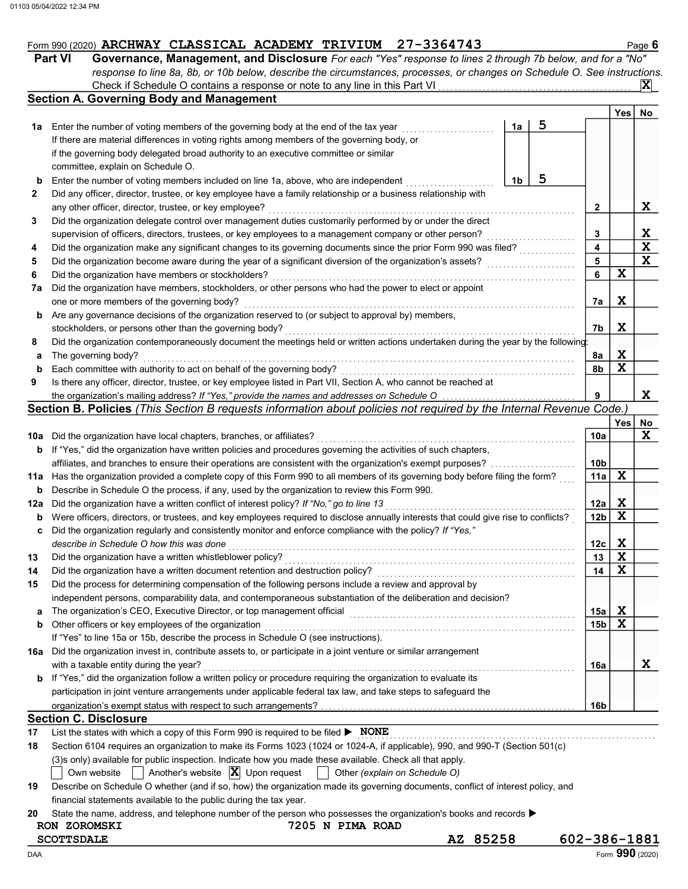|  | Form 990 (2020) ARCHWAY CLASSICAL ACADEMY TRIVIUM |  | 27-3364743 | Page <b>b</b> |  |
|--|---------------------------------------------------|--|------------|---------------|--|
|  |                                                   |  |            |               |  |

| <b>Part VI</b> | Governance, Management, and Disclosure For each "Yes" response to lines 2 through 7b below, and for a "No"                |
|----------------|---------------------------------------------------------------------------------------------------------------------------|
|                | response to line 8a, 8b, or 10b below, describe the circumstances, processes, or changes on Schedule O. See instructions. |
|                | $\mathbf{x}$<br>Check if Schedule O contains a response or note to any line in this Part VI.                              |
|                |                                                                                                                           |

|     | <b>Section A. Governing Body and Management</b>                                                                                     |    |   |     | Yes         | No          |
|-----|-------------------------------------------------------------------------------------------------------------------------------------|----|---|-----|-------------|-------------|
| 1a  | Enter the number of voting members of the governing body at the end of the tax year                                                 | 1a | 5 |     |             |             |
|     | If there are material differences in voting rights among members of the governing body, or                                          |    |   |     |             |             |
|     | if the governing body delegated broad authority to an executive committee or similar                                                |    |   |     |             |             |
|     | committee, explain on Schedule O.                                                                                                   |    |   |     |             |             |
| b   | Enter the number of voting members included on line 1a, above, who are independent                                                  | 1b | 5 |     |             |             |
| 2   | Did any officer, director, trustee, or key employee have a family relationship or a business relationship with                      |    |   |     |             |             |
|     | any other officer, director, trustee, or key employee?                                                                              |    |   | 2   |             | X           |
| 3   | Did the organization delegate control over management duties customarily performed by or under the direct                           |    |   |     |             |             |
|     | supervision of officers, directors, trustees, or key employees to a management company or other person?                             |    |   | 3   |             | X           |
| 4   | Did the organization make any significant changes to its governing documents since the prior Form 990 was filed?                    |    |   | 4   |             | X           |
| 5   | Did the organization become aware during the year of a significant diversion of the organization's assets?                          |    |   | 5   |             | $\mathbf x$ |
| 6   | Did the organization have members or stockholders?                                                                                  |    |   | 6   | X           |             |
| 7a  | Did the organization have members, stockholders, or other persons who had the power to elect or appoint                             |    |   |     |             |             |
|     | one or more members of the governing body?                                                                                          |    |   | 7a  | X           |             |
| b   | Are any governance decisions of the organization reserved to (or subject to approval by) members,                                   |    |   |     |             |             |
|     | stockholders, or persons other than the governing body?                                                                             |    |   | 7b  | X           |             |
| 8   | Did the organization contemporaneously document the meetings held or written actions undertaken during the year by the following:   |    |   |     |             |             |
| а   | The governing body?                                                                                                                 |    |   | 8а  | X           |             |
| b   | Each committee with authority to act on behalf of the governing body?                                                               |    |   | 8b  | $\mathbf X$ |             |
| 9   | Is there any officer, director, trustee, or key employee listed in Part VII, Section A, who cannot be reached at                    |    |   |     |             |             |
|     | the organization's mailing address? If "Yes," provide the names and addresses on Schedule O                                         |    |   | 9   |             | X           |
|     | Section B. Policies (This Section B requests information about policies not required by the Internal Revenue Code.)                 |    |   |     |             |             |
|     |                                                                                                                                     |    |   |     | Yes         | No          |
| 10a | Did the organization have local chapters, branches, or affiliates?                                                                  |    |   | 10a |             | X           |
| b   | If "Yes," did the organization have written policies and procedures governing the activities of such chapters,                      |    |   |     |             |             |
|     | affiliates, and branches to ensure their operations are consistent with the organization's exempt purposes?                         |    |   | 10b |             |             |
| 11a | Has the organization provided a complete copy of this Form 990 to all members of its governing body before filing the form?         |    |   | 11a | X           |             |
| b   | Describe in Schedule O the process, if any, used by the organization to review this Form 990.                                       |    |   |     |             |             |
| 12a | Did the organization have a written conflict of interest policy? If "No," go to line 13                                             |    |   | 12a | X           |             |
| b   | Were officers, directors, or trustees, and key employees required to disclose annually interests that could give rise to conflicts? |    |   | 12b | X           |             |
| c   | Did the organization regularly and consistently monitor and enforce compliance with the policy? If "Yes,"                           |    |   |     |             |             |
|     | describe in Schedule O how this was done                                                                                            |    |   | 12c | X           |             |
| 13  | Did the organization have a written whistleblower policy?                                                                           |    |   | 13  | $\mathbf X$ |             |
| 14  | Did the organization have a written document retention and destruction policy?                                                      |    |   | 14  | X           |             |
| 15  | Did the process for determining compensation of the following persons include a review and approval by                              |    |   |     |             |             |
|     | independent persons, comparability data, and contemporaneous substantiation of the deliberation and decision?                       |    |   |     |             |             |
|     | The organization's CEO, Executive Director, or top management official                                                              |    |   | 15a | X           |             |
| b   | Other officers or key employees of the organization                                                                                 |    |   | 15b | X           |             |
|     | If "Yes" to line 15a or 15b, describe the process in Schedule O (see instructions).                                                 |    |   |     |             |             |
| 16a | Did the organization invest in, contribute assets to, or participate in a joint venture or similar arrangement                      |    |   |     |             |             |
|     | with a taxable entity during the year?                                                                                              |    |   | 16a |             | X           |
| b   | If "Yes," did the organization follow a written policy or procedure requiring the organization to evaluate its                      |    |   |     |             |             |
|     | participation in joint venture arrangements under applicable federal tax law, and take steps to safeguard the                       |    |   |     |             |             |
|     |                                                                                                                                     |    |   | 16b |             |             |
|     | <b>Section C. Disclosure</b>                                                                                                        |    |   |     |             |             |
| 17  | List the states with which a copy of this Form 990 is required to be filed ▶ NONE                                                   |    |   |     |             |             |
| 18  | Section 6104 requires an organization to make its Forms 1023 (1024 or 1024-A, if applicable), 990, and 990-T (Section 501(c)        |    |   |     |             |             |
|     | (3)s only) available for public inspection. Indicate how you made these available. Check all that apply.                            |    |   |     |             |             |
|     | Another's website $ \mathbf{X} $ Upon request<br>Own website<br>Other (explain on Schedule O)                                       |    |   |     |             |             |
| 19  | Describe on Schedule O whether (and if so, how) the organization made its governing documents, conflict of interest policy, and     |    |   |     |             |             |
|     | financial statements available to the public during the tax year.                                                                   |    |   |     |             |             |

20 State the name, address, and telephone number of the person who possesses the organization's books and records  $\blacktriangleright$ 

RON ZOROMSKI 7205 N PIMA ROAD SCOTTSDALE

SCOTTSDALE **AZ 85258** 602-386-1881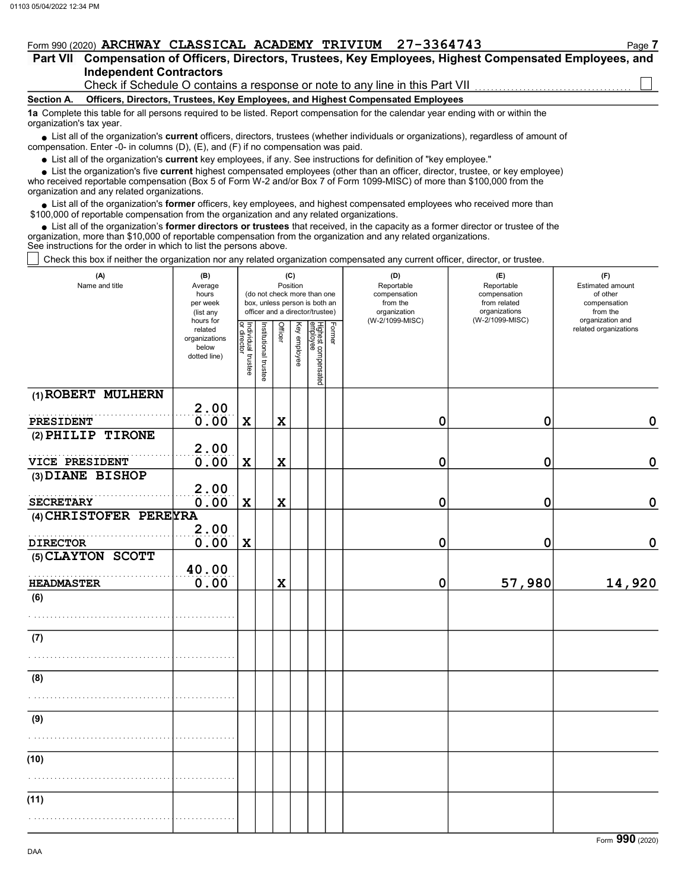#### Section A. Independent Contractors Part VII Compensation of Officers, Directors, Trustees, Key Employees, Highest Compensated Employees, and  $From 990 (2020)$   $\bf ARCHWAY$  CLASSICAL ACADEMY TRIVIUM  $27-3364743$ Officers, Directors, Trustees, Key Employees, and Highest Compensated Employees 1a Complete this table for all persons required to be listed. Report compensation for the calendar year ending with or within the organization's tax year. Check if Schedule O contains a response or note to any line in this Part VII

• List all of the organization's **current** officers, directors, trustees (whether individuals or organizations), regardless of amount of proposation. Enter  $\Omega$  in columns  $(D)$ ,  $(E)$  and  $(E)$  if no componention was paid compensation. Enter -0- in columns (D), (E), and (F) if no compensation was paid.

• List all of the organization's **current** key employees, if any. See instructions for definition of "key employee."

• List the organization's five **current** highest compensated employees (other than an officer, director, trustee, or key employee)<br>• received reportable compensation (Box 5 of Form W 2 and/or Box 7 of Form 1000 MISC) of m

who received reportable compensation (Box 5 of Form W-2 and/or Box 7 of Form 1099-MISC) of more than \$100,000 from the organization and any related organizations.

 $\bullet$  List all of the organization's **former** officers, key employees, and highest compensated employees who received more than  $\Omega$  0.00 of reportable compensation from the erganization and any related erganizations. \$100,000 of reportable compensation from the organization and any related organizations.

 $\bullet$  List all of the organization's **former directors or trustees** that received, in the capacity as a former director or trustee of the entrance in the organization and any related organizations organization, more than \$10,000 of reportable compensation from the organization and any related organizations. See instructions for the order in which to list the persons above.

Check this box if neither the organization nor any related organization compensated any current officer, director, or trustee.

| (A)<br>Name and title  | (B)<br>Average<br>hours<br>per week<br>(list any               |                                          |                       |                | (C)<br>Position | (do not check more than one<br>box, unless person is both an<br>officer and a director/trustee) |        | (D)<br>Reportable<br>compensation<br>from the<br>organization<br>(W-2/1099-MISC) | (E)<br>Reportable<br>compensation<br>from related<br>organizations<br>(W-2/1099-MISC) | (F)<br><b>Estimated amount</b><br>of other<br>compensation<br>from the<br>organization and |  |  |
|------------------------|----------------------------------------------------------------|------------------------------------------|-----------------------|----------------|-----------------|-------------------------------------------------------------------------------------------------|--------|----------------------------------------------------------------------------------|---------------------------------------------------------------------------------------|--------------------------------------------------------------------------------------------|--|--|
|                        | hours for<br>related<br>organizations<br>below<br>dotted line) | Individual trustee<br><u>or director</u> | Institutional trustee | <b>Officer</b> | Key employee    | Highest compensated<br>employee                                                                 | Former |                                                                                  |                                                                                       | related organizations                                                                      |  |  |
| (1) ROBERT MULHERN     |                                                                |                                          |                       |                |                 |                                                                                                 |        |                                                                                  |                                                                                       |                                                                                            |  |  |
| PRESIDENT              | 2.00<br>0.00                                                   | $\mathbf x$                              |                       | $\mathbf x$    |                 |                                                                                                 |        | 0                                                                                | $\mathbf 0$                                                                           | $\mathbf 0$                                                                                |  |  |
| (2) PHILIP TIRONE      | 2.00                                                           |                                          |                       |                |                 |                                                                                                 |        |                                                                                  |                                                                                       |                                                                                            |  |  |
| VICE PRESIDENT         | 0.00                                                           | $\mathbf x$                              |                       | $\mathbf x$    |                 |                                                                                                 |        | $\mathbf 0$                                                                      | $\mathbf 0$                                                                           | 0                                                                                          |  |  |
| (3) DIANE BISHOP       |                                                                |                                          |                       |                |                 |                                                                                                 |        |                                                                                  |                                                                                       |                                                                                            |  |  |
| <b>SECRETARY</b>       | 2.00<br>0.00                                                   | $\mathbf x$                              |                       | $\mathbf x$    |                 |                                                                                                 |        | 0                                                                                | 0                                                                                     | 0                                                                                          |  |  |
| (4) CHRISTOFER PEREYRA |                                                                |                                          |                       |                |                 |                                                                                                 |        |                                                                                  |                                                                                       |                                                                                            |  |  |
| <b>DIRECTOR</b>        | 2.00<br>0.00                                                   | $\mathbf x$                              |                       |                |                 |                                                                                                 |        | $\mathbf 0$                                                                      | 0                                                                                     | $\mathbf 0$                                                                                |  |  |
| (5) CLAYTON SCOTT      | 40.00                                                          |                                          |                       |                |                 |                                                                                                 |        |                                                                                  |                                                                                       |                                                                                            |  |  |
| <b>HEADMASTER</b>      | 0.00                                                           |                                          |                       | $\mathbf x$    |                 |                                                                                                 |        | $\mathbf 0$                                                                      | 57,980                                                                                | 14,920                                                                                     |  |  |
| (6)                    |                                                                |                                          |                       |                |                 |                                                                                                 |        |                                                                                  |                                                                                       |                                                                                            |  |  |
|                        |                                                                |                                          |                       |                |                 |                                                                                                 |        |                                                                                  |                                                                                       |                                                                                            |  |  |
| (7)                    |                                                                |                                          |                       |                |                 |                                                                                                 |        |                                                                                  |                                                                                       |                                                                                            |  |  |
|                        |                                                                |                                          |                       |                |                 |                                                                                                 |        |                                                                                  |                                                                                       |                                                                                            |  |  |
| (8)                    |                                                                |                                          |                       |                |                 |                                                                                                 |        |                                                                                  |                                                                                       |                                                                                            |  |  |
|                        |                                                                |                                          |                       |                |                 |                                                                                                 |        |                                                                                  |                                                                                       |                                                                                            |  |  |
| (9)                    |                                                                |                                          |                       |                |                 |                                                                                                 |        |                                                                                  |                                                                                       |                                                                                            |  |  |
|                        |                                                                |                                          |                       |                |                 |                                                                                                 |        |                                                                                  |                                                                                       |                                                                                            |  |  |
| (10)                   |                                                                |                                          |                       |                |                 |                                                                                                 |        |                                                                                  |                                                                                       |                                                                                            |  |  |
|                        |                                                                |                                          |                       |                |                 |                                                                                                 |        |                                                                                  |                                                                                       |                                                                                            |  |  |
| (11)                   |                                                                |                                          |                       |                |                 |                                                                                                 |        |                                                                                  |                                                                                       |                                                                                            |  |  |
|                        |                                                                |                                          |                       |                |                 |                                                                                                 |        |                                                                                  |                                                                                       |                                                                                            |  |  |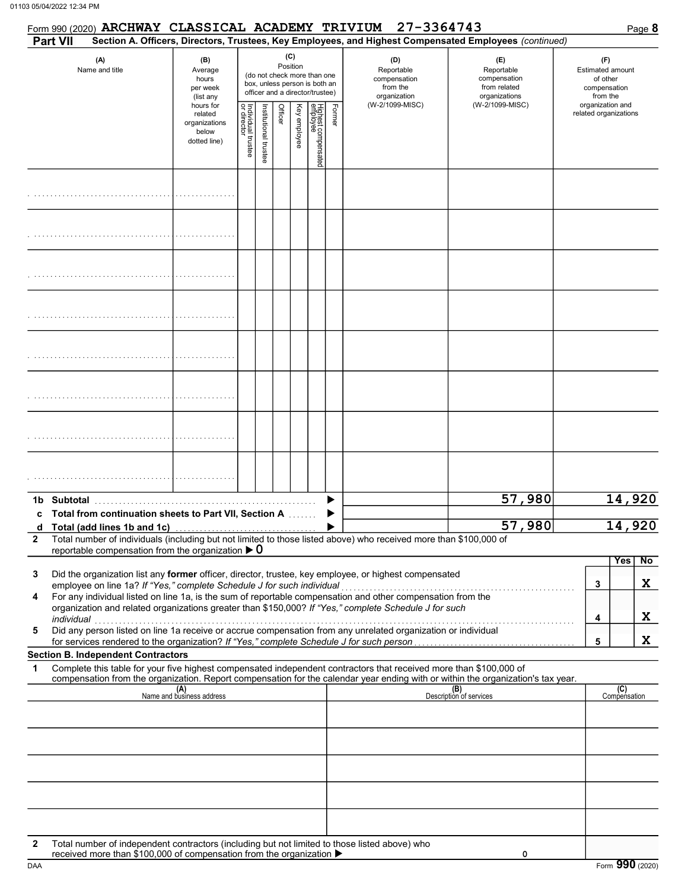| Form 990 (2020) ARCHWAY CLASSICAL ACADEMY TRIVIUM 27-3364743                                                                                                                                          |                                                                                                                                                                                                                                                                                  |                                   |                                                               |                                                                    |                                                                        |                                 |        |                 |                                |                                           | Page $8$            |
|-------------------------------------------------------------------------------------------------------------------------------------------------------------------------------------------------------|----------------------------------------------------------------------------------------------------------------------------------------------------------------------------------------------------------------------------------------------------------------------------------|-----------------------------------|---------------------------------------------------------------|--------------------------------------------------------------------|------------------------------------------------------------------------|---------------------------------|--------|-----------------|--------------------------------|-------------------------------------------|---------------------|
| Part VII<br>(A)<br>Name and title                                                                                                                                                                     | Section A. Officers, Directors, Trustees, Key Employees, and Highest Compensated Employees (continued)<br>(C)<br>(B)<br>Position<br>Average<br>(do not check more than one<br>hours<br>box, unless person is both an<br>per week<br>officer and a director/trustee)<br>(list any |                                   | (D)<br>Reportable<br>compensation<br>from the<br>organization | (E)<br>Reportable<br>compensation<br>from related<br>organizations | (F)<br><b>Estimated amount</b><br>of other<br>compensation<br>from the |                                 |        |                 |                                |                                           |                     |
|                                                                                                                                                                                                       | hours for<br>related<br>organizations<br>below<br>dotted line)                                                                                                                                                                                                                   | Individual trustee<br>or director | nstitutional trustee                                          | Officer                                                            | Key employee                                                           | Highest compensated<br>employee | Former | (W-2/1099-MISC) | (W-2/1099-MISC)                | organization and<br>related organizations |                     |
|                                                                                                                                                                                                       |                                                                                                                                                                                                                                                                                  |                                   |                                                               |                                                                    |                                                                        |                                 |        |                 |                                |                                           |                     |
|                                                                                                                                                                                                       |                                                                                                                                                                                                                                                                                  |                                   |                                                               |                                                                    |                                                                        |                                 |        |                 |                                |                                           |                     |
|                                                                                                                                                                                                       |                                                                                                                                                                                                                                                                                  |                                   |                                                               |                                                                    |                                                                        |                                 |        |                 |                                |                                           |                     |
|                                                                                                                                                                                                       |                                                                                                                                                                                                                                                                                  |                                   |                                                               |                                                                    |                                                                        |                                 |        |                 |                                |                                           |                     |
|                                                                                                                                                                                                       |                                                                                                                                                                                                                                                                                  |                                   |                                                               |                                                                    |                                                                        |                                 |        |                 |                                |                                           |                     |
|                                                                                                                                                                                                       |                                                                                                                                                                                                                                                                                  |                                   |                                                               |                                                                    |                                                                        |                                 |        |                 |                                |                                           |                     |
|                                                                                                                                                                                                       |                                                                                                                                                                                                                                                                                  |                                   |                                                               |                                                                    |                                                                        |                                 |        |                 |                                |                                           |                     |
|                                                                                                                                                                                                       |                                                                                                                                                                                                                                                                                  |                                   |                                                               |                                                                    |                                                                        |                                 |        |                 |                                |                                           |                     |
| c Total from continuation sheets to Part VII, Section A<br>Total (add lines 1b and 1c)<br>a                                                                                                           |                                                                                                                                                                                                                                                                                  |                                   |                                                               |                                                                    |                                                                        |                                 |        |                 | 57,980<br>57,980               |                                           | 14,920<br>14,920    |
| Total number of individuals (including but not limited to those listed above) who received more than \$100,000 of<br>$\mathbf{2}$<br>reportable compensation from the organization $\triangleright$ 0 |                                                                                                                                                                                                                                                                                  |                                   |                                                               |                                                                    |                                                                        |                                 |        |                 |                                |                                           |                     |
| Did the organization list any former officer, director, trustee, key employee, or highest compensated<br>3                                                                                            |                                                                                                                                                                                                                                                                                  |                                   |                                                               |                                                                    |                                                                        |                                 |        |                 |                                |                                           | Yes<br>No           |
| employee on line 1a? If "Yes," complete Schedule J for such individual<br>For any individual listed on line 1a, is the sum of reportable compensation and other compensation from the<br>4            |                                                                                                                                                                                                                                                                                  |                                   |                                                               |                                                                    |                                                                        |                                 |        |                 |                                | 3                                         | X                   |
| organization and related organizations greater than \$150,000? If "Yes," complete Schedule J for such<br>individual                                                                                   |                                                                                                                                                                                                                                                                                  |                                   |                                                               |                                                                    |                                                                        |                                 |        |                 |                                | 4                                         | X                   |
| marviquar<br>Did any person listed on line 1a receive or accrue compensation from any unrelated organization or individual<br>5                                                                       |                                                                                                                                                                                                                                                                                  |                                   |                                                               |                                                                    |                                                                        |                                 |        |                 |                                | 5                                         | X                   |
| <b>Section B. Independent Contractors</b><br>Complete this table for your five highest compensated independent contractors that received more than \$100,000 of<br>1                                  |                                                                                                                                                                                                                                                                                  |                                   |                                                               |                                                                    |                                                                        |                                 |        |                 |                                |                                           |                     |
| compensation from the organization. Report compensation for the calendar year ending with or within the organization's tax year.                                                                      |                                                                                                                                                                                                                                                                                  |                                   |                                                               |                                                                    |                                                                        |                                 |        |                 |                                |                                           |                     |
|                                                                                                                                                                                                       | (A)<br>Name and business address                                                                                                                                                                                                                                                 |                                   |                                                               |                                                                    |                                                                        |                                 |        |                 | (B)<br>Description of services |                                           | (C)<br>Compensation |
|                                                                                                                                                                                                       |                                                                                                                                                                                                                                                                                  |                                   |                                                               |                                                                    |                                                                        |                                 |        |                 |                                |                                           |                     |
|                                                                                                                                                                                                       |                                                                                                                                                                                                                                                                                  |                                   |                                                               |                                                                    |                                                                        |                                 |        |                 |                                |                                           |                     |
|                                                                                                                                                                                                       |                                                                                                                                                                                                                                                                                  |                                   |                                                               |                                                                    |                                                                        |                                 |        |                 |                                |                                           |                     |
| Total number of independent contractors (including but not limited to those listed above) who<br>$\mathbf{2}$<br>received more than \$100,000 of compensation from the organization ▶                 |                                                                                                                                                                                                                                                                                  |                                   |                                                               |                                                                    |                                                                        |                                 |        |                 | 0                              |                                           |                     |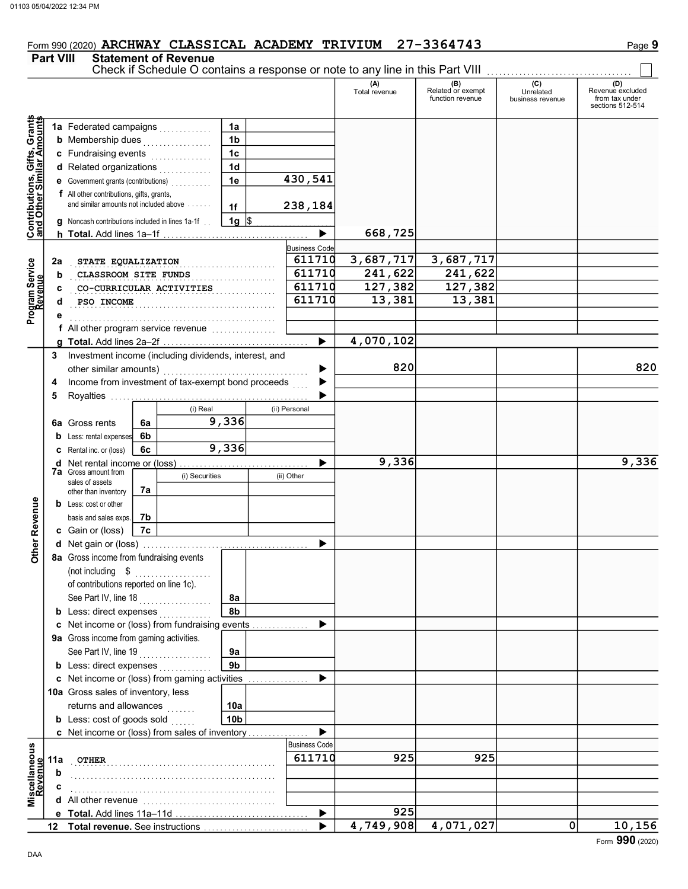# Form 990 (2020) ARCHWAY CLASSICAL ACADEMY TRIVIUM  $27-3364743$  Page 9

# Part VIII Statement of Revenue

Check if Schedule O contains a response or note to any line in this Part VIII ................................

| Contributions, Gifts, Grants<br>and Other Similar Amounts<br>1a<br>1a Federated campaigns<br>in a chuid anns an<br>1 <sub>b</sub><br><b>b</b> Membership dues<br><u> 1999 - Johann Stoff, Amerikaansk k</u><br>1 <sub>c</sub><br>c Fundraising events<br>.<br>d Related organizations<br>1d<br>430,541<br>1e<br><b>e</b> Government grants (contributions)<br><b>f</b> All other contributions, gifts, grants,<br>and similar amounts not included above<br>238,184<br>1f<br>1g $\sqrt{3}$<br>Noncash contributions included in lines 1a-1f<br>668,725<br>▶<br><b>Business Code</b><br>3,687,717<br>3,687,717<br>611710<br>2a<br>STATE EQUALIZATION<br>611710<br>241,622<br>241,622<br>b<br>CLASSROOM SITE FUNDS<br>$\overline{127,382}$<br>127,382<br>611710<br>CO-CURRICULAR ACTIVITIES<br>611710<br>13,381<br>13,381<br>PSO INCOME<br><b>f</b> All other program service revenue $\ldots$<br>4,070,102<br>▶<br>a<br>Investment income (including dividends, interest, and<br>3<br>820<br>820<br>other similar amounts)<br>Income from investment of tax-exempt bond proceeds<br>4<br>5<br>(i) Real<br>(ii) Personal<br>9,336<br>Gross rents<br>6a<br>6а<br>6b<br>Less: rental expenses<br>b<br>9,336<br>6c<br>Rental inc. or (loss)<br>с<br>9,336<br>9,336<br>Net rental income or (loss)<br>d<br><b>7a</b> Gross amount from<br>(i) Securities<br>(ii) Other<br>sales of assets<br>7a<br>other than inventory<br>Other Revenue<br>Less: cost or other<br>b<br>7b<br>basis and sales exps.<br>7c<br>c Gain or (loss)<br>8a Gross income from fundraising events<br>(not including \$<br>.<br>of contributions reported on line 1c).<br>See Part IV, line 18<br>8а<br>8b<br><b>b</b> Less: direct expenses<br>c Net income or (loss) from fundraising events<br>9a Gross income from gaming activities.<br>See Part IV, line 19<br>9a<br>9b<br><b>b</b> Less: direct expenses<br>c Net income or (loss) from gaming activities<br>10a Gross sales of inventory, less<br>returns and allowances<br>10a<br>10 <sub>b</sub><br><b>b</b> Less: cost of goods sold<br>c Net income or (loss) from sales of inventory<br><b>Business Code</b><br>Miscellaneous<br>Revenue<br>611710<br>925<br>925<br>11a<br><b>OTHER</b><br>b<br>a<br>925<br>▶<br>е<br>4,749,908<br>4,071,027<br>10,156<br>0<br>12<br>Total revenue. See instructions |  |  |  |  |  |  | (A)<br>Total revenue | (B)<br>Related or exempt<br>function revenue | (C)<br>Unrelated<br>business revenue | (D)<br>Revenue excluded<br>from tax under<br>sections 512-514 |
|-----------------------------------------------------------------------------------------------------------------------------------------------------------------------------------------------------------------------------------------------------------------------------------------------------------------------------------------------------------------------------------------------------------------------------------------------------------------------------------------------------------------------------------------------------------------------------------------------------------------------------------------------------------------------------------------------------------------------------------------------------------------------------------------------------------------------------------------------------------------------------------------------------------------------------------------------------------------------------------------------------------------------------------------------------------------------------------------------------------------------------------------------------------------------------------------------------------------------------------------------------------------------------------------------------------------------------------------------------------------------------------------------------------------------------------------------------------------------------------------------------------------------------------------------------------------------------------------------------------------------------------------------------------------------------------------------------------------------------------------------------------------------------------------------------------------------------------------------------------------------------------------------------------------------------------------------------------------------------------------------------------------------------------------------------------------------------------------------------------------------------------------------------------------------------------------------------------------------------------------------------------------------------------------------------------------------------------|--|--|--|--|--|--|----------------------|----------------------------------------------|--------------------------------------|---------------------------------------------------------------|
|                                                                                                                                                                                                                                                                                                                                                                                                                                                                                                                                                                                                                                                                                                                                                                                                                                                                                                                                                                                                                                                                                                                                                                                                                                                                                                                                                                                                                                                                                                                                                                                                                                                                                                                                                                                                                                                                                                                                                                                                                                                                                                                                                                                                                                                                                                                                   |  |  |  |  |  |  |                      |                                              |                                      |                                                               |
|                                                                                                                                                                                                                                                                                                                                                                                                                                                                                                                                                                                                                                                                                                                                                                                                                                                                                                                                                                                                                                                                                                                                                                                                                                                                                                                                                                                                                                                                                                                                                                                                                                                                                                                                                                                                                                                                                                                                                                                                                                                                                                                                                                                                                                                                                                                                   |  |  |  |  |  |  |                      |                                              |                                      |                                                               |
|                                                                                                                                                                                                                                                                                                                                                                                                                                                                                                                                                                                                                                                                                                                                                                                                                                                                                                                                                                                                                                                                                                                                                                                                                                                                                                                                                                                                                                                                                                                                                                                                                                                                                                                                                                                                                                                                                                                                                                                                                                                                                                                                                                                                                                                                                                                                   |  |  |  |  |  |  |                      |                                              |                                      |                                                               |
|                                                                                                                                                                                                                                                                                                                                                                                                                                                                                                                                                                                                                                                                                                                                                                                                                                                                                                                                                                                                                                                                                                                                                                                                                                                                                                                                                                                                                                                                                                                                                                                                                                                                                                                                                                                                                                                                                                                                                                                                                                                                                                                                                                                                                                                                                                                                   |  |  |  |  |  |  |                      |                                              |                                      |                                                               |
|                                                                                                                                                                                                                                                                                                                                                                                                                                                                                                                                                                                                                                                                                                                                                                                                                                                                                                                                                                                                                                                                                                                                                                                                                                                                                                                                                                                                                                                                                                                                                                                                                                                                                                                                                                                                                                                                                                                                                                                                                                                                                                                                                                                                                                                                                                                                   |  |  |  |  |  |  |                      |                                              |                                      |                                                               |
|                                                                                                                                                                                                                                                                                                                                                                                                                                                                                                                                                                                                                                                                                                                                                                                                                                                                                                                                                                                                                                                                                                                                                                                                                                                                                                                                                                                                                                                                                                                                                                                                                                                                                                                                                                                                                                                                                                                                                                                                                                                                                                                                                                                                                                                                                                                                   |  |  |  |  |  |  |                      |                                              |                                      |                                                               |
| Program Service<br>Revenue                                                                                                                                                                                                                                                                                                                                                                                                                                                                                                                                                                                                                                                                                                                                                                                                                                                                                                                                                                                                                                                                                                                                                                                                                                                                                                                                                                                                                                                                                                                                                                                                                                                                                                                                                                                                                                                                                                                                                                                                                                                                                                                                                                                                                                                                                                        |  |  |  |  |  |  |                      |                                              |                                      |                                                               |
|                                                                                                                                                                                                                                                                                                                                                                                                                                                                                                                                                                                                                                                                                                                                                                                                                                                                                                                                                                                                                                                                                                                                                                                                                                                                                                                                                                                                                                                                                                                                                                                                                                                                                                                                                                                                                                                                                                                                                                                                                                                                                                                                                                                                                                                                                                                                   |  |  |  |  |  |  |                      |                                              |                                      |                                                               |
|                                                                                                                                                                                                                                                                                                                                                                                                                                                                                                                                                                                                                                                                                                                                                                                                                                                                                                                                                                                                                                                                                                                                                                                                                                                                                                                                                                                                                                                                                                                                                                                                                                                                                                                                                                                                                                                                                                                                                                                                                                                                                                                                                                                                                                                                                                                                   |  |  |  |  |  |  |                      |                                              |                                      |                                                               |
|                                                                                                                                                                                                                                                                                                                                                                                                                                                                                                                                                                                                                                                                                                                                                                                                                                                                                                                                                                                                                                                                                                                                                                                                                                                                                                                                                                                                                                                                                                                                                                                                                                                                                                                                                                                                                                                                                                                                                                                                                                                                                                                                                                                                                                                                                                                                   |  |  |  |  |  |  |                      |                                              |                                      |                                                               |
|                                                                                                                                                                                                                                                                                                                                                                                                                                                                                                                                                                                                                                                                                                                                                                                                                                                                                                                                                                                                                                                                                                                                                                                                                                                                                                                                                                                                                                                                                                                                                                                                                                                                                                                                                                                                                                                                                                                                                                                                                                                                                                                                                                                                                                                                                                                                   |  |  |  |  |  |  |                      |                                              |                                      |                                                               |
|                                                                                                                                                                                                                                                                                                                                                                                                                                                                                                                                                                                                                                                                                                                                                                                                                                                                                                                                                                                                                                                                                                                                                                                                                                                                                                                                                                                                                                                                                                                                                                                                                                                                                                                                                                                                                                                                                                                                                                                                                                                                                                                                                                                                                                                                                                                                   |  |  |  |  |  |  |                      |                                              |                                      |                                                               |
|                                                                                                                                                                                                                                                                                                                                                                                                                                                                                                                                                                                                                                                                                                                                                                                                                                                                                                                                                                                                                                                                                                                                                                                                                                                                                                                                                                                                                                                                                                                                                                                                                                                                                                                                                                                                                                                                                                                                                                                                                                                                                                                                                                                                                                                                                                                                   |  |  |  |  |  |  |                      |                                              |                                      |                                                               |
|                                                                                                                                                                                                                                                                                                                                                                                                                                                                                                                                                                                                                                                                                                                                                                                                                                                                                                                                                                                                                                                                                                                                                                                                                                                                                                                                                                                                                                                                                                                                                                                                                                                                                                                                                                                                                                                                                                                                                                                                                                                                                                                                                                                                                                                                                                                                   |  |  |  |  |  |  |                      |                                              |                                      |                                                               |
|                                                                                                                                                                                                                                                                                                                                                                                                                                                                                                                                                                                                                                                                                                                                                                                                                                                                                                                                                                                                                                                                                                                                                                                                                                                                                                                                                                                                                                                                                                                                                                                                                                                                                                                                                                                                                                                                                                                                                                                                                                                                                                                                                                                                                                                                                                                                   |  |  |  |  |  |  |                      |                                              |                                      |                                                               |
|                                                                                                                                                                                                                                                                                                                                                                                                                                                                                                                                                                                                                                                                                                                                                                                                                                                                                                                                                                                                                                                                                                                                                                                                                                                                                                                                                                                                                                                                                                                                                                                                                                                                                                                                                                                                                                                                                                                                                                                                                                                                                                                                                                                                                                                                                                                                   |  |  |  |  |  |  |                      |                                              |                                      |                                                               |
|                                                                                                                                                                                                                                                                                                                                                                                                                                                                                                                                                                                                                                                                                                                                                                                                                                                                                                                                                                                                                                                                                                                                                                                                                                                                                                                                                                                                                                                                                                                                                                                                                                                                                                                                                                                                                                                                                                                                                                                                                                                                                                                                                                                                                                                                                                                                   |  |  |  |  |  |  |                      |                                              |                                      |                                                               |
|                                                                                                                                                                                                                                                                                                                                                                                                                                                                                                                                                                                                                                                                                                                                                                                                                                                                                                                                                                                                                                                                                                                                                                                                                                                                                                                                                                                                                                                                                                                                                                                                                                                                                                                                                                                                                                                                                                                                                                                                                                                                                                                                                                                                                                                                                                                                   |  |  |  |  |  |  |                      |                                              |                                      |                                                               |
|                                                                                                                                                                                                                                                                                                                                                                                                                                                                                                                                                                                                                                                                                                                                                                                                                                                                                                                                                                                                                                                                                                                                                                                                                                                                                                                                                                                                                                                                                                                                                                                                                                                                                                                                                                                                                                                                                                                                                                                                                                                                                                                                                                                                                                                                                                                                   |  |  |  |  |  |  |                      |                                              |                                      |                                                               |
|                                                                                                                                                                                                                                                                                                                                                                                                                                                                                                                                                                                                                                                                                                                                                                                                                                                                                                                                                                                                                                                                                                                                                                                                                                                                                                                                                                                                                                                                                                                                                                                                                                                                                                                                                                                                                                                                                                                                                                                                                                                                                                                                                                                                                                                                                                                                   |  |  |  |  |  |  |                      |                                              |                                      |                                                               |
|                                                                                                                                                                                                                                                                                                                                                                                                                                                                                                                                                                                                                                                                                                                                                                                                                                                                                                                                                                                                                                                                                                                                                                                                                                                                                                                                                                                                                                                                                                                                                                                                                                                                                                                                                                                                                                                                                                                                                                                                                                                                                                                                                                                                                                                                                                                                   |  |  |  |  |  |  |                      |                                              |                                      |                                                               |
|                                                                                                                                                                                                                                                                                                                                                                                                                                                                                                                                                                                                                                                                                                                                                                                                                                                                                                                                                                                                                                                                                                                                                                                                                                                                                                                                                                                                                                                                                                                                                                                                                                                                                                                                                                                                                                                                                                                                                                                                                                                                                                                                                                                                                                                                                                                                   |  |  |  |  |  |  |                      |                                              |                                      |                                                               |
|                                                                                                                                                                                                                                                                                                                                                                                                                                                                                                                                                                                                                                                                                                                                                                                                                                                                                                                                                                                                                                                                                                                                                                                                                                                                                                                                                                                                                                                                                                                                                                                                                                                                                                                                                                                                                                                                                                                                                                                                                                                                                                                                                                                                                                                                                                                                   |  |  |  |  |  |  |                      |                                              |                                      |                                                               |
|                                                                                                                                                                                                                                                                                                                                                                                                                                                                                                                                                                                                                                                                                                                                                                                                                                                                                                                                                                                                                                                                                                                                                                                                                                                                                                                                                                                                                                                                                                                                                                                                                                                                                                                                                                                                                                                                                                                                                                                                                                                                                                                                                                                                                                                                                                                                   |  |  |  |  |  |  |                      |                                              |                                      |                                                               |
|                                                                                                                                                                                                                                                                                                                                                                                                                                                                                                                                                                                                                                                                                                                                                                                                                                                                                                                                                                                                                                                                                                                                                                                                                                                                                                                                                                                                                                                                                                                                                                                                                                                                                                                                                                                                                                                                                                                                                                                                                                                                                                                                                                                                                                                                                                                                   |  |  |  |  |  |  |                      |                                              |                                      |                                                               |
|                                                                                                                                                                                                                                                                                                                                                                                                                                                                                                                                                                                                                                                                                                                                                                                                                                                                                                                                                                                                                                                                                                                                                                                                                                                                                                                                                                                                                                                                                                                                                                                                                                                                                                                                                                                                                                                                                                                                                                                                                                                                                                                                                                                                                                                                                                                                   |  |  |  |  |  |  |                      |                                              |                                      |                                                               |
|                                                                                                                                                                                                                                                                                                                                                                                                                                                                                                                                                                                                                                                                                                                                                                                                                                                                                                                                                                                                                                                                                                                                                                                                                                                                                                                                                                                                                                                                                                                                                                                                                                                                                                                                                                                                                                                                                                                                                                                                                                                                                                                                                                                                                                                                                                                                   |  |  |  |  |  |  |                      |                                              |                                      |                                                               |
|                                                                                                                                                                                                                                                                                                                                                                                                                                                                                                                                                                                                                                                                                                                                                                                                                                                                                                                                                                                                                                                                                                                                                                                                                                                                                                                                                                                                                                                                                                                                                                                                                                                                                                                                                                                                                                                                                                                                                                                                                                                                                                                                                                                                                                                                                                                                   |  |  |  |  |  |  |                      |                                              |                                      |                                                               |
|                                                                                                                                                                                                                                                                                                                                                                                                                                                                                                                                                                                                                                                                                                                                                                                                                                                                                                                                                                                                                                                                                                                                                                                                                                                                                                                                                                                                                                                                                                                                                                                                                                                                                                                                                                                                                                                                                                                                                                                                                                                                                                                                                                                                                                                                                                                                   |  |  |  |  |  |  |                      |                                              |                                      |                                                               |
|                                                                                                                                                                                                                                                                                                                                                                                                                                                                                                                                                                                                                                                                                                                                                                                                                                                                                                                                                                                                                                                                                                                                                                                                                                                                                                                                                                                                                                                                                                                                                                                                                                                                                                                                                                                                                                                                                                                                                                                                                                                                                                                                                                                                                                                                                                                                   |  |  |  |  |  |  |                      |                                              |                                      |                                                               |
|                                                                                                                                                                                                                                                                                                                                                                                                                                                                                                                                                                                                                                                                                                                                                                                                                                                                                                                                                                                                                                                                                                                                                                                                                                                                                                                                                                                                                                                                                                                                                                                                                                                                                                                                                                                                                                                                                                                                                                                                                                                                                                                                                                                                                                                                                                                                   |  |  |  |  |  |  |                      |                                              |                                      |                                                               |
|                                                                                                                                                                                                                                                                                                                                                                                                                                                                                                                                                                                                                                                                                                                                                                                                                                                                                                                                                                                                                                                                                                                                                                                                                                                                                                                                                                                                                                                                                                                                                                                                                                                                                                                                                                                                                                                                                                                                                                                                                                                                                                                                                                                                                                                                                                                                   |  |  |  |  |  |  |                      |                                              |                                      |                                                               |
|                                                                                                                                                                                                                                                                                                                                                                                                                                                                                                                                                                                                                                                                                                                                                                                                                                                                                                                                                                                                                                                                                                                                                                                                                                                                                                                                                                                                                                                                                                                                                                                                                                                                                                                                                                                                                                                                                                                                                                                                                                                                                                                                                                                                                                                                                                                                   |  |  |  |  |  |  |                      |                                              |                                      |                                                               |
|                                                                                                                                                                                                                                                                                                                                                                                                                                                                                                                                                                                                                                                                                                                                                                                                                                                                                                                                                                                                                                                                                                                                                                                                                                                                                                                                                                                                                                                                                                                                                                                                                                                                                                                                                                                                                                                                                                                                                                                                                                                                                                                                                                                                                                                                                                                                   |  |  |  |  |  |  |                      |                                              |                                      |                                                               |
|                                                                                                                                                                                                                                                                                                                                                                                                                                                                                                                                                                                                                                                                                                                                                                                                                                                                                                                                                                                                                                                                                                                                                                                                                                                                                                                                                                                                                                                                                                                                                                                                                                                                                                                                                                                                                                                                                                                                                                                                                                                                                                                                                                                                                                                                                                                                   |  |  |  |  |  |  |                      |                                              |                                      |                                                               |
|                                                                                                                                                                                                                                                                                                                                                                                                                                                                                                                                                                                                                                                                                                                                                                                                                                                                                                                                                                                                                                                                                                                                                                                                                                                                                                                                                                                                                                                                                                                                                                                                                                                                                                                                                                                                                                                                                                                                                                                                                                                                                                                                                                                                                                                                                                                                   |  |  |  |  |  |  |                      |                                              |                                      |                                                               |
|                                                                                                                                                                                                                                                                                                                                                                                                                                                                                                                                                                                                                                                                                                                                                                                                                                                                                                                                                                                                                                                                                                                                                                                                                                                                                                                                                                                                                                                                                                                                                                                                                                                                                                                                                                                                                                                                                                                                                                                                                                                                                                                                                                                                                                                                                                                                   |  |  |  |  |  |  |                      |                                              |                                      |                                                               |
|                                                                                                                                                                                                                                                                                                                                                                                                                                                                                                                                                                                                                                                                                                                                                                                                                                                                                                                                                                                                                                                                                                                                                                                                                                                                                                                                                                                                                                                                                                                                                                                                                                                                                                                                                                                                                                                                                                                                                                                                                                                                                                                                                                                                                                                                                                                                   |  |  |  |  |  |  |                      |                                              |                                      |                                                               |
|                                                                                                                                                                                                                                                                                                                                                                                                                                                                                                                                                                                                                                                                                                                                                                                                                                                                                                                                                                                                                                                                                                                                                                                                                                                                                                                                                                                                                                                                                                                                                                                                                                                                                                                                                                                                                                                                                                                                                                                                                                                                                                                                                                                                                                                                                                                                   |  |  |  |  |  |  |                      |                                              |                                      |                                                               |
|                                                                                                                                                                                                                                                                                                                                                                                                                                                                                                                                                                                                                                                                                                                                                                                                                                                                                                                                                                                                                                                                                                                                                                                                                                                                                                                                                                                                                                                                                                                                                                                                                                                                                                                                                                                                                                                                                                                                                                                                                                                                                                                                                                                                                                                                                                                                   |  |  |  |  |  |  |                      |                                              |                                      |                                                               |
|                                                                                                                                                                                                                                                                                                                                                                                                                                                                                                                                                                                                                                                                                                                                                                                                                                                                                                                                                                                                                                                                                                                                                                                                                                                                                                                                                                                                                                                                                                                                                                                                                                                                                                                                                                                                                                                                                                                                                                                                                                                                                                                                                                                                                                                                                                                                   |  |  |  |  |  |  |                      |                                              |                                      |                                                               |
|                                                                                                                                                                                                                                                                                                                                                                                                                                                                                                                                                                                                                                                                                                                                                                                                                                                                                                                                                                                                                                                                                                                                                                                                                                                                                                                                                                                                                                                                                                                                                                                                                                                                                                                                                                                                                                                                                                                                                                                                                                                                                                                                                                                                                                                                                                                                   |  |  |  |  |  |  |                      |                                              |                                      |                                                               |
|                                                                                                                                                                                                                                                                                                                                                                                                                                                                                                                                                                                                                                                                                                                                                                                                                                                                                                                                                                                                                                                                                                                                                                                                                                                                                                                                                                                                                                                                                                                                                                                                                                                                                                                                                                                                                                                                                                                                                                                                                                                                                                                                                                                                                                                                                                                                   |  |  |  |  |  |  |                      |                                              |                                      |                                                               |
|                                                                                                                                                                                                                                                                                                                                                                                                                                                                                                                                                                                                                                                                                                                                                                                                                                                                                                                                                                                                                                                                                                                                                                                                                                                                                                                                                                                                                                                                                                                                                                                                                                                                                                                                                                                                                                                                                                                                                                                                                                                                                                                                                                                                                                                                                                                                   |  |  |  |  |  |  |                      |                                              |                                      |                                                               |
|                                                                                                                                                                                                                                                                                                                                                                                                                                                                                                                                                                                                                                                                                                                                                                                                                                                                                                                                                                                                                                                                                                                                                                                                                                                                                                                                                                                                                                                                                                                                                                                                                                                                                                                                                                                                                                                                                                                                                                                                                                                                                                                                                                                                                                                                                                                                   |  |  |  |  |  |  |                      |                                              |                                      |                                                               |
|                                                                                                                                                                                                                                                                                                                                                                                                                                                                                                                                                                                                                                                                                                                                                                                                                                                                                                                                                                                                                                                                                                                                                                                                                                                                                                                                                                                                                                                                                                                                                                                                                                                                                                                                                                                                                                                                                                                                                                                                                                                                                                                                                                                                                                                                                                                                   |  |  |  |  |  |  |                      |                                              |                                      |                                                               |
|                                                                                                                                                                                                                                                                                                                                                                                                                                                                                                                                                                                                                                                                                                                                                                                                                                                                                                                                                                                                                                                                                                                                                                                                                                                                                                                                                                                                                                                                                                                                                                                                                                                                                                                                                                                                                                                                                                                                                                                                                                                                                                                                                                                                                                                                                                                                   |  |  |  |  |  |  |                      |                                              |                                      |                                                               |
|                                                                                                                                                                                                                                                                                                                                                                                                                                                                                                                                                                                                                                                                                                                                                                                                                                                                                                                                                                                                                                                                                                                                                                                                                                                                                                                                                                                                                                                                                                                                                                                                                                                                                                                                                                                                                                                                                                                                                                                                                                                                                                                                                                                                                                                                                                                                   |  |  |  |  |  |  |                      |                                              |                                      |                                                               |
|                                                                                                                                                                                                                                                                                                                                                                                                                                                                                                                                                                                                                                                                                                                                                                                                                                                                                                                                                                                                                                                                                                                                                                                                                                                                                                                                                                                                                                                                                                                                                                                                                                                                                                                                                                                                                                                                                                                                                                                                                                                                                                                                                                                                                                                                                                                                   |  |  |  |  |  |  |                      |                                              |                                      |                                                               |
|                                                                                                                                                                                                                                                                                                                                                                                                                                                                                                                                                                                                                                                                                                                                                                                                                                                                                                                                                                                                                                                                                                                                                                                                                                                                                                                                                                                                                                                                                                                                                                                                                                                                                                                                                                                                                                                                                                                                                                                                                                                                                                                                                                                                                                                                                                                                   |  |  |  |  |  |  |                      |                                              |                                      |                                                               |
|                                                                                                                                                                                                                                                                                                                                                                                                                                                                                                                                                                                                                                                                                                                                                                                                                                                                                                                                                                                                                                                                                                                                                                                                                                                                                                                                                                                                                                                                                                                                                                                                                                                                                                                                                                                                                                                                                                                                                                                                                                                                                                                                                                                                                                                                                                                                   |  |  |  |  |  |  |                      |                                              |                                      |                                                               |
|                                                                                                                                                                                                                                                                                                                                                                                                                                                                                                                                                                                                                                                                                                                                                                                                                                                                                                                                                                                                                                                                                                                                                                                                                                                                                                                                                                                                                                                                                                                                                                                                                                                                                                                                                                                                                                                                                                                                                                                                                                                                                                                                                                                                                                                                                                                                   |  |  |  |  |  |  |                      |                                              |                                      |                                                               |
|                                                                                                                                                                                                                                                                                                                                                                                                                                                                                                                                                                                                                                                                                                                                                                                                                                                                                                                                                                                                                                                                                                                                                                                                                                                                                                                                                                                                                                                                                                                                                                                                                                                                                                                                                                                                                                                                                                                                                                                                                                                                                                                                                                                                                                                                                                                                   |  |  |  |  |  |  |                      |                                              |                                      |                                                               |
|                                                                                                                                                                                                                                                                                                                                                                                                                                                                                                                                                                                                                                                                                                                                                                                                                                                                                                                                                                                                                                                                                                                                                                                                                                                                                                                                                                                                                                                                                                                                                                                                                                                                                                                                                                                                                                                                                                                                                                                                                                                                                                                                                                                                                                                                                                                                   |  |  |  |  |  |  |                      |                                              |                                      | Form 990 (2020)                                               |

 $\Box$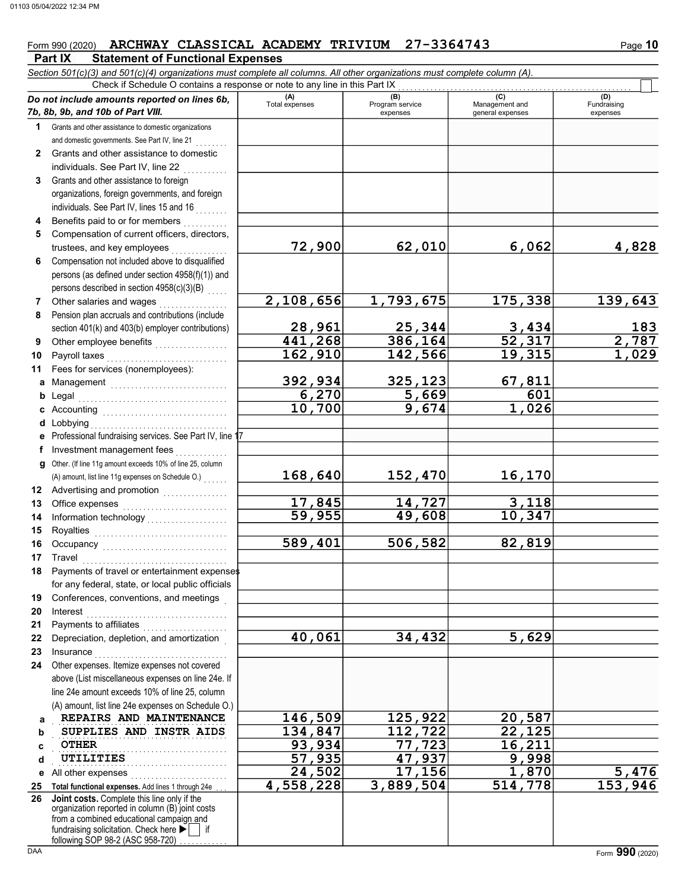# $From 990 (2020)$   $\bf ARCHWAY$  CLASSICAL ACADEMY TRIVIUM  $27-3364743$  Page 10

Part IX Statement of Functional Expenses

|              | Section 501(c)(3) and 501(c)(4) organizations must complete all columns. All other organizations must complete column (A).<br>Check if Schedule O contains a response or note to any line in this Part IX |                              |                             |                                    |                         |
|--------------|-----------------------------------------------------------------------------------------------------------------------------------------------------------------------------------------------------------|------------------------------|-----------------------------|------------------------------------|-------------------------|
|              | Do not include amounts reported on lines 6b,                                                                                                                                                              | (A)<br>Total expenses        | (B)                         | (C)                                | (D)                     |
|              | 7b, 8b, 9b, and 10b of Part VIII.                                                                                                                                                                         |                              | Program service<br>expenses | Management and<br>general expenses | Fundraising<br>expenses |
| 1            | Grants and other assistance to domestic organizations                                                                                                                                                     |                              |                             |                                    |                         |
|              | and domestic governments. See Part IV, line 21                                                                                                                                                            |                              |                             |                                    |                         |
| $\mathbf{2}$ | Grants and other assistance to domestic                                                                                                                                                                   |                              |                             |                                    |                         |
|              | individuals. See Part IV, line 22                                                                                                                                                                         |                              |                             |                                    |                         |
| 3            | Grants and other assistance to foreign                                                                                                                                                                    |                              |                             |                                    |                         |
|              | organizations, foreign governments, and foreign                                                                                                                                                           |                              |                             |                                    |                         |
|              | individuals. See Part IV, lines 15 and 16                                                                                                                                                                 |                              |                             |                                    |                         |
| 4            | Benefits paid to or for members                                                                                                                                                                           |                              |                             |                                    |                         |
| 5            | Compensation of current officers, directors,                                                                                                                                                              |                              |                             |                                    |                         |
|              | trustees, and key employees                                                                                                                                                                               | 72,900                       | 62,010                      | 6,062                              | 4,828                   |
| 6            | Compensation not included above to disqualified                                                                                                                                                           |                              |                             |                                    |                         |
|              | persons (as defined under section 4958(f)(1)) and                                                                                                                                                         |                              |                             |                                    |                         |
|              | persons described in section 4958(c)(3)(B)                                                                                                                                                                |                              |                             |                                    |                         |
| 7            | Other salaries and wages                                                                                                                                                                                  | 2,108,656                    | 1,793,675                   | 175,338                            | 139,643                 |
| 8            | Pension plan accruals and contributions (include                                                                                                                                                          |                              |                             |                                    |                         |
|              | section 401(k) and 403(b) employer contributions)                                                                                                                                                         | 28,961                       | 25,344                      | 3,434                              | 183                     |
| 9            | Other employee benefits                                                                                                                                                                                   | 441,268                      | 386,164                     | 52,317                             | 2,787                   |
| 10           | Payroll taxes                                                                                                                                                                                             | 162,910                      | 142,566                     | 19,315                             | 1,029                   |
| 11           | Fees for services (nonemployees):                                                                                                                                                                         |                              |                             |                                    |                         |
| a            | Management [1111] Management                                                                                                                                                                              | 392,934                      | 325,123                     | 67,811                             |                         |
| b            | Legal                                                                                                                                                                                                     | 6,270<br>$\overline{1}0,700$ | 5,669                       | 601                                |                         |
|              |                                                                                                                                                                                                           |                              | 9,674                       | 1,026                              |                         |
| d            | Lobbying<br>Professional fundraising services. See Part IV, line 17                                                                                                                                       |                              |                             |                                    |                         |
| f            | Investment management fees                                                                                                                                                                                |                              |                             |                                    |                         |
| g            | Other. (If line 11g amount exceeds 10% of line 25, column                                                                                                                                                 |                              |                             |                                    |                         |
|              | (A) amount, list line 11g expenses on Schedule O.)                                                                                                                                                        | 168,640                      | 152,470                     | 16,170                             |                         |
| 12           | Advertising and promotion [1] [1] [1] Advertising and promotion                                                                                                                                           |                              |                             |                                    |                         |
| 13           |                                                                                                                                                                                                           | 17,845                       | 14,727                      | 3,118                              |                         |
| 14           | Information technology<br>                                                                                                                                                                                | 59,955                       | 49,608                      | 10,347                             |                         |
| 15           |                                                                                                                                                                                                           |                              |                             |                                    |                         |
| 16           | Occupancy                                                                                                                                                                                                 | 589,401                      | 506,582                     | 82,819                             |                         |
| 17           | Travel                                                                                                                                                                                                    |                              |                             |                                    |                         |
| 18           | Payments of travel or entertainment expenses                                                                                                                                                              |                              |                             |                                    |                         |
|              | for any federal, state, or local public officials                                                                                                                                                         |                              |                             |                                    |                         |
| 19           | Conferences, conventions, and meetings                                                                                                                                                                    |                              |                             |                                    |                         |
| 20           | Interest                                                                                                                                                                                                  |                              |                             |                                    |                         |
| 21           | Payments to affiliates                                                                                                                                                                                    |                              |                             |                                    |                         |
| 22           | Depreciation, depletion, and amortization                                                                                                                                                                 | 40,061                       | 34,432                      | 5,629                              |                         |
| 23           | Insurance <b>construction</b>                                                                                                                                                                             |                              |                             |                                    |                         |
| 24           | Other expenses. Itemize expenses not covered                                                                                                                                                              |                              |                             |                                    |                         |
|              | above (List miscellaneous expenses on line 24e. If                                                                                                                                                        |                              |                             |                                    |                         |
|              | line 24e amount exceeds 10% of line 25, column                                                                                                                                                            |                              |                             |                                    |                         |
|              | (A) amount, list line 24e expenses on Schedule O.)                                                                                                                                                        |                              |                             |                                    |                         |
| а            | REPAIRS AND MAINTENANCE                                                                                                                                                                                   | 146,509                      | 125,922                     | 20,587                             |                         |
| b            | SUPPLIES AND INSTR AIDS                                                                                                                                                                                   | 134,847                      | 112,722                     | 22, 125                            |                         |
| c            | <b>OTHER</b>                                                                                                                                                                                              | 93,934                       | 77,723                      | 16,211                             |                         |
| d            | UTILITIES<br>.                                                                                                                                                                                            | 57,935                       | 47,937                      | 9,998                              |                         |
| е            | All other expenses <b>Manual</b> Service Construction of                                                                                                                                                  | 24,502                       | 17,156                      | 1,870                              | 5,476                   |
| 25<br>26     | Total functional expenses. Add lines 1 through 24e<br><b>Joint costs.</b> Complete this line only if the                                                                                                  | 4,558,228                    | 3,889,504                   | 514,778                            | 153,946                 |
|              | organization reported in column (B) joint costs                                                                                                                                                           |                              |                             |                                    |                         |
|              | from a combined educational campaign and                                                                                                                                                                  |                              |                             |                                    |                         |
|              | fundraising solicitation. Check here<br>if<br>following SOP 98-2 (ASC 958-720)                                                                                                                            |                              |                             |                                    |                         |
| DAA          |                                                                                                                                                                                                           |                              |                             |                                    | Form 990 (2020)         |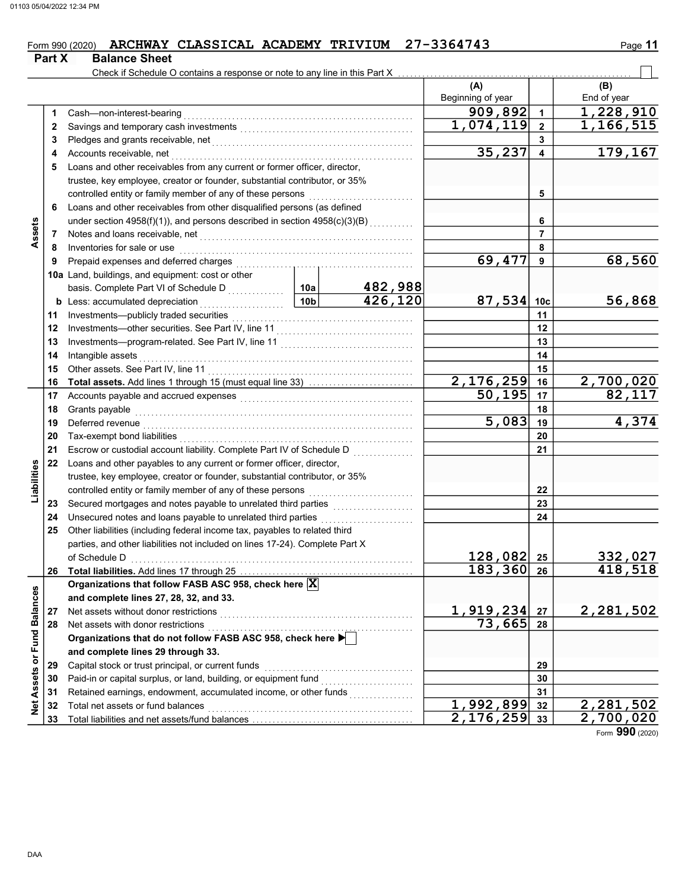#### Form 990 (2020)  $\overline{ARCHWAY}$  CLASSICAL ACADEMY TRIVIUM  $27-3364743$  Page 11 ARCHWAY CLASSICAL ACADEMY TRIVIUM 27-3364743

|                             | Part X   | <b>Balance Sheet</b>                                                                                                                                                                                                                 |                 |                       |                           |                 |             |
|-----------------------------|----------|--------------------------------------------------------------------------------------------------------------------------------------------------------------------------------------------------------------------------------------|-----------------|-----------------------|---------------------------|-----------------|-------------|
|                             |          | Check if Schedule O contains a response or note to any line in this Part X                                                                                                                                                           |                 |                       |                           |                 |             |
|                             |          |                                                                                                                                                                                                                                      |                 |                       | (A)                       |                 | (B)         |
|                             |          |                                                                                                                                                                                                                                      |                 |                       | Beginning of year         |                 | End of year |
|                             | 1        | Cash-non-interest-bearing                                                                                                                                                                                                            |                 |                       | 909,892                   | $\mathbf{1}$    | 1,228,910   |
|                             | 2        |                                                                                                                                                                                                                                      |                 |                       | 1,074,119                 | $\overline{2}$  | 1,166,515   |
|                             | 3        | Pledges and grants receivable, net <b>construct to the construct of the set of the construct of the construct of the construct of the construction</b>                                                                               |                 |                       |                           | 3               |             |
|                             | 4        | Accounts receivable, net                                                                                                                                                                                                             |                 |                       | 35,237                    | 4               | 179,167     |
|                             | 5        | Loans and other receivables from any current or former officer, director,                                                                                                                                                            |                 |                       |                           |                 |             |
|                             |          | trustee, key employee, creator or founder, substantial contributor, or 35%                                                                                                                                                           |                 |                       |                           |                 |             |
|                             |          |                                                                                                                                                                                                                                      |                 |                       |                           | 5               |             |
|                             | 6        | Loans and other receivables from other disqualified persons (as defined                                                                                                                                                              |                 |                       |                           |                 |             |
|                             |          | under section $4958(f)(1)$ , and persons described in section $4958(c)(3)(B)$                                                                                                                                                        |                 |                       |                           | 6               |             |
| Assets                      | 7        | Notes and loans receivable, net <b>consider the constant of the constant of the constant of the constant of the constant of the constant of the constant of the constant of the constant of the constant of the constant of the </b> |                 |                       |                           | $\overline{7}$  |             |
|                             | 8        | Inventories for sale or use                                                                                                                                                                                                          |                 |                       |                           | 8               |             |
|                             | 9        |                                                                                                                                                                                                                                      |                 |                       | 69,477                    | 9               | 68,560      |
|                             |          | 10a Land, buildings, and equipment: cost or other                                                                                                                                                                                    |                 |                       |                           |                 |             |
|                             |          | basis. Complete Part VI of Schedule D                                                                                                                                                                                                | 10a             | 482,988               |                           |                 |             |
|                             |          | <b>b</b> Less: accumulated depreciation                                                                                                                                                                                              | 10 <sub>b</sub> | 426,120               | 87,534                    | 10 <sub>c</sub> | 56,868      |
|                             | 11       |                                                                                                                                                                                                                                      |                 |                       |                           | 11              |             |
|                             | 12       |                                                                                                                                                                                                                                      |                 |                       | 12                        |                 |             |
|                             | 13       |                                                                                                                                                                                                                                      |                 |                       |                           | 13              |             |
|                             | 14       | Intangible assets                                                                                                                                                                                                                    |                 |                       |                           | 14              |             |
|                             | 15       |                                                                                                                                                                                                                                      |                 |                       |                           | 15              |             |
|                             | 16       | <b>Total assets.</b> Add lines 1 through 15 (must equal line 33)                                                                                                                                                                     |                 |                       | 2,176,259                 | 16              | 2,700,020   |
|                             | 17       |                                                                                                                                                                                                                                      |                 | $\overline{50}$ , 195 | 17                        | 82,117          |             |
|                             | 18       | Grants payable                                                                                                                                                                                                                       |                 |                       |                           | 18              |             |
|                             | 19       | Deferred revenue <b>construction and the construction of the construction of the construction</b>                                                                                                                                    |                 |                       | 5,083                     | 19              | 4,374       |
|                             | 20       |                                                                                                                                                                                                                                      |                 |                       |                           | 20              |             |
|                             | 21       |                                                                                                                                                                                                                                      |                 |                       |                           | 21              |             |
| Liabilities                 | 22       | Loans and other payables to any current or former officer, director,                                                                                                                                                                 |                 |                       |                           |                 |             |
|                             |          | trustee, key employee, creator or founder, substantial contributor, or 35%                                                                                                                                                           |                 |                       |                           |                 |             |
|                             |          | controlled entity or family member of any of these persons                                                                                                                                                                           |                 |                       |                           | 22              |             |
|                             | 23       | Secured mortgages and notes payable to unrelated third parties<br>[[[[[[[[[[[[[[[[[[[[[]]]]]]]                                                                                                                                       |                 |                       |                           | 23<br>24        |             |
|                             | 24<br>25 | Unsecured notes and loans payable to unrelated third parties<br>Other liabilities (including federal income tax, payables to related third                                                                                           |                 |                       |                           |                 |             |
|                             |          | parties, and other liabilities not included on lines 17-24). Complete Part X                                                                                                                                                         |                 |                       |                           |                 |             |
|                             |          | of Schedule D                                                                                                                                                                                                                        |                 |                       | 128,082                   | 25              | 332,027     |
|                             | 26       |                                                                                                                                                                                                                                      |                 |                       | 183, 360                  | 26              | 418,518     |
|                             |          | Organizations that follow FASB ASC 958, check here X                                                                                                                                                                                 |                 |                       |                           |                 |             |
|                             |          | and complete lines 27, 28, 32, and 33.                                                                                                                                                                                               |                 |                       |                           |                 |             |
|                             | 27       | Net assets without donor restrictions                                                                                                                                                                                                |                 |                       | 1,919,234                 | 27              | 2,281,502   |
|                             | 28       | Net assets with donor restrictions                                                                                                                                                                                                   |                 |                       | 73,665                    | 28              |             |
|                             |          | Organizations that do not follow FASB ASC 958, check here                                                                                                                                                                            |                 |                       |                           |                 |             |
|                             |          | and complete lines 29 through 33.                                                                                                                                                                                                    |                 |                       |                           |                 |             |
|                             | 29       | Capital stock or trust principal, or current funds                                                                                                                                                                                   |                 |                       |                           | 29              |             |
|                             | 30       | Paid-in or capital surplus, or land, building, or equipment fund [[[[[[[[[[[[[[[[[[[[[[[[[[[[[[[[[[[                                                                                                                                 |                 |                       |                           | 30              |             |
|                             | 31       | Retained earnings, endowment, accumulated income, or other funds                                                                                                                                                                     |                 |                       |                           | 31              |             |
| Net Assets or Fund Balances | 32       | Total net assets or fund balances                                                                                                                                                                                                    |                 |                       | 1,992,899                 | 32              | 2,281,502   |
|                             | 33       |                                                                                                                                                                                                                                      |                 |                       | $\overline{2}$ , 176, 259 | 33              | 2,700,020   |

Form 990 (2020)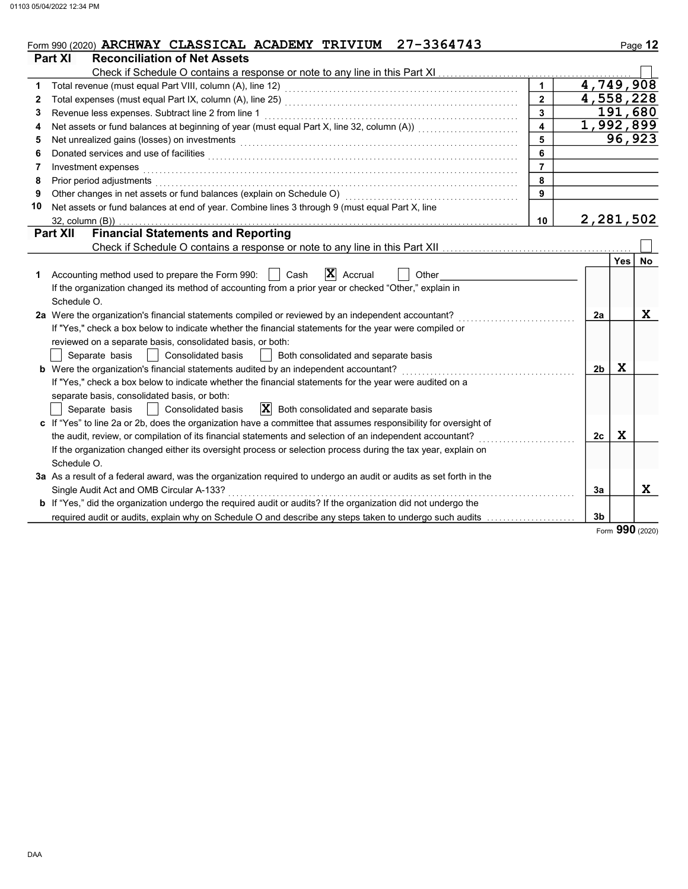Schedule O.

| Part XI<br><b>Reconciliation of Net Assets</b>                                                                                                                                                                                      |                         |                |   |          |
|-------------------------------------------------------------------------------------------------------------------------------------------------------------------------------------------------------------------------------------|-------------------------|----------------|---|----------|
| Check if Schedule O contains a response or note to any line in this Part XI                                                                                                                                                         |                         |                |   |          |
|                                                                                                                                                                                                                                     |                         | 4,749,908      |   |          |
| 2                                                                                                                                                                                                                                   |                         | 4,558,228      |   |          |
| Revenue less expenses. Subtract line 2 from line 1<br>3                                                                                                                                                                             |                         |                |   | 191,680  |
| Net assets or fund balances at beginning of year (must equal Part X, line 32, column (A)) [[[[[[[[[[[[[[[[[[[                                                                                                                       | $\overline{\mathbf{4}}$ | 1,992,899      |   |          |
| Net unrealized gains (losses) on investments with the contract of the contract of the set of the contract of the set of the set of the set of the set of the set of the set of the set of the set of the set of the set of the<br>5 |                         |                |   | 96,923   |
| Donated services and use of facilities [[11] Martin Martin Martin Martin Martin Martin Martin Martin Martin Ma<br>6                                                                                                                 | 6                       |                |   |          |
| Investment expenses<br>7                                                                                                                                                                                                            | $\overline{7}$          |                |   |          |
| Prior period adjustments<br>8                                                                                                                                                                                                       | 8                       |                |   |          |
| Other changes in net assets or fund balances (explain on Schedule O)<br>9                                                                                                                                                           | 9                       |                |   |          |
| 10<br>Net assets or fund balances at end of year. Combine lines 3 through 9 (must equal Part X, line                                                                                                                                |                         |                |   |          |
| 32, column (B))                                                                                                                                                                                                                     | 10                      | 2, 281, 502    |   |          |
| <b>Financial Statements and Reporting</b><br>Part XII                                                                                                                                                                               |                         |                |   |          |
|                                                                                                                                                                                                                                     |                         |                |   |          |
|                                                                                                                                                                                                                                     |                         |                |   | Yes   No |
| $\mathbf{X}$ Accrual<br>Accounting method used to prepare the Form 990:<br>Other<br>Cash<br>1                                                                                                                                       |                         |                |   |          |
| If the organization changed its method of accounting from a prior year or checked "Other," explain in                                                                                                                               |                         |                |   |          |
| Schedule O.                                                                                                                                                                                                                         |                         |                |   |          |
| 2a Were the organization's financial statements compiled or reviewed by an independent accountant?                                                                                                                                  |                         | 2a             |   | X        |
| If "Yes," check a box below to indicate whether the financial statements for the year were compiled or                                                                                                                              |                         |                |   |          |
| reviewed on a separate basis, consolidated basis, or both:                                                                                                                                                                          |                         |                |   |          |
| Separate basis     Consolidated basis<br>Both consolidated and separate basis                                                                                                                                                       |                         |                |   |          |
| <b>b</b> Were the organization's financial statements audited by an independent accountant?                                                                                                                                         |                         | 2 <sub>b</sub> | X |          |
| If "Yes," check a box below to indicate whether the financial statements for the year were audited on a                                                                                                                             |                         |                |   |          |
| separate basis, consolidated basis, or both:                                                                                                                                                                                        |                         |                |   |          |
| $ \mathbf{X} $ Both consolidated and separate basis<br>  Consolidated basis<br>Separate basis                                                                                                                                       |                         |                |   |          |
| c If "Yes" to line 2a or 2b, does the organization have a committee that assumes responsibility for oversight of                                                                                                                    |                         |                |   |          |

**b** If "Yes," did the organization undergo the required audit or audits? If the organization did not undergo the Single Audit Act and OMB Circular A-133? . . . . . . . . . . . . . . . . . . . . . . . . . . . . . . . . . . . . . . . . . . . . . . . . . . . . . . . . . . . . . . . . . . . . . . . . . . . . . . . . . . . . . . 3a As a result of a federal award, was the organization required to undergo an audit or audits as set forth in the

required audit or audits, explain why on Schedule O and describe any steps taken to undergo such audits

the audit, review, or compilation of its financial statements and selection of an independent accountant?

If the organization changed either its oversight process or selection process during the tax year, explain on

3b

Form 990 (2020)

X

3a

2c

X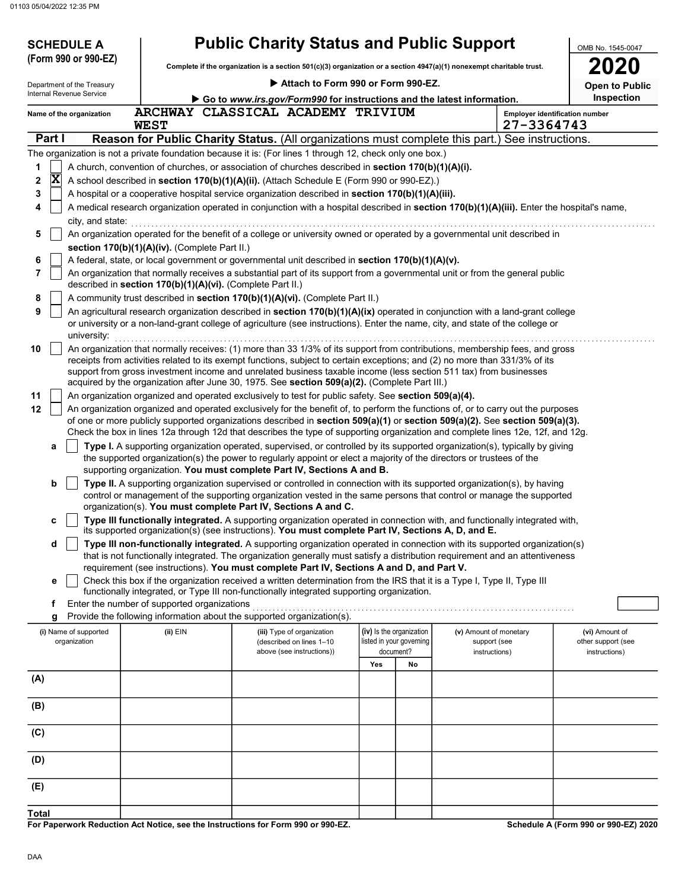| <b>SCHEDULE A</b>                     |                                                                                                                                                                                                                                                                                                                                                                                                                                                                                  | <b>Public Charity Status and Public Support</b>                                                                                                                                                                                                                                                                                                                                                                                                                                                                                                                                                                                                           |                                                                   |    |                                                         |            | OMB No. 1545-0047                                     |  |  |  |
|---------------------------------------|----------------------------------------------------------------------------------------------------------------------------------------------------------------------------------------------------------------------------------------------------------------------------------------------------------------------------------------------------------------------------------------------------------------------------------------------------------------------------------|-----------------------------------------------------------------------------------------------------------------------------------------------------------------------------------------------------------------------------------------------------------------------------------------------------------------------------------------------------------------------------------------------------------------------------------------------------------------------------------------------------------------------------------------------------------------------------------------------------------------------------------------------------------|-------------------------------------------------------------------|----|---------------------------------------------------------|------------|-------------------------------------------------------|--|--|--|
| (Form 990 or 990-EZ)                  |                                                                                                                                                                                                                                                                                                                                                                                                                                                                                  | Complete if the organization is a section 501(c)(3) organization or a section 4947(a)(1) nonexempt charitable trust.                                                                                                                                                                                                                                                                                                                                                                                                                                                                                                                                      |                                                                   |    |                                                         |            |                                                       |  |  |  |
| Department of the Treasury            |                                                                                                                                                                                                                                                                                                                                                                                                                                                                                  | Attach to Form 990 or Form 990-EZ.                                                                                                                                                                                                                                                                                                                                                                                                                                                                                                                                                                                                                        |                                                                   |    |                                                         |            |                                                       |  |  |  |
| Internal Revenue Service              |                                                                                                                                                                                                                                                                                                                                                                                                                                                                                  | Go to www.irs.gov/Form990 for instructions and the latest information.                                                                                                                                                                                                                                                                                                                                                                                                                                                                                                                                                                                    |                                                                   |    |                                                         |            | <b>Open to Public</b><br>Inspection                   |  |  |  |
| Name of the organization              |                                                                                                                                                                                                                                                                                                                                                                                                                                                                                  | ARCHWAY CLASSICAL ACADEMY TRIVIUM                                                                                                                                                                                                                                                                                                                                                                                                                                                                                                                                                                                                                         |                                                                   |    |                                                         |            | <b>Employer identification number</b>                 |  |  |  |
|                                       | <b>WEST</b>                                                                                                                                                                                                                                                                                                                                                                                                                                                                      |                                                                                                                                                                                                                                                                                                                                                                                                                                                                                                                                                                                                                                                           |                                                                   |    |                                                         | 27-3364743 |                                                       |  |  |  |
| Part I                                |                                                                                                                                                                                                                                                                                                                                                                                                                                                                                  | <b>Reason for Public Charity Status.</b> (All organizations must complete this part.) See instructions.                                                                                                                                                                                                                                                                                                                                                                                                                                                                                                                                                   |                                                                   |    |                                                         |            |                                                       |  |  |  |
|                                       |                                                                                                                                                                                                                                                                                                                                                                                                                                                                                  | The organization is not a private foundation because it is: (For lines 1 through 12, check only one box.)                                                                                                                                                                                                                                                                                                                                                                                                                                                                                                                                                 |                                                                   |    |                                                         |            |                                                       |  |  |  |
| 1                                     |                                                                                                                                                                                                                                                                                                                                                                                                                                                                                  | A church, convention of churches, or association of churches described in section 170(b)(1)(A)(i).                                                                                                                                                                                                                                                                                                                                                                                                                                                                                                                                                        |                                                                   |    |                                                         |            |                                                       |  |  |  |
| $\vert \mathbf{x} \vert$<br>2         |                                                                                                                                                                                                                                                                                                                                                                                                                                                                                  | A school described in section 170(b)(1)(A)(ii). (Attach Schedule E (Form 990 or 990-EZ).)                                                                                                                                                                                                                                                                                                                                                                                                                                                                                                                                                                 |                                                                   |    |                                                         |            |                                                       |  |  |  |
| 3                                     |                                                                                                                                                                                                                                                                                                                                                                                                                                                                                  | A hospital or a cooperative hospital service organization described in section 170(b)(1)(A)(iii).                                                                                                                                                                                                                                                                                                                                                                                                                                                                                                                                                         |                                                                   |    |                                                         |            |                                                       |  |  |  |
| 4<br>city, and state:                 |                                                                                                                                                                                                                                                                                                                                                                                                                                                                                  | A medical research organization operated in conjunction with a hospital described in section 170(b)(1)(A)(iii). Enter the hospital's name,                                                                                                                                                                                                                                                                                                                                                                                                                                                                                                                |                                                                   |    |                                                         |            |                                                       |  |  |  |
| 5                                     |                                                                                                                                                                                                                                                                                                                                                                                                                                                                                  | An organization operated for the benefit of a college or university owned or operated by a governmental unit described in                                                                                                                                                                                                                                                                                                                                                                                                                                                                                                                                 |                                                                   |    |                                                         |            |                                                       |  |  |  |
|                                       | section 170(b)(1)(A)(iv). (Complete Part II.)                                                                                                                                                                                                                                                                                                                                                                                                                                    |                                                                                                                                                                                                                                                                                                                                                                                                                                                                                                                                                                                                                                                           |                                                                   |    |                                                         |            |                                                       |  |  |  |
| 6                                     |                                                                                                                                                                                                                                                                                                                                                                                                                                                                                  | A federal, state, or local government or governmental unit described in section 170(b)(1)(A)(v).                                                                                                                                                                                                                                                                                                                                                                                                                                                                                                                                                          |                                                                   |    |                                                         |            |                                                       |  |  |  |
| 7                                     | described in section 170(b)(1)(A)(vi). (Complete Part II.)                                                                                                                                                                                                                                                                                                                                                                                                                       | An organization that normally receives a substantial part of its support from a governmental unit or from the general public                                                                                                                                                                                                                                                                                                                                                                                                                                                                                                                              |                                                                   |    |                                                         |            |                                                       |  |  |  |
| 8                                     |                                                                                                                                                                                                                                                                                                                                                                                                                                                                                  | A community trust described in section 170(b)(1)(A)(vi). (Complete Part II.)                                                                                                                                                                                                                                                                                                                                                                                                                                                                                                                                                                              |                                                                   |    |                                                         |            |                                                       |  |  |  |
| 9<br>university:                      |                                                                                                                                                                                                                                                                                                                                                                                                                                                                                  | An agricultural research organization described in section 170(b)(1)(A)(ix) operated in conjunction with a land-grant college<br>or university or a non-land-grant college of agriculture (see instructions). Enter the name, city, and state of the college or                                                                                                                                                                                                                                                                                                                                                                                           |                                                                   |    |                                                         |            |                                                       |  |  |  |
| 10                                    | An organization that normally receives: (1) more than 33 1/3% of its support from contributions, membership fees, and gross<br>receipts from activities related to its exempt functions, subject to certain exceptions; and (2) no more than 331/3% of its<br>support from gross investment income and unrelated business taxable income (less section 511 tax) from businesses<br>acquired by the organization after June 30, 1975. See section 509(a)(2). (Complete Part III.) |                                                                                                                                                                                                                                                                                                                                                                                                                                                                                                                                                                                                                                                           |                                                                   |    |                                                         |            |                                                       |  |  |  |
| 11                                    |                                                                                                                                                                                                                                                                                                                                                                                                                                                                                  | An organization organized and operated exclusively to test for public safety. See section 509(a)(4).                                                                                                                                                                                                                                                                                                                                                                                                                                                                                                                                                      |                                                                   |    |                                                         |            |                                                       |  |  |  |
| 12<br>a                               |                                                                                                                                                                                                                                                                                                                                                                                                                                                                                  | An organization organized and operated exclusively for the benefit of, to perform the functions of, or to carry out the purposes<br>of one or more publicly supported organizations described in section 509(a)(1) or section 509(a)(2). See section 509(a)(3).<br>Check the box in lines 12a through 12d that describes the type of supporting organization and complete lines 12e, 12f, and 12g.<br>Type I. A supporting organization operated, supervised, or controlled by its supported organization(s), typically by giving<br>the supported organization(s) the power to regularly appoint or elect a majority of the directors or trustees of the |                                                                   |    |                                                         |            |                                                       |  |  |  |
| b                                     |                                                                                                                                                                                                                                                                                                                                                                                                                                                                                  | supporting organization. You must complete Part IV, Sections A and B.<br>Type II. A supporting organization supervised or controlled in connection with its supported organization(s), by having                                                                                                                                                                                                                                                                                                                                                                                                                                                          |                                                                   |    |                                                         |            |                                                       |  |  |  |
|                                       |                                                                                                                                                                                                                                                                                                                                                                                                                                                                                  | control or management of the supporting organization vested in the same persons that control or manage the supported<br>organization(s). You must complete Part IV, Sections A and C.                                                                                                                                                                                                                                                                                                                                                                                                                                                                     |                                                                   |    |                                                         |            |                                                       |  |  |  |
| c                                     |                                                                                                                                                                                                                                                                                                                                                                                                                                                                                  | Type III functionally integrated. A supporting organization operated in connection with, and functionally integrated with,<br>its supported organization(s) (see instructions). You must complete Part IV, Sections A, D, and E.                                                                                                                                                                                                                                                                                                                                                                                                                          |                                                                   |    |                                                         |            |                                                       |  |  |  |
| d                                     |                                                                                                                                                                                                                                                                                                                                                                                                                                                                                  | Type III non-functionally integrated. A supporting organization operated in connection with its supported organization(s)<br>that is not functionally integrated. The organization generally must satisfy a distribution requirement and an attentiveness                                                                                                                                                                                                                                                                                                                                                                                                 |                                                                   |    |                                                         |            |                                                       |  |  |  |
|                                       |                                                                                                                                                                                                                                                                                                                                                                                                                                                                                  | requirement (see instructions). You must complete Part IV, Sections A and D, and Part V.                                                                                                                                                                                                                                                                                                                                                                                                                                                                                                                                                                  |                                                                   |    |                                                         |            |                                                       |  |  |  |
| е                                     |                                                                                                                                                                                                                                                                                                                                                                                                                                                                                  | Check this box if the organization received a written determination from the IRS that it is a Type I, Type II, Type III<br>functionally integrated, or Type III non-functionally integrated supporting organization.                                                                                                                                                                                                                                                                                                                                                                                                                                      |                                                                   |    |                                                         |            |                                                       |  |  |  |
| f                                     | Enter the number of supported organizations                                                                                                                                                                                                                                                                                                                                                                                                                                      |                                                                                                                                                                                                                                                                                                                                                                                                                                                                                                                                                                                                                                                           |                                                                   |    |                                                         |            |                                                       |  |  |  |
| g                                     |                                                                                                                                                                                                                                                                                                                                                                                                                                                                                  | Provide the following information about the supported organization(s).                                                                                                                                                                                                                                                                                                                                                                                                                                                                                                                                                                                    |                                                                   |    |                                                         |            |                                                       |  |  |  |
| (i) Name of supported<br>organization | (ii) EIN                                                                                                                                                                                                                                                                                                                                                                                                                                                                         | (iii) Type of organization<br>(described on lines 1-10<br>above (see instructions))                                                                                                                                                                                                                                                                                                                                                                                                                                                                                                                                                                       | (iv) Is the organization<br>listed in your governing<br>document? |    | (v) Amount of monetary<br>support (see<br>instructions) |            | (vi) Amount of<br>other support (see<br>instructions) |  |  |  |
|                                       |                                                                                                                                                                                                                                                                                                                                                                                                                                                                                  |                                                                                                                                                                                                                                                                                                                                                                                                                                                                                                                                                                                                                                                           | Yes                                                               | No |                                                         |            |                                                       |  |  |  |
| (A)                                   |                                                                                                                                                                                                                                                                                                                                                                                                                                                                                  |                                                                                                                                                                                                                                                                                                                                                                                                                                                                                                                                                                                                                                                           |                                                                   |    |                                                         |            |                                                       |  |  |  |
| (B)                                   |                                                                                                                                                                                                                                                                                                                                                                                                                                                                                  |                                                                                                                                                                                                                                                                                                                                                                                                                                                                                                                                                                                                                                                           |                                                                   |    |                                                         |            |                                                       |  |  |  |
| (C)                                   |                                                                                                                                                                                                                                                                                                                                                                                                                                                                                  |                                                                                                                                                                                                                                                                                                                                                                                                                                                                                                                                                                                                                                                           |                                                                   |    |                                                         |            |                                                       |  |  |  |
| (D)                                   |                                                                                                                                                                                                                                                                                                                                                                                                                                                                                  |                                                                                                                                                                                                                                                                                                                                                                                                                                                                                                                                                                                                                                                           |                                                                   |    |                                                         |            |                                                       |  |  |  |
| (E)                                   |                                                                                                                                                                                                                                                                                                                                                                                                                                                                                  |                                                                                                                                                                                                                                                                                                                                                                                                                                                                                                                                                                                                                                                           |                                                                   |    |                                                         |            |                                                       |  |  |  |
| <b>Total</b>                          |                                                                                                                                                                                                                                                                                                                                                                                                                                                                                  |                                                                                                                                                                                                                                                                                                                                                                                                                                                                                                                                                                                                                                                           |                                                                   |    |                                                         |            |                                                       |  |  |  |

For Paperwork Reduction Act Notice, see the Instructions for Form 990 or 990-EZ.

Schedule A (Form 990 or 990-EZ) 2020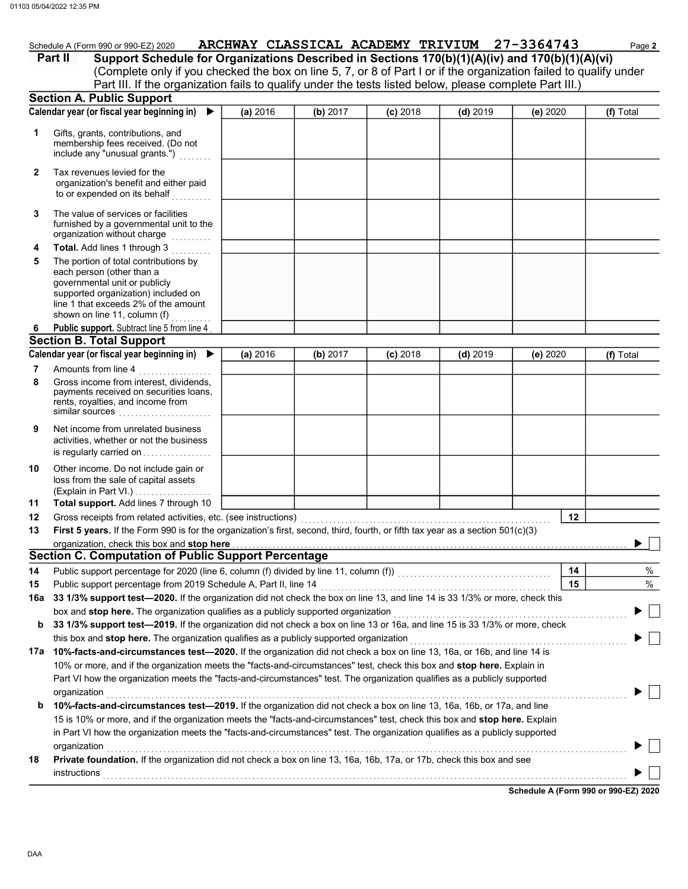| Schedule A (Form 990 or 990-EZ) 2020 | ARCHWAY CLASSICAL ACADEMY TRIVIUM 27-3364743 |  | Page 2 |
|--------------------------------------|----------------------------------------------|--|--------|
|                                      |                                              |  |        |

(Complete only if you checked the box on line 5, 7, or 8 of Part I or if the organization failed to qualify under Part II Support Schedule for Organizations Described in Sections 170(b)(1)(A)(iv) and 170(b)(1)(A)(vi) Part III. If the organization fails to qualify under the tests listed below, please complete Part III.)

|                | <b>Section A. Public Support</b>                                                                                                                                                                                                                                                                                                                                                    |          |          |            |            |          |                                      |
|----------------|-------------------------------------------------------------------------------------------------------------------------------------------------------------------------------------------------------------------------------------------------------------------------------------------------------------------------------------------------------------------------------------|----------|----------|------------|------------|----------|--------------------------------------|
|                | Calendar year (or fiscal year beginning in)<br>▶                                                                                                                                                                                                                                                                                                                                    | (a) 2016 | (b) 2017 | $(c)$ 2018 | $(d)$ 2019 | (e) 2020 | (f) Total                            |
| 1              | Gifts, grants, contributions, and<br>membership fees received. (Do not<br>include any "unusual grants.")                                                                                                                                                                                                                                                                            |          |          |            |            |          |                                      |
| $\overline{2}$ | Tax revenues levied for the<br>organization's benefit and either paid<br>to or expended on its behalf                                                                                                                                                                                                                                                                               |          |          |            |            |          |                                      |
| 3              | The value of services or facilities<br>furnished by a governmental unit to the<br>organization without charge                                                                                                                                                                                                                                                                       |          |          |            |            |          |                                      |
| 4<br>5         | Total. Add lines 1 through 3<br>The portion of total contributions by<br>each person (other than a<br>governmental unit or publicly<br>supported organization) included on<br>line 1 that exceeds 2% of the amount                                                                                                                                                                  |          |          |            |            |          |                                      |
| 6              | shown on line 11, column (f)<br>Public support. Subtract line 5 from line 4                                                                                                                                                                                                                                                                                                         |          |          |            |            |          |                                      |
|                | <b>Section B. Total Support</b>                                                                                                                                                                                                                                                                                                                                                     |          |          |            |            |          |                                      |
|                | Calendar year (or fiscal year beginning in)                                                                                                                                                                                                                                                                                                                                         | (a) 2016 | (b) 2017 | $(c)$ 2018 | $(d)$ 2019 | (e) 2020 | (f) Total                            |
| 7              | Amounts from line 4                                                                                                                                                                                                                                                                                                                                                                 |          |          |            |            |          |                                      |
| 8              | Gross income from interest, dividends,<br>payments received on securities loans,<br>rents, royalties, and income from<br>similar sources                                                                                                                                                                                                                                            |          |          |            |            |          |                                      |
| 9              | Net income from unrelated business<br>activities, whether or not the business<br>is regularly carried on                                                                                                                                                                                                                                                                            |          |          |            |            |          |                                      |
| 10             | Other income. Do not include gain or<br>loss from the sale of capital assets<br>(Explain in Part VI.)                                                                                                                                                                                                                                                                               |          |          |            |            |          |                                      |
| 11             | Total support. Add lines 7 through 10                                                                                                                                                                                                                                                                                                                                               |          |          |            |            |          |                                      |
| 12             |                                                                                                                                                                                                                                                                                                                                                                                     |          |          |            |            | 12       |                                      |
| 13             | First 5 years. If the Form 990 is for the organization's first, second, third, fourth, or fifth tax year as a section 501(c)(3)                                                                                                                                                                                                                                                     |          |          |            |            |          |                                      |
|                | organization, check this box and stop here<br><b>Section C. Computation of Public Support Percentage</b>                                                                                                                                                                                                                                                                            |          |          |            |            |          |                                      |
|                |                                                                                                                                                                                                                                                                                                                                                                                     |          |          |            |            |          |                                      |
| 14             |                                                                                                                                                                                                                                                                                                                                                                                     |          |          |            |            | 14<br>15 | %<br>%                               |
| 15             | 16a 33 1/3% support test-2020. If the organization did not check the box on line 13, and line 14 is 33 1/3% or more, check this                                                                                                                                                                                                                                                     |          |          |            |            |          |                                      |
|                | box and stop here. The organization qualifies as a publicly supported organization                                                                                                                                                                                                                                                                                                  |          |          |            |            |          | $\blacktriangleright \Box$           |
| b              | 33 1/3% support test-2019. If the organization did not check a box on line 13 or 16a, and line 15 is 33 1/3% or more, check                                                                                                                                                                                                                                                         |          |          |            |            |          |                                      |
|                | this box and stop here. The organization qualifies as a publicly supported organization [1111] [111] the subsequent condition and stop here. The organization and stop here. The organization and stop here is a subsequent fi                                                                                                                                                      |          |          |            |            |          |                                      |
|                | 17a 10%-facts-and-circumstances test-2020. If the organization did not check a box on line 13, 16a, or 16b, and line 14 is                                                                                                                                                                                                                                                          |          |          |            |            |          |                                      |
|                | 10% or more, and if the organization meets the "facts-and-circumstances" test, check this box and stop here. Explain in<br>Part VI how the organization meets the "facts-and-circumstances" test. The organization qualifies as a publicly supported<br>organization                                                                                                                |          |          |            |            |          |                                      |
| b              | 10%-facts-and-circumstances test-2019. If the organization did not check a box on line 13, 16a, 16b, or 17a, and line<br>15 is 10% or more, and if the organization meets the "facts-and-circumstances" test, check this box and stop here. Explain<br>in Part VI how the organization meets the "facts-and-circumstances" test. The organization qualifies as a publicly supported |          |          |            |            |          |                                      |
| 18             | Private foundation. If the organization did not check a box on line 13, 16a, 16b, 17a, or 17b, check this box and see<br><b>instructions</b>                                                                                                                                                                                                                                        |          |          |            |            |          |                                      |
|                |                                                                                                                                                                                                                                                                                                                                                                                     |          |          |            |            |          | Schedule A (Form 990 or 990-EZ) 2020 |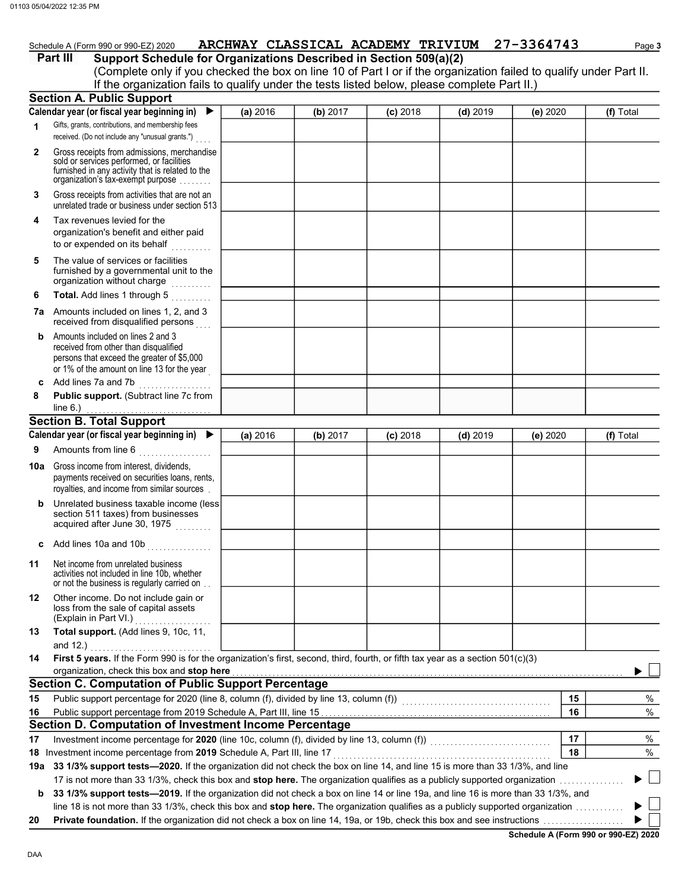# Schedule A (Form 990 or 990-EZ) 2020 ARCHWAY CLASSICAL ACADEMY TRIVIUM 27-3364743

### **Part III** Support Schedule for Organizations Described in Section 509(a)(2)

(Complete only if you checked the box on line 10 of Part I or if the organization failed to qualify under Part II. If the organization fails to qualify under the tests listed below, please complete Part II.)

|     | <b>Section A. Public Support</b>                                                                                                                                                  |          |          |            |            |          |    |           |
|-----|-----------------------------------------------------------------------------------------------------------------------------------------------------------------------------------|----------|----------|------------|------------|----------|----|-----------|
|     | Calendar year (or fiscal year beginning in)<br>▶                                                                                                                                  | (a) 2016 | (b) 2017 | $(c)$ 2018 | $(d)$ 2019 | (e) 2020 |    | (f) Total |
| 1   | Gifts, grants, contributions, and membership fees<br>received. (Do not include any "unusual grants.")                                                                             |          |          |            |            |          |    |           |
| 2   | Gross receipts from admissions, merchandise<br>sold or services performed, or facilities<br>furnished in any activity that is related to the<br>organization's tax-exempt purpose |          |          |            |            |          |    |           |
| 3   | Gross receipts from activities that are not an<br>unrelated trade or business under section 513                                                                                   |          |          |            |            |          |    |           |
| 4   | Tax revenues levied for the<br>organization's benefit and either paid<br>to or expended on its behalf                                                                             |          |          |            |            |          |    |           |
| 5   | The value of services or facilities<br>furnished by a governmental unit to the<br>organization without charge<br>.                                                                |          |          |            |            |          |    |           |
| 6   | Total. Add lines 1 through 5<br>a sa sala sa s                                                                                                                                    |          |          |            |            |          |    |           |
|     | <b>7a</b> Amounts included on lines 1, 2, and 3<br>received from disqualified persons                                                                                             |          |          |            |            |          |    |           |
| b   | Amounts included on lines 2 and 3<br>received from other than disqualified<br>persons that exceed the greater of \$5,000<br>or 1% of the amount on line 13 for the year           |          |          |            |            |          |    |           |
| c   | Add lines 7a and 7b<br>.                                                                                                                                                          |          |          |            |            |          |    |           |
| 8   | Public support. (Subtract line 7c from                                                                                                                                            |          |          |            |            |          |    |           |
|     | line $6.$ )                                                                                                                                                                       |          |          |            |            |          |    |           |
|     | <b>Section B. Total Support</b>                                                                                                                                                   |          |          |            |            |          |    |           |
|     | Calendar year (or fiscal year beginning in) $\blacktriangleright$                                                                                                                 | (a) 2016 | (b) 2017 | $(c)$ 2018 | $(d)$ 2019 | (e) 2020 |    | (f) Total |
| 9   | Amounts from line 6<br><u> 1999 - Johann Stoff, Amerikaansk kanton (</u>                                                                                                          |          |          |            |            |          |    |           |
| 10a | Gross income from interest, dividends,<br>payments received on securities loans, rents,<br>royalties, and income from similar sources                                             |          |          |            |            |          |    |           |
| b   | Unrelated business taxable income (less)<br>section 511 taxes) from businesses<br>acquired after June 30, 1975                                                                    |          |          |            |            |          |    |           |
| c   | Add lines 10a and 10b                                                                                                                                                             |          |          |            |            |          |    |           |
| 11  | Net income from unrelated business<br>activities not included in line 10b, whether<br>or not the business is regularly carried on                                                 |          |          |            |            |          |    |           |
| 12  | Other income. Do not include gain or<br>loss from the sale of capital assets<br>(Explain in Part VI.)                                                                             |          |          |            |            |          |    |           |
| 13  | Total support. (Add lines 9, 10c, 11,                                                                                                                                             |          |          |            |            |          |    |           |
|     | and 12.)                                                                                                                                                                          |          |          |            |            |          |    |           |
| 14  | First 5 years. If the Form 990 is for the organization's first, second, third, fourth, or fifth tax year as a section 501(c)(3)                                                   |          |          |            |            |          |    |           |
|     | organization, check this box and stop here                                                                                                                                        |          |          |            |            |          |    |           |
|     | <b>Section C. Computation of Public Support Percentage</b>                                                                                                                        |          |          |            |            |          |    |           |
| 15  | Public support percentage for 2020 (line 8, column (f), divided by line 13, column (f)) [[[[[[[[[[[[[[[[[[[[[                                                                     |          |          |            |            |          | 15 | %         |
| 16  |                                                                                                                                                                                   |          |          |            |            |          | 16 | $\%$      |
|     | Section D. Computation of Investment Income Percentage                                                                                                                            |          |          |            |            |          |    |           |
| 17  |                                                                                                                                                                                   |          |          |            |            |          | 17 | %         |
|     | 18 Investment income percentage from 2019 Schedule A, Part III, line 17                                                                                                           |          |          |            |            |          | 18 | %         |
| 19а | 33 1/3% support tests-2020. If the organization did not check the box on line 14, and line 15 is more than 33 1/3%, and line                                                      |          |          |            |            |          |    |           |
|     | 17 is not more than 33 1/3%, check this box and stop here. The organization qualifies as a publicly supported organization                                                        |          |          |            |            |          |    |           |
| b   | 33 1/3% support tests-2019. If the organization did not check a box on line 14 or line 19a, and line 16 is more than 33 1/3%, and                                                 |          |          |            |            |          |    |           |
|     | line 18 is not more than 33 1/3%, check this box and stop here. The organization qualifies as a publicly supported organization                                                   |          |          |            |            |          |    |           |
| 20  |                                                                                                                                                                                   |          |          |            |            |          |    |           |

Schedule A (Form 990 or 990-EZ) 2020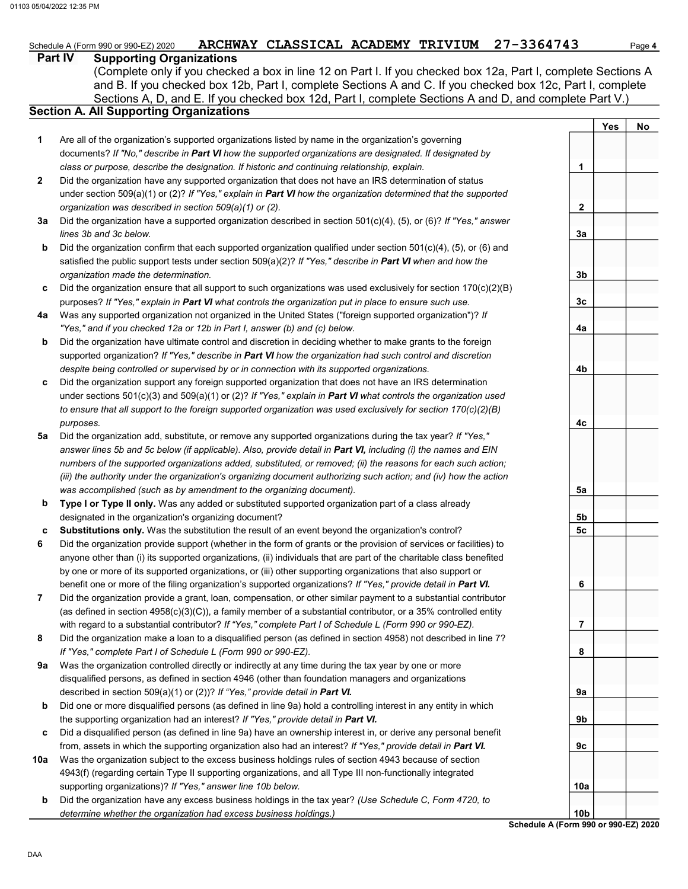# Schedule A (Form 990 or 990-EZ) 2020 ARCHWAY CLASSICAL ACADEMY TRIVIUM 27-3364743 Page 4

### Part IV Supporting Organizations

Sections A, D, and E. If you checked box 12d, Part I, complete Sections A and D, and complete Part V.) (Complete only if you checked a box in line 12 on Part I. If you checked box 12a, Part I, complete Sections A and B. If you checked box 12b, Part I, complete Sections A and C. If you checked box 12c, Part I, complete

### Section A. All Supporting Organizations

| Are all of the organization's supported organizations listed by name in the organization's governing            |
|-----------------------------------------------------------------------------------------------------------------|
| documents? If "No." describe in <b>Part VI</b> how the supported organizations are designated. If designated by |
| class or purpose, describe the designation. If historic and continuing relationship, explain.                   |

- Did the organization have any supported organization that does not have an IRS determination of status under section 509(a)(1) or (2)? If "Yes," explain in Part VI how the organization determined that the supported organization was described in section 509(a)(1) or (2). 2
- **3a** Did the organization have a supported organization described in section 501(c)(4), (5), or (6)? If "Yes," answer lines 3b and 3c below.
- b Did the organization confirm that each supported organization qualified under section 501(c)(4), (5), or (6) and satisfied the public support tests under section  $509(a)(2)$ ? If "Yes," describe in Part VI when and how the organization made the determination.
- c Did the organization ensure that all support to such organizations was used exclusively for section 170(c)(2)(B) purposes? If "Yes," explain in Part VI what controls the organization put in place to ensure such use.
- 4a Was any supported organization not organized in the United States ("foreign supported organization")? If "Yes," and if you checked 12a or 12b in Part I, answer (b) and (c) below.
- b Did the organization have ultimate control and discretion in deciding whether to make grants to the foreign supported organization? If "Yes," describe in Part VI how the organization had such control and discretion despite being controlled or supervised by or in connection with its supported organizations.
- c Did the organization support any foreign supported organization that does not have an IRS determination under sections  $501(c)(3)$  and  $509(a)(1)$  or (2)? If "Yes," explain in Part VI what controls the organization used to ensure that all support to the foreign supported organization was used exclusively for section 170(c)(2)(B) purposes.
- 5a Did the organization add, substitute, or remove any supported organizations during the tax year? If "Yes," answer lines 5b and 5c below (if applicable). Also, provide detail in Part VI, including (i) the names and EIN numbers of the supported organizations added, substituted, or removed; (ii) the reasons for each such action; (iii) the authority under the organization's organizing document authorizing such action; and (iv) how the action was accomplished (such as by amendment to the organizing document).
- b Type I or Type II only. Was any added or substituted supported organization part of a class already designated in the organization's organizing document?
- c Substitutions only. Was the substitution the result of an event beyond the organization's control?
- 6 Did the organization provide support (whether in the form of grants or the provision of services or facilities) to anyone other than (i) its supported organizations, (ii) individuals that are part of the charitable class benefited by one or more of its supported organizations, or (iii) other supporting organizations that also support or benefit one or more of the filing organization's supported organizations? If "Yes," provide detail in Part VI.
- 7 Did the organization provide a grant, loan, compensation, or other similar payment to a substantial contributor (as defined in section 4958(c)(3)(C)), a family member of a substantial contributor, or a 35% controlled entity with regard to a substantial contributor? If "Yes," complete Part I of Schedule L (Form 990 or 990-EZ).
- 8 Did the organization make a loan to a disqualified person (as defined in section 4958) not described in line 7? If "Yes," complete Part I of Schedule L (Form 990 or 990-EZ).
- 9a Was the organization controlled directly or indirectly at any time during the tax year by one or more disqualified persons, as defined in section 4946 (other than foundation managers and organizations described in section 509(a)(1) or (2))? If "Yes," provide detail in Part VI.
- b Did one or more disqualified persons (as defined in line 9a) hold a controlling interest in any entity in which the supporting organization had an interest? If "Yes," provide detail in Part VI.
- c Did a disqualified person (as defined in line 9a) have an ownership interest in, or derive any personal benefit from, assets in which the supporting organization also had an interest? If "Yes," provide detail in Part VI.
- 10a Was the organization subject to the excess business holdings rules of section 4943 because of section 4943(f) (regarding certain Type II supporting organizations, and all Type III non-functionally integrated supporting organizations)? If "Yes," answer line 10b below.
- b Did the organization have any excess business holdings in the tax year? (Use Schedule C, Form 4720, to determine whether the organization had excess business holdings.)

Yes | No 1 2 3a 3b 3c 4a 4b 4c 5a 5b 5c 6 7 8 9a 9b 9c 10a 10b

Schedule A (Form 990 or 990-EZ) 2020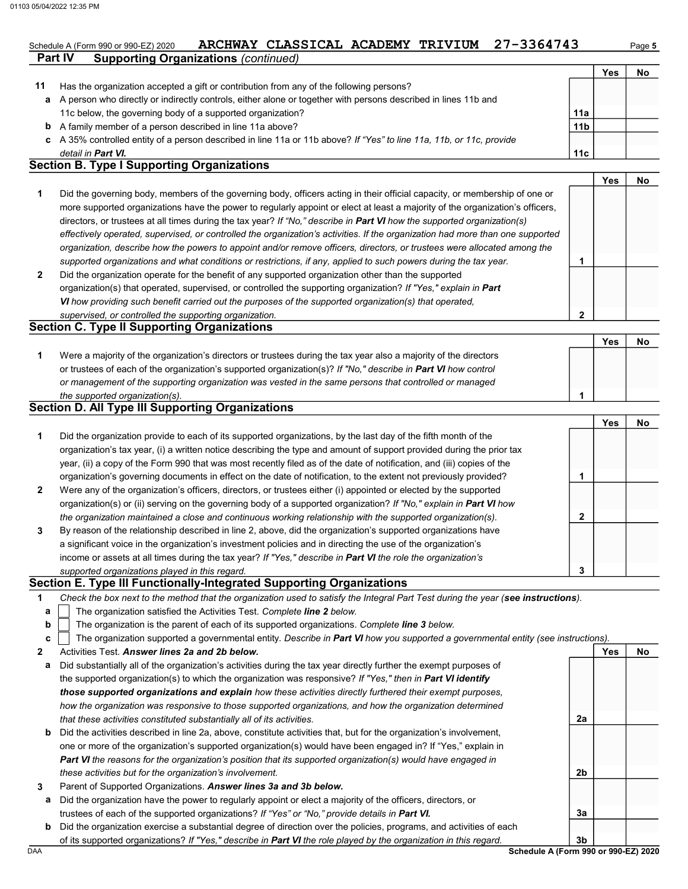# Schedule A (Form 990 or 990-EZ) 2020 ARCHWAY CLASSICAL ACADEMY TRIVIUM 27-3364743 Page 5

|--|

 $\overline{V_{xx}$  No

|    |                                                                                                                      |                 | Yes | No |
|----|----------------------------------------------------------------------------------------------------------------------|-----------------|-----|----|
| 11 | Has the organization accepted a gift or contribution from any of the following persons?                              |                 |     |    |
| a  | A person who directly or indirectly controls, either alone or together with persons described in lines 11b and       |                 |     |    |
|    | 11c below, the governing body of a supported organization?                                                           | 11a             |     |    |
|    | <b>b</b> A family member of a person described in line 11a above?                                                    | 11 <sub>b</sub> |     |    |
|    | c A 35% controlled entity of a person described in line 11a or 11b above? If "Yes" to line 11a, 11b, or 11c, provide |                 |     |    |
|    | detail in <b>Part VI.</b>                                                                                            | 11c             |     |    |

#### Section B. Type I Supporting Organizations

**Part IV** Supporting Organizations (continued)

|                |                                                                                                                                |   | i es | <b>IVO</b> |
|----------------|--------------------------------------------------------------------------------------------------------------------------------|---|------|------------|
| 1              | Did the governing body, members of the governing body, officers acting in their official capacity, or membership of one or     |   |      |            |
|                | more supported organizations have the power to regularly appoint or elect at least a majority of the organization's officers,  |   |      |            |
|                | directors, or trustees at all times during the tax year? If "No," describe in <b>Part VI</b> how the supported organization(s) |   |      |            |
|                | effectively operated, supervised, or controlled the organization's activities. If the organization had more than one supported |   |      |            |
|                | organization, describe how the powers to appoint and/or remove officers, directors, or trustees were allocated among the       |   |      |            |
|                | supported organizations and what conditions or restrictions, if any, applied to such powers during the tax year.               |   |      |            |
| $\overline{2}$ | Did the organization operate for the benefit of any supported organization other than the supported                            |   |      |            |
|                | organization(s) that operated, supervised, or controlled the supporting organization? If "Yes," explain in Part                |   |      |            |
|                | VI how providing such benefit carried out the purposes of the supported organization(s) that operated,                         |   |      |            |
|                | supervised, or controlled the supporting organization.                                                                         | າ |      |            |

### Section C. Type II Supporting Organizations

|                                                                                                                      |  | No |
|----------------------------------------------------------------------------------------------------------------------|--|----|
| Were a majority of the organization's directors or trustees during the tax year also a majority of the directors     |  |    |
| or trustees of each of the organization's supported organization(s)? If "No," describe in <b>Part VI</b> how control |  |    |
| or management of the supporting organization was vested in the same persons that controlled or managed               |  |    |
| the supported organization(s).                                                                                       |  |    |

### Section D. All Type III Supporting Organizations

|                |                                                                                                                        | Yes |  |
|----------------|------------------------------------------------------------------------------------------------------------------------|-----|--|
| 1              | Did the organization provide to each of its supported organizations, by the last day of the fifth month of the         |     |  |
|                | organization's tax year, (i) a written notice describing the type and amount of support provided during the prior tax  |     |  |
|                | year, (ii) a copy of the Form 990 that was most recently filed as of the date of notification, and (iii) copies of the |     |  |
|                | organization's governing documents in effect on the date of notification, to the extent not previously provided?       |     |  |
| $\overline{2}$ | Were any of the organization's officers, directors, or trustees either (i) appointed or elected by the supported       |     |  |
|                | organization(s) or (ii) serving on the governing body of a supported organization? If "No," explain in Part VI how     |     |  |
|                | the organization maintained a close and continuous working relationship with the supported organization(s).            |     |  |
| 3              | By reason of the relationship described in line 2, above, did the organization's supported organizations have          |     |  |
|                | a significant voice in the organization's investment policies and in directing the use of the organization's           |     |  |
|                | income or assets at all times during the tax year? If "Yes," describe in Part VI the role the organization's           |     |  |
|                | supported organizations played in this regard.                                                                         |     |  |

#### Section E. Type III Functionally-Integrated Supporting Organizations

| Check the box next to the method that the organization used to satisfy the Integral Part Test during the year (see instructions). |  |
|-----------------------------------------------------------------------------------------------------------------------------------|--|
|-----------------------------------------------------------------------------------------------------------------------------------|--|

- The organization satisfied the Activities Test. Complete line 2 below. a
- The organization is the parent of each of its supported organizations. Complete line 3 below. b

|  |  | ∠   The organization supported a governmental entity. Describe in Part VI how you supported a governmental entity (see instructions) |  |  |  |  |  |
|--|--|--------------------------------------------------------------------------------------------------------------------------------------|--|--|--|--|--|
|--|--|--------------------------------------------------------------------------------------------------------------------------------------|--|--|--|--|--|

- 2 Activities Test. Answer lines 2a and 2b below.
- a Did substantially all of the organization's activities during the tax year directly further the exempt purposes of b Did the activities described in line 2a, above, constitute activities that, but for the organization's involvement, the supported organization(s) to which the organization was responsive? If "Yes," then in Part VI identify those supported organizations and explain how these activities directly furthered their exempt purposes, how the organization was responsive to those supported organizations, and how the organization determined that these activities constituted substantially all of its activities.
- one or more of the organization's supported organization(s) would have been engaged in? If "Yes," explain in Part VI the reasons for the organization's position that its supported organization(s) would have engaged in these activities but for the organization's involvement.
- 3 Parent of Supported Organizations. Answer lines 3a and 3b below.
	- a Did the organization have the power to regularly appoint or elect a majority of the officers, directors, or trustees of each of the supported organizations? If "Yes" or "No," provide details in Part VI.
	- b Did the organization exercise a substantial degree of direction over the policies, programs, and activities of each of its supported organizations? If "Yes," describe in Part VI the role played by the organization in this regard.

DAA Schedule A (Form 990 or 990-EZ) 2020 3b

2a

2b

3a

Yes No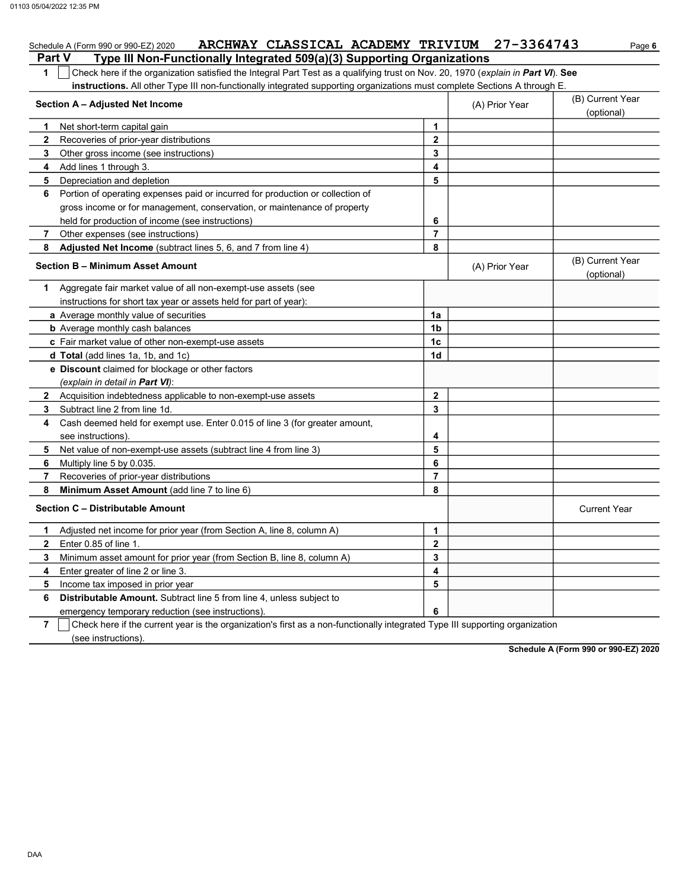| Type III Non-Functionally Integrated 509(a)(3) Supporting Organizations<br><b>Part V</b>                                                         |                |                |                                |
|--------------------------------------------------------------------------------------------------------------------------------------------------|----------------|----------------|--------------------------------|
| Check here if the organization satisfied the Integral Part Test as a qualifying trust on Nov. 20, 1970 (explain in Part VI). See<br>$\mathbf{1}$ |                |                |                                |
| instructions. All other Type III non-functionally integrated supporting organizations must complete Sections A through E.                        |                |                |                                |
| Section A - Adjusted Net Income                                                                                                                  |                | (A) Prior Year | (B) Current Year<br>(optional) |
| Net short-term capital gain<br>1.                                                                                                                | 1              |                |                                |
| Recoveries of prior-year distributions<br>$\mathbf{2}$                                                                                           | $\mathbf{2}$   |                |                                |
| Other gross income (see instructions)<br>3                                                                                                       | 3              |                |                                |
| Add lines 1 through 3.<br>4                                                                                                                      | 4              |                |                                |
| 5<br>Depreciation and depletion                                                                                                                  | 5              |                |                                |
| Portion of operating expenses paid or incurred for production or collection of<br>6                                                              |                |                |                                |
| gross income or for management, conservation, or maintenance of property                                                                         |                |                |                                |
| held for production of income (see instructions)                                                                                                 | 6              |                |                                |
| Other expenses (see instructions)<br>7                                                                                                           | 7              |                |                                |
| 8<br>Adjusted Net Income (subtract lines 5, 6, and 7 from line 4)                                                                                | 8              |                |                                |
| <b>Section B - Minimum Asset Amount</b>                                                                                                          |                | (A) Prior Year | (B) Current Year<br>(optional) |
| Aggregate fair market value of all non-exempt-use assets (see<br>1                                                                               |                |                |                                |
| instructions for short tax year or assets held for part of year):                                                                                |                |                |                                |
| a Average monthly value of securities                                                                                                            | 1a             |                |                                |
| <b>b</b> Average monthly cash balances                                                                                                           | 1b             |                |                                |
| c Fair market value of other non-exempt-use assets                                                                                               | 1c             |                |                                |
| <b>d Total</b> (add lines 1a, 1b, and 1c)                                                                                                        | 1d             |                |                                |
| e Discount claimed for blockage or other factors                                                                                                 |                |                |                                |
| (explain in detail in Part VI):                                                                                                                  |                |                |                                |
| Acquisition indebtedness applicable to non-exempt-use assets<br>$\mathbf{2}$                                                                     | 2              |                |                                |
| Subtract line 2 from line 1d.<br>3                                                                                                               | 3              |                |                                |
| Cash deemed held for exempt use. Enter 0.015 of line 3 (for greater amount,<br>4                                                                 |                |                |                                |
| see instructions).                                                                                                                               | 4              |                |                                |
| Net value of non-exempt-use assets (subtract line 4 from line 3)<br>5                                                                            | 5              |                |                                |
| 6<br>Multiply line 5 by 0.035.                                                                                                                   | 6              |                |                                |
| Recoveries of prior-year distributions<br>7                                                                                                      | $\overline{7}$ |                |                                |
| 8<br>Minimum Asset Amount (add line 7 to line 6)                                                                                                 | 8              |                |                                |
| Section C - Distributable Amount                                                                                                                 |                |                | <b>Current Year</b>            |
| Adjusted net income for prior year (from Section A, line 8, column A)<br>1.                                                                      | 1              |                |                                |

3 2

5 4

6

**6** Distributable Amount. Subtract line 5 from line 4, unless subject to 5 Income tax imposed in prior year 4 Enter greater of line 2 or line 3. 3 2 Enter 0.85 of line 1. Minimum asset amount for prior year (from Section B, line 8, column A) emergency temporary reduction (see instructions).

7 Check here if the current year is the organization's first as a non-functionally integrated Type III supporting organization (see instructions).

Schedule A (Form 990 or 990-EZ) 2020

DAA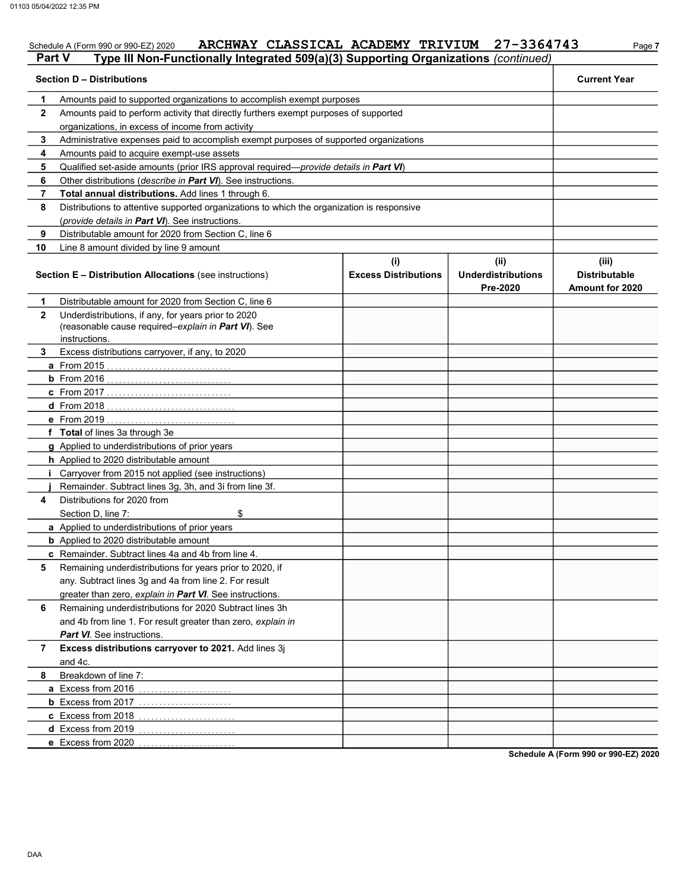# Schedule A (Form 990 or 990-EZ) 2020 ARCHWAY CLASSICAL ACADEMY TRIVIUM 27-3364743 Page 7

|              | <b>Part V</b><br>Type III Non-Functionally Integrated 509(a)(3) Supporting Organizations (continued)<br><b>Section D - Distributions</b> |                             |                                       | <b>Current Year</b>                            |  |  |  |
|--------------|------------------------------------------------------------------------------------------------------------------------------------------|-----------------------------|---------------------------------------|------------------------------------------------|--|--|--|
|              |                                                                                                                                          |                             |                                       |                                                |  |  |  |
| 1            | Amounts paid to supported organizations to accomplish exempt purposes                                                                    |                             |                                       |                                                |  |  |  |
| 2            | Amounts paid to perform activity that directly furthers exempt purposes of supported                                                     |                             |                                       |                                                |  |  |  |
|              | organizations, in excess of income from activity                                                                                         |                             |                                       |                                                |  |  |  |
| 3            | Administrative expenses paid to accomplish exempt purposes of supported organizations                                                    |                             |                                       |                                                |  |  |  |
| 4            | Amounts paid to acquire exempt-use assets                                                                                                |                             |                                       |                                                |  |  |  |
| 5            | Qualified set-aside amounts (prior IRS approval required—provide details in Part VI)                                                     |                             |                                       |                                                |  |  |  |
| 6<br>7       | Other distributions (describe in Part VI). See instructions.<br>Total annual distributions. Add lines 1 through 6.                       |                             |                                       |                                                |  |  |  |
| 8            | Distributions to attentive supported organizations to which the organization is responsive                                               |                             |                                       |                                                |  |  |  |
|              | (provide details in Part VI). See instructions.                                                                                          |                             |                                       |                                                |  |  |  |
| 9            | Distributable amount for 2020 from Section C, line 6                                                                                     |                             |                                       |                                                |  |  |  |
| 10           | Line 8 amount divided by line 9 amount                                                                                                   |                             |                                       |                                                |  |  |  |
|              |                                                                                                                                          | (i)                         | (ii)                                  | (iii)                                          |  |  |  |
|              | <b>Section E - Distribution Allocations (see instructions)</b>                                                                           | <b>Excess Distributions</b> | <b>Underdistributions</b><br>Pre-2020 | <b>Distributable</b><br><b>Amount for 2020</b> |  |  |  |
| 1            | Distributable amount for 2020 from Section C, line 6                                                                                     |                             |                                       |                                                |  |  |  |
| $\mathbf{2}$ | Underdistributions, if any, for years prior to 2020                                                                                      |                             |                                       |                                                |  |  |  |
|              | (reasonable cause required-explain in Part VI). See                                                                                      |                             |                                       |                                                |  |  |  |
|              | instructions.                                                                                                                            |                             |                                       |                                                |  |  |  |
| 3            | Excess distributions carryover, if any, to 2020                                                                                          |                             |                                       |                                                |  |  |  |
|              | <b>a</b> From 2015                                                                                                                       |                             |                                       |                                                |  |  |  |
|              | <b>b</b> From 2016                                                                                                                       |                             |                                       |                                                |  |  |  |
|              |                                                                                                                                          |                             |                                       |                                                |  |  |  |
|              | $d$ From 2018                                                                                                                            |                             |                                       |                                                |  |  |  |
|              | <b>e</b> From 2019                                                                                                                       |                             |                                       |                                                |  |  |  |
|              | f Total of lines 3a through 3e                                                                                                           |                             |                                       |                                                |  |  |  |
|              | g Applied to underdistributions of prior years                                                                                           |                             |                                       |                                                |  |  |  |
|              | <b>h</b> Applied to 2020 distributable amount                                                                                            |                             |                                       |                                                |  |  |  |
|              | <i>i</i> Carryover from 2015 not applied (see instructions)<br>Remainder. Subtract lines 3g, 3h, and 3i from line 3f.                    |                             |                                       |                                                |  |  |  |
| 4            | Distributions for 2020 from                                                                                                              |                             |                                       |                                                |  |  |  |
|              | Section D, line 7:<br>\$                                                                                                                 |                             |                                       |                                                |  |  |  |
|              | a Applied to underdistributions of prior years                                                                                           |                             |                                       |                                                |  |  |  |
|              | <b>b</b> Applied to 2020 distributable amount                                                                                            |                             |                                       |                                                |  |  |  |
|              | c Remainder. Subtract lines 4a and 4b from line 4.                                                                                       |                             |                                       |                                                |  |  |  |
| 5            | Remaining underdistributions for years prior to 2020, if                                                                                 |                             |                                       |                                                |  |  |  |
|              | any. Subtract lines 3g and 4a from line 2. For result                                                                                    |                             |                                       |                                                |  |  |  |
|              | greater than zero, explain in Part VI. See instructions.                                                                                 |                             |                                       |                                                |  |  |  |
| 6            | Remaining underdistributions for 2020 Subtract lines 3h                                                                                  |                             |                                       |                                                |  |  |  |
|              | and 4b from line 1. For result greater than zero, explain in                                                                             |                             |                                       |                                                |  |  |  |
|              | Part VI. See instructions.                                                                                                               |                             |                                       |                                                |  |  |  |
| 7            | Excess distributions carryover to 2021. Add lines 3j                                                                                     |                             |                                       |                                                |  |  |  |
|              | and 4c.                                                                                                                                  |                             |                                       |                                                |  |  |  |
| 8            | Breakdown of line 7:                                                                                                                     |                             |                                       |                                                |  |  |  |
|              | a Excess from 2016                                                                                                                       |                             |                                       |                                                |  |  |  |
|              |                                                                                                                                          |                             |                                       |                                                |  |  |  |
|              | c Excess from 2018                                                                                                                       |                             |                                       |                                                |  |  |  |
|              | d Excess from 2019                                                                                                                       |                             |                                       |                                                |  |  |  |
|              | e Excess from 2020                                                                                                                       |                             |                                       |                                                |  |  |  |

Schedule A (Form 990 or 990-EZ) 2020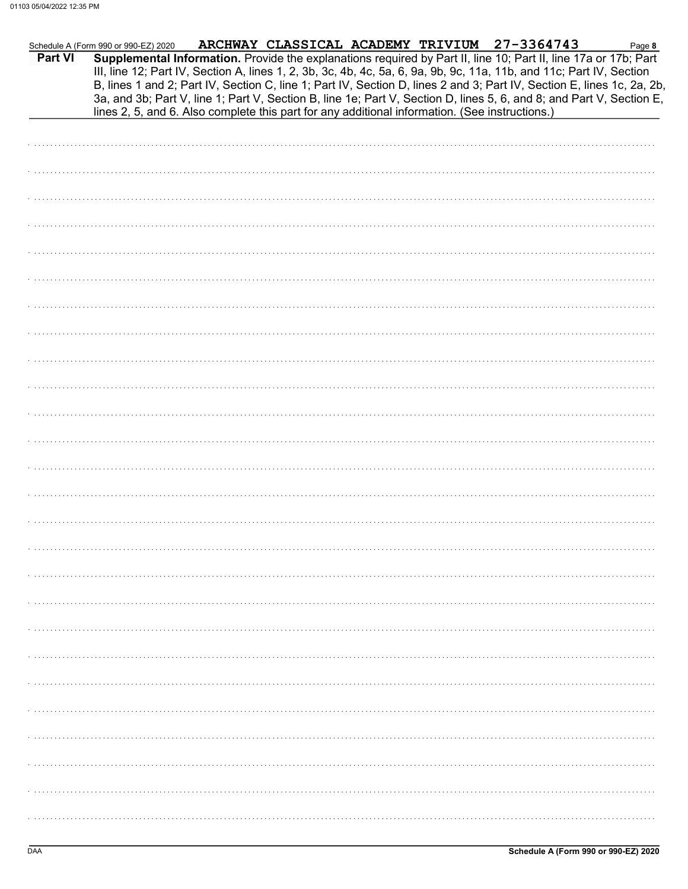|         | Schedule A (Form 990 or 990-EZ) 2020                                                                                                                                                                                                                                                                                                                                                                                                                                                                                                                                                        |  |  | ARCHWAY CLASSICAL ACADEMY TRIVIUM 27-3364743 | Page 8 |
|---------|---------------------------------------------------------------------------------------------------------------------------------------------------------------------------------------------------------------------------------------------------------------------------------------------------------------------------------------------------------------------------------------------------------------------------------------------------------------------------------------------------------------------------------------------------------------------------------------------|--|--|----------------------------------------------|--------|
| Part VI | Supplemental Information. Provide the explanations required by Part II, line 10; Part II, line 17a or 17b; Part<br>III, line 12; Part IV, Section A, lines 1, 2, 3b, 3c, 4b, 4c, 5a, 6, 9a, 9b, 9c, 11a, 11b, and 11c; Part IV, Section<br>B, lines 1 and 2; Part IV, Section C, line 1; Part IV, Section D, lines 2 and 3; Part IV, Section E, lines 1c, 2a, 2b,<br>3a, and 3b; Part V, line 1; Part V, Section B, line 1e; Part V, Section D, lines 5, 6, and 8; and Part V, Section E,<br>lines 2, 5, and 6. Also complete this part for any additional information. (See instructions.) |  |  |                                              |        |
|         |                                                                                                                                                                                                                                                                                                                                                                                                                                                                                                                                                                                             |  |  |                                              |        |
|         |                                                                                                                                                                                                                                                                                                                                                                                                                                                                                                                                                                                             |  |  |                                              |        |
|         |                                                                                                                                                                                                                                                                                                                                                                                                                                                                                                                                                                                             |  |  |                                              |        |
|         |                                                                                                                                                                                                                                                                                                                                                                                                                                                                                                                                                                                             |  |  |                                              |        |
|         |                                                                                                                                                                                                                                                                                                                                                                                                                                                                                                                                                                                             |  |  |                                              |        |
|         |                                                                                                                                                                                                                                                                                                                                                                                                                                                                                                                                                                                             |  |  |                                              |        |
|         |                                                                                                                                                                                                                                                                                                                                                                                                                                                                                                                                                                                             |  |  |                                              |        |
|         |                                                                                                                                                                                                                                                                                                                                                                                                                                                                                                                                                                                             |  |  |                                              |        |
|         |                                                                                                                                                                                                                                                                                                                                                                                                                                                                                                                                                                                             |  |  |                                              |        |
|         |                                                                                                                                                                                                                                                                                                                                                                                                                                                                                                                                                                                             |  |  |                                              |        |
|         |                                                                                                                                                                                                                                                                                                                                                                                                                                                                                                                                                                                             |  |  |                                              |        |
|         |                                                                                                                                                                                                                                                                                                                                                                                                                                                                                                                                                                                             |  |  |                                              |        |
|         |                                                                                                                                                                                                                                                                                                                                                                                                                                                                                                                                                                                             |  |  |                                              |        |
|         |                                                                                                                                                                                                                                                                                                                                                                                                                                                                                                                                                                                             |  |  |                                              |        |
|         |                                                                                                                                                                                                                                                                                                                                                                                                                                                                                                                                                                                             |  |  |                                              |        |
|         |                                                                                                                                                                                                                                                                                                                                                                                                                                                                                                                                                                                             |  |  |                                              |        |
|         |                                                                                                                                                                                                                                                                                                                                                                                                                                                                                                                                                                                             |  |  |                                              |        |
|         |                                                                                                                                                                                                                                                                                                                                                                                                                                                                                                                                                                                             |  |  |                                              |        |
|         |                                                                                                                                                                                                                                                                                                                                                                                                                                                                                                                                                                                             |  |  |                                              |        |
|         |                                                                                                                                                                                                                                                                                                                                                                                                                                                                                                                                                                                             |  |  |                                              |        |
|         |                                                                                                                                                                                                                                                                                                                                                                                                                                                                                                                                                                                             |  |  |                                              |        |
|         |                                                                                                                                                                                                                                                                                                                                                                                                                                                                                                                                                                                             |  |  |                                              |        |
|         |                                                                                                                                                                                                                                                                                                                                                                                                                                                                                                                                                                                             |  |  |                                              |        |
|         |                                                                                                                                                                                                                                                                                                                                                                                                                                                                                                                                                                                             |  |  |                                              |        |
|         |                                                                                                                                                                                                                                                                                                                                                                                                                                                                                                                                                                                             |  |  |                                              |        |
|         |                                                                                                                                                                                                                                                                                                                                                                                                                                                                                                                                                                                             |  |  |                                              |        |
|         |                                                                                                                                                                                                                                                                                                                                                                                                                                                                                                                                                                                             |  |  |                                              |        |
|         |                                                                                                                                                                                                                                                                                                                                                                                                                                                                                                                                                                                             |  |  |                                              |        |
|         |                                                                                                                                                                                                                                                                                                                                                                                                                                                                                                                                                                                             |  |  |                                              |        |
|         |                                                                                                                                                                                                                                                                                                                                                                                                                                                                                                                                                                                             |  |  |                                              |        |
|         |                                                                                                                                                                                                                                                                                                                                                                                                                                                                                                                                                                                             |  |  |                                              |        |
|         |                                                                                                                                                                                                                                                                                                                                                                                                                                                                                                                                                                                             |  |  |                                              |        |
|         |                                                                                                                                                                                                                                                                                                                                                                                                                                                                                                                                                                                             |  |  |                                              |        |
|         |                                                                                                                                                                                                                                                                                                                                                                                                                                                                                                                                                                                             |  |  |                                              |        |
|         |                                                                                                                                                                                                                                                                                                                                                                                                                                                                                                                                                                                             |  |  |                                              |        |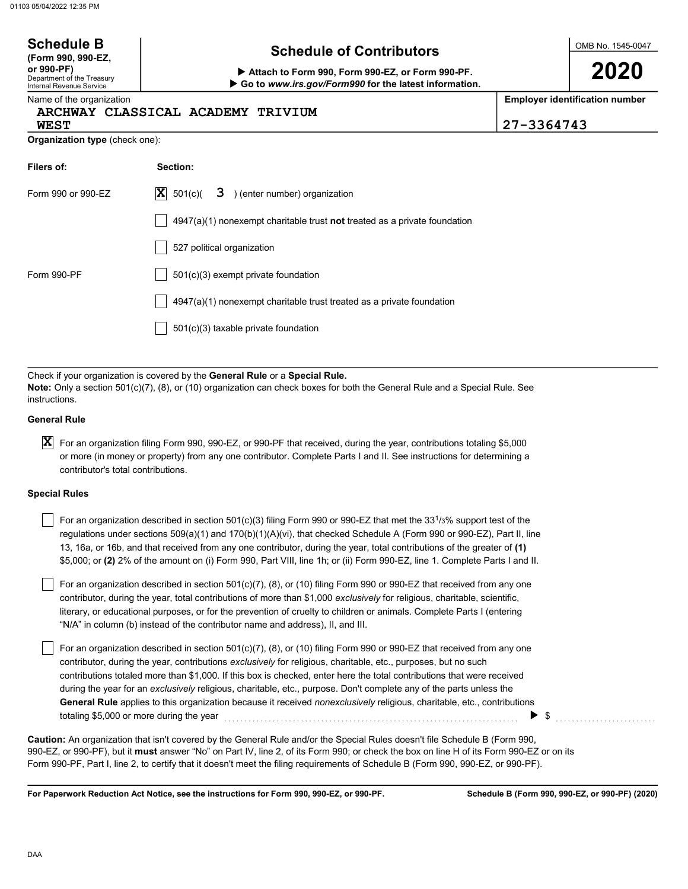| <b>Schedule B</b><br>(Form 990, 990-EZ,                                     | <b>Schedule of Contributors</b>                                                                           | OMB No. 1545-0047 |                                       |
|-----------------------------------------------------------------------------|-----------------------------------------------------------------------------------------------------------|-------------------|---------------------------------------|
| or 990-PF)<br>Department of the Treasury<br><b>Internal Revenue Service</b> | Attach to Form 990, Form 990-EZ, or Form 990-PF.<br>Go to www.irs.gov/Form990 for the latest information. |                   | 2020                                  |
| Name of the organization<br><b>WEST</b>                                     | ARCHWAY CLASSICAL ACADEMY TRIVIUM                                                                         | 27-3364743        | <b>Employer identification number</b> |
| Organization type (check one):                                              |                                                                                                           |                   |                                       |
| Filers of:                                                                  | Section:                                                                                                  |                   |                                       |
| Form 990 or 990-EZ                                                          | $ \mathbf{X} $ 501(c)(<br>3 ) (enter number) organization                                                 |                   |                                       |
|                                                                             | $4947(a)(1)$ nonexempt charitable trust <b>not</b> treated as a private foundation                        |                   |                                       |
|                                                                             | 527 political organization                                                                                |                   |                                       |
| Form 990-PF                                                                 | $501(c)(3)$ exempt private foundation                                                                     |                   |                                       |
|                                                                             | 4947(a)(1) nonexempt charitable trust treated as a private foundation                                     |                   |                                       |
|                                                                             | 501(c)(3) taxable private foundation                                                                      |                   |                                       |

Check if your organization is covered by the General Rule or a Special Rule. Note: Only a section 501(c)(7), (8), or (10) organization can check boxes for both the General Rule and a Special Rule. See instructions.

#### General Rule

 $\bm{X}$  For an organization filing Form 990, 990-EZ, or 990-PF that received, during the year, contributions totaling \$5,000 or more (in money or property) from any one contributor. Complete Parts I and II. See instructions for determining a contributor's total contributions.

#### Special Rules

| For an organization described in section 501(c)(3) filing Form 990 or 990-EZ that met the 33 <sup>1</sup> /3% support test of the |
|-----------------------------------------------------------------------------------------------------------------------------------|
| regulations under sections 509(a)(1) and 170(b)(1)(A)(vi), that checked Schedule A (Form 990 or 990-EZ), Part II, line            |
| 13, 16a, or 16b, and that received from any one contributor, during the year, total contributions of the greater of (1)           |
| \$5,000; or (2) 2% of the amount on (i) Form 990, Part VIII, line 1h; or (ii) Form 990-EZ, line 1. Complete Parts I and II.       |

literary, or educational purposes, or for the prevention of cruelty to children or animals. Complete Parts I (entering For an organization described in section 501(c)(7), (8), or (10) filing Form 990 or 990-EZ that received from any one contributor, during the year, total contributions of more than \$1,000 exclusively for religious, charitable, scientific, "N/A" in column (b) instead of the contributor name and address), II, and III.

For an organization described in section  $501(c)(7)$ ,  $(8)$ , or  $(10)$  filing Form 990 or 990-EZ that received from any one contributor, during the year, contributions exclusively for religious, charitable, etc., purposes, but no such contributions totaled more than \$1,000. If this box is checked, enter here the total contributions that were received during the year for an exclusively religious, charitable, etc., purpose. Don't complete any of the parts unless the General Rule applies to this organization because it received nonexclusively religious, charitable, etc., contributions  $\text{totaling }$  \$5,000 or more during the year  $\ldots$   $\ldots$   $\ldots$   $\ldots$   $\ldots$   $\ldots$   $\ldots$   $\ldots$   $\ldots$   $\ldots$   $\blacksquare$ 

990-EZ, or 990-PF), but it must answer "No" on Part IV, line 2, of its Form 990; or check the box on line H of its Form 990-EZ or on its Form 990-PF, Part I, line 2, to certify that it doesn't meet the filing requirements of Schedule B (Form 990, 990-EZ, or 990-PF). Caution: An organization that isn't covered by the General Rule and/or the Special Rules doesn't file Schedule B (Form 990,

For Paperwork Reduction Act Notice, see the instructions for Form 990, 990-EZ, or 990-PF.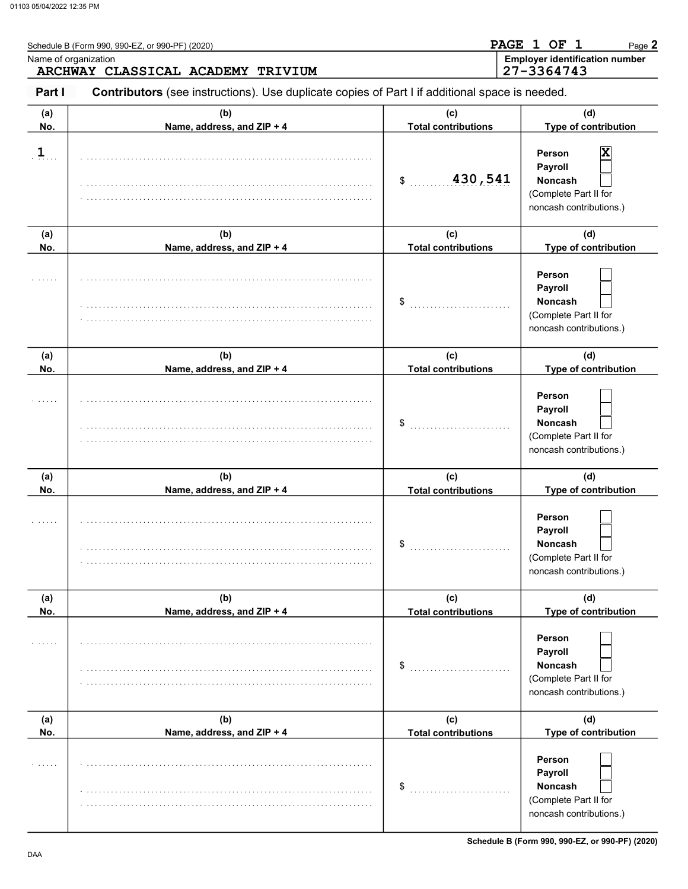| Name of organization | Schedule B (Form 990, 990-EZ, or 990-PF) (2020)<br>ARCHWAY CLASSICAL ACADEMY TRIVIUM           |                                   | PAGE 1 OF 1<br>Page 2<br><b>Employer identification number</b><br>27-3364743                 |
|----------------------|------------------------------------------------------------------------------------------------|-----------------------------------|----------------------------------------------------------------------------------------------|
| Part I               | Contributors (see instructions). Use duplicate copies of Part I if additional space is needed. |                                   |                                                                                              |
| (a)<br>No.           | (b)<br>Name, address, and ZIP + 4                                                              | (c)<br><b>Total contributions</b> | (d)<br>Type of contribution                                                                  |
| $\overline{1}$       |                                                                                                | 430,541<br>\$                     | X<br>Person<br>Payroll<br><b>Noncash</b><br>(Complete Part II for<br>noncash contributions.) |
| (a)<br>No.           | (b)<br>Name, address, and ZIP + 4                                                              | (c)<br><b>Total contributions</b> | (d)<br>Type of contribution                                                                  |
|                      |                                                                                                | \$                                | Person<br>Payroll<br><b>Noncash</b><br>(Complete Part II for<br>noncash contributions.)      |
| (a)<br>No.           | (b)<br>Name, address, and ZIP + 4                                                              | (c)<br><b>Total contributions</b> | (d)<br>Type of contribution                                                                  |
|                      |                                                                                                | \$                                | Person<br>Payroll<br><b>Noncash</b><br>(Complete Part II for<br>noncash contributions.)      |
| (a)<br>No.           | (b)<br>Name, address, and ZIP + 4                                                              | (c)<br><b>Total contributions</b> | (d)<br>Type of contribution                                                                  |
|                      |                                                                                                | \$                                | Person<br><b>Payroll</b><br>Noncash<br>(Complete Part II for<br>noncash contributions.)      |
| (a)<br>No.           | (b)<br>Name, address, and ZIP + 4                                                              | (c)<br><b>Total contributions</b> | (d)<br>Type of contribution                                                                  |
|                      |                                                                                                | \$                                | Person<br>Payroll<br>Noncash<br>(Complete Part II for<br>noncash contributions.)             |
| (a)<br>No.           | (b)<br>Name, address, and ZIP + 4                                                              | (c)<br><b>Total contributions</b> | (d)<br>Type of contribution                                                                  |
|                      |                                                                                                | \$                                | Person<br><b>Payroll</b><br>Noncash<br>(Complete Part II for<br>noncash contributions.)      |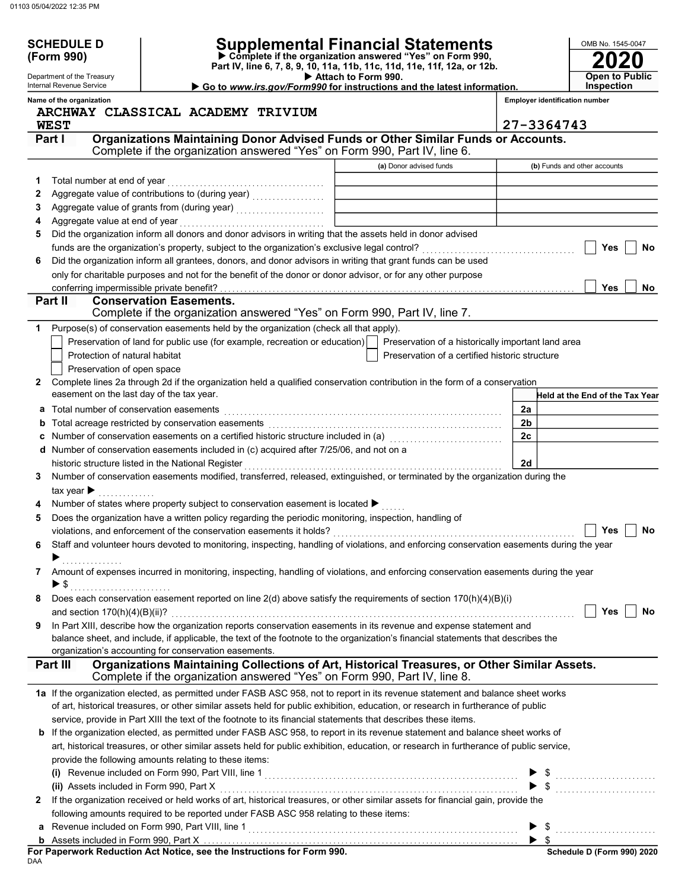|                                                                                                                                         | <b>SCHEDULE D</b>                                                                                                |                                                                                                                                                                                    |                                                                                                                |                                                    |                |  | OMB No. 1545-0047                      |
|-----------------------------------------------------------------------------------------------------------------------------------------|------------------------------------------------------------------------------------------------------------------|------------------------------------------------------------------------------------------------------------------------------------------------------------------------------------|----------------------------------------------------------------------------------------------------------------|----------------------------------------------------|----------------|--|----------------------------------------|
| (Form 990)                                                                                                                              |                                                                                                                  |                                                                                                                                                                                    | Supplemental Financial Statements<br>$\triangleright$ Complete if the organization answered "Yes" on Form 990, |                                                    |                |  |                                        |
| Department of the Treasury                                                                                                              |                                                                                                                  |                                                                                                                                                                                    | Part IV, line 6, 7, 8, 9, 10, 11a, 11b, 11c, 11d, 11e, 11f, 12a, or 12b.<br>Attach to Form 990.                |                                                    |                |  | <b>Open to Public</b>                  |
|                                                                                                                                         | Internal Revenue Service                                                                                         | Go to www.irs.gov/Form990 for instructions and the latest information.                                                                                                             |                                                                                                                |                                                    |                |  | <b>Inspection</b>                      |
|                                                                                                                                         | Name of the organization                                                                                         |                                                                                                                                                                                    |                                                                                                                |                                                    |                |  | <b>Employer identification number</b>  |
|                                                                                                                                         |                                                                                                                  | ARCHWAY CLASSICAL ACADEMY TRIVIUM                                                                                                                                                  |                                                                                                                |                                                    |                |  |                                        |
|                                                                                                                                         | <b>WEST</b>                                                                                                      |                                                                                                                                                                                    |                                                                                                                |                                                    | 27-3364743     |  |                                        |
|                                                                                                                                         | Part I                                                                                                           | Organizations Maintaining Donor Advised Funds or Other Similar Funds or Accounts.<br>Complete if the organization answered "Yes" on Form 990, Part IV, line 6.                     |                                                                                                                |                                                    |                |  |                                        |
|                                                                                                                                         |                                                                                                                  |                                                                                                                                                                                    |                                                                                                                | (a) Donor advised funds                            |                |  | (b) Funds and other accounts           |
| 1                                                                                                                                       | Total number at end of year                                                                                      |                                                                                                                                                                                    |                                                                                                                |                                                    |                |  |                                        |
| 2                                                                                                                                       |                                                                                                                  |                                                                                                                                                                                    |                                                                                                                |                                                    |                |  |                                        |
| 3                                                                                                                                       | Aggregate value of grants from (during year) [10] Martin Martin (2011) [20] Martin Martin Martin Martin Martin M |                                                                                                                                                                                    |                                                                                                                |                                                    |                |  |                                        |
|                                                                                                                                         | Aggregate value at end of year                                                                                   |                                                                                                                                                                                    |                                                                                                                |                                                    |                |  |                                        |
| 5                                                                                                                                       |                                                                                                                  | Did the organization inform all donors and donor advisors in writing that the assets held in donor advised                                                                         |                                                                                                                |                                                    |                |  |                                        |
|                                                                                                                                         |                                                                                                                  | funds are the organization's property, subject to the organization's exclusive legal control?                                                                                      |                                                                                                                |                                                    |                |  | Yes<br>No                              |
| 6                                                                                                                                       |                                                                                                                  | Did the organization inform all grantees, donors, and donor advisors in writing that grant funds can be used                                                                       |                                                                                                                |                                                    |                |  |                                        |
|                                                                                                                                         |                                                                                                                  | only for charitable purposes and not for the benefit of the donor or donor advisor, or for any other purpose                                                                       |                                                                                                                |                                                    |                |  |                                        |
|                                                                                                                                         | conferring impermissible private benefit?                                                                        | <b>Conservation Easements.</b>                                                                                                                                                     |                                                                                                                |                                                    |                |  | Yes<br>No                              |
|                                                                                                                                         | Part II                                                                                                          | Complete if the organization answered "Yes" on Form 990, Part IV, line 7.                                                                                                          |                                                                                                                |                                                    |                |  |                                        |
|                                                                                                                                         |                                                                                                                  | Purpose(s) of conservation easements held by the organization (check all that apply).                                                                                              |                                                                                                                |                                                    |                |  |                                        |
|                                                                                                                                         |                                                                                                                  | Preservation of land for public use (for example, recreation or education)                                                                                                         |                                                                                                                | Preservation of a historically important land area |                |  |                                        |
|                                                                                                                                         | Protection of natural habitat                                                                                    |                                                                                                                                                                                    |                                                                                                                | Preservation of a certified historic structure     |                |  |                                        |
|                                                                                                                                         | Preservation of open space                                                                                       |                                                                                                                                                                                    |                                                                                                                |                                                    |                |  |                                        |
| 2                                                                                                                                       |                                                                                                                  | Complete lines 2a through 2d if the organization held a qualified conservation contribution in the form of a conservation                                                          |                                                                                                                |                                                    |                |  |                                        |
|                                                                                                                                         | easement on the last day of the tax year.                                                                        |                                                                                                                                                                                    |                                                                                                                |                                                    |                |  | <b>Held at the End of the Tax Year</b> |
| а                                                                                                                                       | Total number of conservation easements                                                                           |                                                                                                                                                                                    |                                                                                                                |                                                    | 2a             |  |                                        |
|                                                                                                                                         |                                                                                                                  |                                                                                                                                                                                    |                                                                                                                |                                                    | 2 <sub>b</sub> |  |                                        |
|                                                                                                                                         |                                                                                                                  | Number of conservation easements on a certified historic structure included in (a) [[[[[[[[[[[[[[[[[[[[[[[[[]]                                                                     |                                                                                                                |                                                    | 2c             |  |                                        |
| d                                                                                                                                       |                                                                                                                  | Number of conservation easements included in (c) acquired after 7/25/06, and not on a                                                                                              |                                                                                                                |                                                    |                |  |                                        |
| 3                                                                                                                                       |                                                                                                                  | historic structure listed in the National Register<br>Number of conservation easements modified, transferred, released, extinguished, or terminated by the organization during the |                                                                                                                |                                                    | 2d             |  |                                        |
|                                                                                                                                         | tax year $\blacktriangleright$                                                                                   |                                                                                                                                                                                    |                                                                                                                |                                                    |                |  |                                        |
|                                                                                                                                         |                                                                                                                  | Number of states where property subject to conservation easement is located ▶                                                                                                      |                                                                                                                |                                                    |                |  |                                        |
| 5                                                                                                                                       |                                                                                                                  | Does the organization have a written policy regarding the periodic monitoring, inspection, handling of                                                                             |                                                                                                                |                                                    |                |  |                                        |
|                                                                                                                                         |                                                                                                                  |                                                                                                                                                                                    |                                                                                                                |                                                    |                |  | $\Box$ Yes $\Box$<br>No                |
| 6                                                                                                                                       |                                                                                                                  | Staff and volunteer hours devoted to monitoring, inspecting, handling of violations, and enforcing conservation easements during the year                                          |                                                                                                                |                                                    |                |  |                                        |
|                                                                                                                                         | .                                                                                                                |                                                                                                                                                                                    |                                                                                                                |                                                    |                |  |                                        |
| 7                                                                                                                                       |                                                                                                                  | Amount of expenses incurred in monitoring, inspecting, handling of violations, and enforcing conservation easements during the year                                                |                                                                                                                |                                                    |                |  |                                        |
|                                                                                                                                         | $\blacktriangleright$ \$                                                                                         |                                                                                                                                                                                    |                                                                                                                |                                                    |                |  |                                        |
| 8                                                                                                                                       |                                                                                                                  | Does each conservation easement reported on line 2(d) above satisfy the requirements of section 170(h)(4)(B)(i)                                                                    |                                                                                                                |                                                    |                |  | <b>Yes</b><br>No                       |
| 9                                                                                                                                       |                                                                                                                  | In Part XIII, describe how the organization reports conservation easements in its revenue and expense statement and                                                                |                                                                                                                |                                                    |                |  |                                        |
|                                                                                                                                         |                                                                                                                  | balance sheet, and include, if applicable, the text of the footnote to the organization's financial statements that describes the                                                  |                                                                                                                |                                                    |                |  |                                        |
|                                                                                                                                         |                                                                                                                  | organization's accounting for conservation easements.                                                                                                                              |                                                                                                                |                                                    |                |  |                                        |
|                                                                                                                                         | Part III                                                                                                         | Organizations Maintaining Collections of Art, Historical Treasures, or Other Similar Assets.                                                                                       |                                                                                                                |                                                    |                |  |                                        |
|                                                                                                                                         |                                                                                                                  | Complete if the organization answered "Yes" on Form 990, Part IV, line 8.                                                                                                          |                                                                                                                |                                                    |                |  |                                        |
|                                                                                                                                         |                                                                                                                  | 1a If the organization elected, as permitted under FASB ASC 958, not to report in its revenue statement and balance sheet works                                                    |                                                                                                                |                                                    |                |  |                                        |
|                                                                                                                                         |                                                                                                                  | of art, historical treasures, or other similar assets held for public exhibition, education, or research in furtherance of public                                                  |                                                                                                                |                                                    |                |  |                                        |
|                                                                                                                                         |                                                                                                                  | service, provide in Part XIII the text of the footnote to its financial statements that describes these items.                                                                     |                                                                                                                |                                                    |                |  |                                        |
| b                                                                                                                                       |                                                                                                                  | If the organization elected, as permitted under FASB ASC 958, to report in its revenue statement and balance sheet works of                                                        |                                                                                                                |                                                    |                |  |                                        |
| art, historical treasures, or other similar assets held for public exhibition, education, or research in furtherance of public service, |                                                                                                                  |                                                                                                                                                                                    |                                                                                                                |                                                    |                |  |                                        |
|                                                                                                                                         |                                                                                                                  | provide the following amounts relating to these items:                                                                                                                             |                                                                                                                |                                                    |                |  |                                        |
|                                                                                                                                         | (ii) Assets included in Form 990, Part X                                                                         |                                                                                                                                                                                    |                                                                                                                |                                                    |                |  |                                        |
| 2                                                                                                                                       |                                                                                                                  | If the organization received or held works of art, historical treasures, or other similar assets for financial gain, provide the                                                   |                                                                                                                |                                                    |                |  |                                        |
|                                                                                                                                         |                                                                                                                  | following amounts required to be reported under FASB ASC 958 relating to these items:                                                                                              |                                                                                                                |                                                    |                |  |                                        |
| a                                                                                                                                       |                                                                                                                  | Revenue included on Form 990, Part VIII, line 1 [1] CONDING CONDITIONS AND REVENUES A REVENUES A REPORT ON RE                                                                      |                                                                                                                |                                                    |                |  | $\frac{1}{2}$                          |
|                                                                                                                                         |                                                                                                                  |                                                                                                                                                                                    |                                                                                                                |                                                    |                |  |                                        |
|                                                                                                                                         |                                                                                                                  |                                                                                                                                                                                    |                                                                                                                |                                                    |                |  | Schedule D (Form 990) 2020             |

TOL F<br>Daa 'aperwork Reduction Act Notice, see the Instructions for Form 990.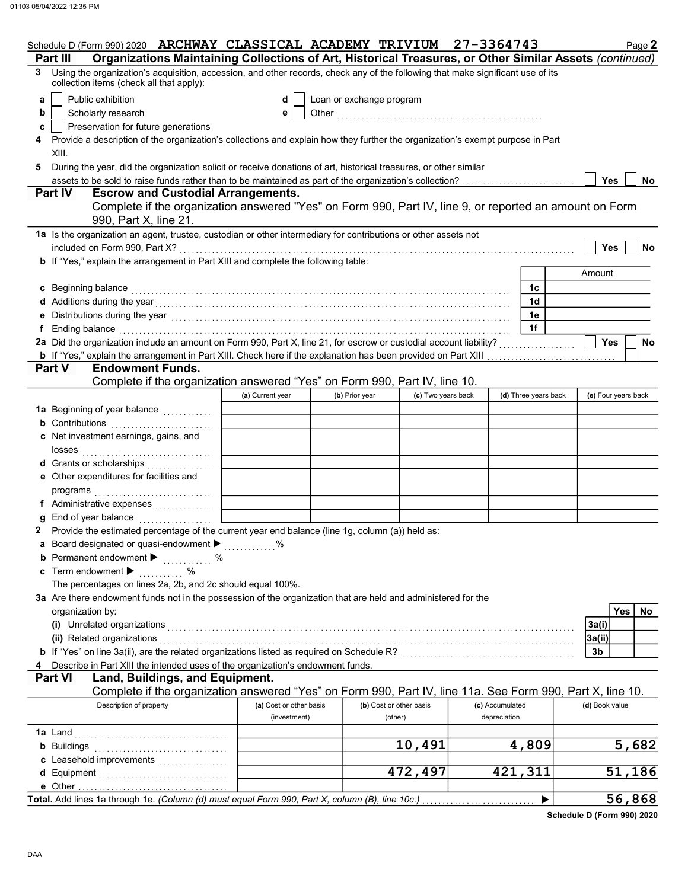|   | Schedule D (Form 990) 2020 ARCHWAY CLASSICAL ACADEMY TRIVIUM 27-3364743                                                                                                                                                        |                         |                          |                         |                 |                      | Page 2                  |
|---|--------------------------------------------------------------------------------------------------------------------------------------------------------------------------------------------------------------------------------|-------------------------|--------------------------|-------------------------|-----------------|----------------------|-------------------------|
|   | Organizations Maintaining Collections of Art, Historical Treasures, or Other Similar Assets (continued)<br>Part III                                                                                                            |                         |                          |                         |                 |                      |                         |
| 3 | Using the organization's acquisition, accession, and other records, check any of the following that make significant use of its<br>collection items (check all that apply):                                                    |                         |                          |                         |                 |                      |                         |
| a | Public exhibition                                                                                                                                                                                                              | d                       | Loan or exchange program |                         |                 |                      |                         |
| b | Scholarly research                                                                                                                                                                                                             | е                       |                          |                         |                 |                      |                         |
| c | Preservation for future generations                                                                                                                                                                                            |                         |                          |                         |                 |                      |                         |
|   | Provide a description of the organization's collections and explain how they further the organization's exempt purpose in Part<br>XIII.                                                                                        |                         |                          |                         |                 |                      |                         |
| 5 | During the year, did the organization solicit or receive donations of art, historical treasures, or other similar                                                                                                              |                         |                          |                         |                 |                      |                         |
|   |                                                                                                                                                                                                                                |                         |                          |                         |                 |                      | <b>Yes</b><br><b>No</b> |
|   | <b>Part IV</b><br><b>Escrow and Custodial Arrangements.</b>                                                                                                                                                                    |                         |                          |                         |                 |                      |                         |
|   | Complete if the organization answered "Yes" on Form 990, Part IV, line 9, or reported an amount on Form<br>990, Part X, line 21.                                                                                               |                         |                          |                         |                 |                      |                         |
|   | 1a Is the organization an agent, trustee, custodian or other intermediary for contributions or other assets not                                                                                                                |                         |                          |                         |                 |                      |                         |
|   | included on Form 990, Part X?                                                                                                                                                                                                  |                         |                          |                         |                 |                      | Yes<br><b>No</b>        |
|   | b If "Yes," explain the arrangement in Part XIII and complete the following table:                                                                                                                                             |                         |                          |                         |                 |                      |                         |
|   |                                                                                                                                                                                                                                |                         |                          |                         |                 |                      | Amount                  |
|   | c Beginning balance expressions and the contract of the contract of the contract of the contract of the contract of the contract of the contract of the contract of the contract of the contract of the contract of the contra |                         |                          |                         |                 | 1c                   |                         |
|   | d Additions during the year electron contracts and a set of the set of the set of the set of the set of the set of the set of the set of the set of the set of the set of the set of the set of the set of the set of the set  |                         |                          |                         |                 | 1d                   |                         |
|   |                                                                                                                                                                                                                                |                         |                          |                         |                 | 1e                   |                         |
|   | Ending balance with a construction of the construction of the construction of the construction of the construction of the construction of the construction of the construction of the construction of the construction of the  |                         |                          |                         |                 | 1f                   |                         |
|   | 2a Did the organization include an amount on Form 990, Part X, line 21, for escrow or custodial account liability?                                                                                                             |                         |                          |                         |                 |                      | <b>Yes</b><br>No        |
|   | <b>Part V</b><br><b>Endowment Funds.</b>                                                                                                                                                                                       |                         |                          |                         |                 |                      |                         |
|   | Complete if the organization answered "Yes" on Form 990, Part IV, line 10.                                                                                                                                                     |                         |                          |                         |                 |                      |                         |
|   |                                                                                                                                                                                                                                | (a) Current year        | (b) Prior year           | (c) Two years back      |                 | (d) Three years back | (e) Four years back     |
|   |                                                                                                                                                                                                                                |                         |                          |                         |                 |                      |                         |
|   | 1a Beginning of year balance <i>minimizing</i>                                                                                                                                                                                 |                         |                          |                         |                 |                      |                         |
|   | <b>b</b> Contributions <b>contributions</b><br>c Net investment earnings, gains, and                                                                                                                                           |                         |                          |                         |                 |                      |                         |
|   |                                                                                                                                                                                                                                |                         |                          |                         |                 |                      |                         |
|   | d Grants or scholarships                                                                                                                                                                                                       |                         |                          |                         |                 |                      |                         |
|   | e Other expenditures for facilities and                                                                                                                                                                                        |                         |                          |                         |                 |                      |                         |
|   | programs                                                                                                                                                                                                                       |                         |                          |                         |                 |                      |                         |
|   | f Administrative expenses                                                                                                                                                                                                      |                         |                          |                         |                 |                      |                         |
| g | End of year balance                                                                                                                                                                                                            |                         |                          |                         |                 |                      |                         |
|   | 2 Provide the estimated percentage of the current year end balance (line 1g, column (a)) held as:                                                                                                                              |                         |                          |                         |                 |                      |                         |
|   | a Board designated or quasi-endowment $\blacktriangleright$                                                                                                                                                                    |                         |                          |                         |                 |                      |                         |
|   | <b>b</b> Permanent endowment <b>D</b> 2000 minutes of 2011                                                                                                                                                                     |                         |                          |                         |                 |                      |                         |
|   | c Term endowment $\blacktriangleright$<br>$\%$                                                                                                                                                                                 |                         |                          |                         |                 |                      |                         |
|   | The percentages on lines 2a, 2b, and 2c should equal 100%.                                                                                                                                                                     |                         |                          |                         |                 |                      |                         |
|   | 3a Are there endowment funds not in the possession of the organization that are held and administered for the                                                                                                                  |                         |                          |                         |                 |                      |                         |
|   | organization by:                                                                                                                                                                                                               |                         |                          |                         |                 |                      | Yes  <br>No             |
|   |                                                                                                                                                                                                                                |                         |                          |                         |                 |                      | 3a(i)                   |
|   | (ii) Related organizations [11] Related organizations [11] Related organizations [11] Related organizations [11] Related organizations [11] Related organizations [11] Related organizations [11] Related organizations [11] R |                         |                          |                         |                 |                      | 3a(ii)                  |
|   | b If "Yes" on line 3a(ii), are the related organizations listed as required on Schedule R? [[[[[[[[[[[[[[[[[[[                                                                                                                 |                         |                          |                         |                 |                      | 3b                      |
|   | Describe in Part XIII the intended uses of the organization's endowment funds.                                                                                                                                                 |                         |                          |                         |                 |                      |                         |
|   | Land, Buildings, and Equipment.<br><b>Part VI</b>                                                                                                                                                                              |                         |                          |                         |                 |                      |                         |
|   | Complete if the organization answered "Yes" on Form 990, Part IV, line 11a. See Form 990, Part X, line 10.                                                                                                                     |                         |                          |                         |                 |                      |                         |
|   | Description of property                                                                                                                                                                                                        | (a) Cost or other basis |                          | (b) Cost or other basis | (c) Accumulated |                      | (d) Book value          |
|   |                                                                                                                                                                                                                                | (investment)            |                          | (other)                 | depreciation    |                      |                         |
|   |                                                                                                                                                                                                                                |                         |                          |                         |                 |                      |                         |
|   |                                                                                                                                                                                                                                |                         |                          | 10,491                  |                 | 4,809                | 5,682                   |
|   | c Leasehold improvements                                                                                                                                                                                                       |                         |                          |                         |                 |                      |                         |
|   |                                                                                                                                                                                                                                |                         |                          | 472,497                 | 421,311         |                      | 51,186                  |
|   |                                                                                                                                                                                                                                |                         |                          |                         |                 |                      |                         |
|   | Total. Add lines 1a through 1e. <i>(Column (d) must equal Form 990, Part X, column (B), line 10c.)</i>                                                                                                                         |                         |                          |                         |                 | ▶                    | 56,868                  |

Schedule D (Form 990) 2020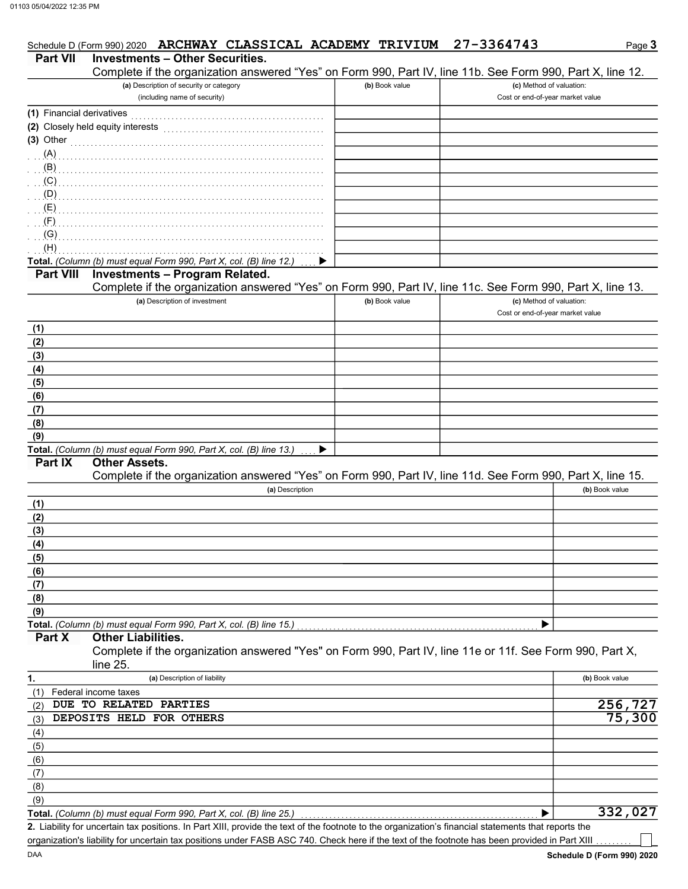| <b>Part VII</b>           | <b>Investments - Other Securities.</b>                                                                     |                |                                  |                |
|---------------------------|------------------------------------------------------------------------------------------------------------|----------------|----------------------------------|----------------|
|                           | Complete if the organization answered "Yes" on Form 990, Part IV, line 11b. See Form 990, Part X, line 12. |                |                                  |                |
|                           | (a) Description of security or category                                                                    | (b) Book value | (c) Method of valuation:         |                |
|                           | (including name of security)                                                                               |                | Cost or end-of-year market value |                |
| (1) Financial derivatives |                                                                                                            |                |                                  |                |
|                           | (2) Closely held equity interests                                                                          |                |                                  |                |
| $(3)$ Other               |                                                                                                            |                |                                  |                |
| (A)                       |                                                                                                            |                |                                  |                |
| (B)                       |                                                                                                            |                |                                  |                |
| (C)                       |                                                                                                            |                |                                  |                |
| (D)                       |                                                                                                            |                |                                  |                |
| (E)                       |                                                                                                            |                |                                  |                |
| (F)                       |                                                                                                            |                |                                  |                |
| (G)                       |                                                                                                            |                |                                  |                |
| (H)                       |                                                                                                            |                |                                  |                |
|                           | Total. (Column (b) must equal Form 990, Part X, col. (B) line 12.)                                         |                |                                  |                |
| <b>Part VIII</b>          | <b>Investments - Program Related.</b>                                                                      |                |                                  |                |
|                           | Complete if the organization answered "Yes" on Form 990, Part IV, line 11c. See Form 990, Part X, line 13. |                |                                  |                |
|                           | (a) Description of investment                                                                              | (b) Book value | (c) Method of valuation:         |                |
|                           |                                                                                                            |                | Cost or end-of-year market value |                |
| (1)                       |                                                                                                            |                |                                  |                |
| (2)                       |                                                                                                            |                |                                  |                |
| (3)                       |                                                                                                            |                |                                  |                |
| (4)                       |                                                                                                            |                |                                  |                |
| (5)                       |                                                                                                            |                |                                  |                |
| (6)                       |                                                                                                            |                |                                  |                |
| (7)                       |                                                                                                            |                |                                  |                |
| (8)                       |                                                                                                            |                |                                  |                |
| (9)                       |                                                                                                            |                |                                  |                |
|                           | Total. (Column (b) must equal Form 990, Part X, col. (B) line 13.)                                         |                |                                  |                |
| Part IX                   | <b>Other Assets.</b>                                                                                       |                |                                  |                |
|                           | Complete if the organization answered "Yes" on Form 990, Part IV, line 11d. See Form 990, Part X, line 15. |                |                                  |                |
|                           | (a) Description                                                                                            |                |                                  | (b) Book value |
|                           |                                                                                                            |                |                                  |                |
| (1)                       |                                                                                                            |                |                                  |                |
| (2)                       |                                                                                                            |                |                                  |                |
| (3)                       |                                                                                                            |                |                                  |                |
| (4)                       |                                                                                                            |                |                                  |                |
| (5)                       |                                                                                                            |                |                                  |                |
| (6)                       |                                                                                                            |                |                                  |                |
| (7)                       |                                                                                                            |                |                                  |                |
| (8)                       |                                                                                                            |                |                                  |                |
| (9)                       |                                                                                                            |                |                                  |                |
|                           | Total. (Column (b) must equal Form 990, Part X, col. (B) line 15.)                                         |                | ▶                                |                |
| Part X                    | <b>Other Liabilities.</b>                                                                                  |                |                                  |                |
|                           | Complete if the organization answered "Yes" on Form 990, Part IV, line 11e or 11f. See Form 990, Part X,   |                |                                  |                |
|                           | line 25.                                                                                                   |                |                                  |                |
| 1.                        | (a) Description of liability                                                                               |                |                                  | (b) Book value |
| (1)                       | Federal income taxes                                                                                       |                |                                  |                |
| (2)                       | DUE TO RELATED PARTIES                                                                                     |                |                                  | 256,727        |
| (3)                       | DEPOSITS HELD FOR OTHERS                                                                                   |                |                                  | 75,300         |
| (4)                       |                                                                                                            |                |                                  |                |
| (5)                       |                                                                                                            |                |                                  |                |
| (6)                       |                                                                                                            |                |                                  |                |
| (7)                       |                                                                                                            |                |                                  |                |
| (8)                       |                                                                                                            |                |                                  |                |
| (9)                       |                                                                                                            |                |                                  |                |
|                           | Total. (Column (b) must equal Form 990, Part X, col. (B) line 25.)                                         |                |                                  | 332,027        |
|                           |                                                                                                            |                |                                  |                |

Liability for uncertain tax positions. In Part XIII, provide the text of the footnote to the organization's financial statements that reports the 2.

organization's liability for uncertain tax positions under FASB ASC 740. Check here if the text of the footnote has been provided in Part XIII ..

 $\overline{\phantom{a}}$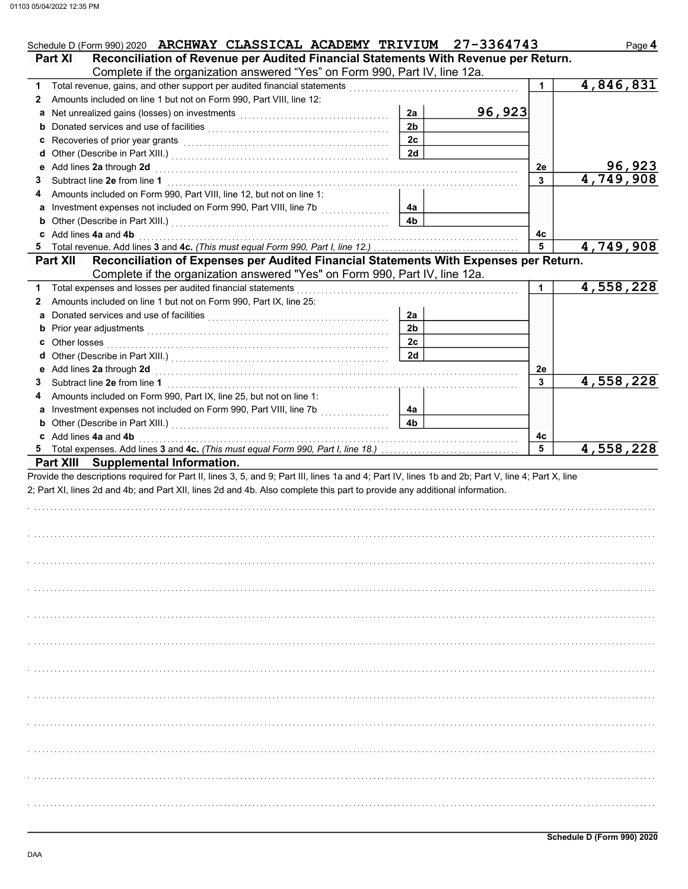| Schedule D (Form 990) 2020 ARCHWAY CLASSICAL ACADEMY TRIVIUM 27-3364743<br>Reconciliation of Revenue per Audited Financial Statements With Revenue per Return.<br><b>Part XI</b> |                |        | Page 4    |
|----------------------------------------------------------------------------------------------------------------------------------------------------------------------------------|----------------|--------|-----------|
| Complete if the organization answered "Yes" on Form 990, Part IV, line 12a.                                                                                                      |                |        |           |
| 1.                                                                                                                                                                               |                | 1      | 4,846,831 |
| Amounts included on line 1 but not on Form 990, Part VIII, line 12:<br>2                                                                                                         |                |        |           |
|                                                                                                                                                                                  | 2a             | 96,923 |           |
| b Donated services and use of facilities [111] [11] Donated Service Reserves the Service Reserves Inc.                                                                           | 2 <sub>b</sub> |        |           |
|                                                                                                                                                                                  | 2c             |        |           |
|                                                                                                                                                                                  | 2d             |        |           |
|                                                                                                                                                                                  |                | 2е     | 96,923    |
| 3                                                                                                                                                                                |                | 3      | 4,749,908 |
| Amounts included on Form 990, Part VIII, line 12, but not on line 1:<br>4                                                                                                        |                |        |           |
| a Investment expenses not included on Form 990, Part VIII, line 7b                                                                                                               | 4a             |        |           |
|                                                                                                                                                                                  | 4b             |        |           |
| c Add lines 4a and 4b                                                                                                                                                            |                | 4с     |           |
| 5                                                                                                                                                                                |                | 5      | 4,749,908 |
| Reconciliation of Expenses per Audited Financial Statements With Expenses per Return.<br><b>Part XII</b>                                                                         |                |        |           |
| Complete if the organization answered "Yes" on Form 990, Part IV, line 12a.                                                                                                      |                |        |           |
| Total expenses and losses per audited financial statements<br>1.                                                                                                                 |                | 1.     | 4,558,228 |
| Amounts included on line 1 but not on Form 990, Part IX, line 25:<br>2                                                                                                           |                |        |           |
| a Donated services and use of facilities [11] product is a controller controller and a product of a controller                                                                   | 2a             |        |           |
|                                                                                                                                                                                  | 2 <sub>b</sub> |        |           |
|                                                                                                                                                                                  | 2c             |        |           |
|                                                                                                                                                                                  | 2d             |        |           |
| e Add lines 2a through 2d (a) and the contract of the Add lines 2a through 1                                                                                                     |                | 2e     |           |
| З                                                                                                                                                                                |                | 3      | 4,558,228 |
| Amounts included on Form 990, Part IX, line 25, but not on line 1:<br>4                                                                                                          |                |        |           |
| a Investment expenses not included on Form 990, Part VIII, line 7b                                                                                                               | 4a             |        |           |
|                                                                                                                                                                                  | 4b             |        |           |
| c Add lines 4a and 4b                                                                                                                                                            |                | 4c     |           |
| 5                                                                                                                                                                                |                | 5      | 4,558,228 |
| Part XIII Supplemental Information.                                                                                                                                              |                |        |           |
| Provide the descriptions required for Part II, lines 3, 5, and 9; Part III, lines 1a and 4; Part IV, lines 1b and 2b; Part V, line 4; Part X, line                               |                |        |           |
| 2; Part XI, lines 2d and 4b; and Part XII, lines 2d and 4b. Also complete this part to provide any additional information.                                                       |                |        |           |
|                                                                                                                                                                                  |                |        |           |
|                                                                                                                                                                                  |                |        |           |
|                                                                                                                                                                                  |                |        |           |
|                                                                                                                                                                                  |                |        |           |
|                                                                                                                                                                                  |                |        |           |
|                                                                                                                                                                                  |                |        |           |
|                                                                                                                                                                                  |                |        |           |
|                                                                                                                                                                                  |                |        |           |
|                                                                                                                                                                                  |                |        |           |
|                                                                                                                                                                                  |                |        |           |
|                                                                                                                                                                                  |                |        |           |
|                                                                                                                                                                                  |                |        |           |
|                                                                                                                                                                                  |                |        |           |
|                                                                                                                                                                                  |                |        |           |
|                                                                                                                                                                                  |                |        |           |
|                                                                                                                                                                                  |                |        |           |
|                                                                                                                                                                                  |                |        |           |
|                                                                                                                                                                                  |                |        |           |
|                                                                                                                                                                                  |                |        |           |
|                                                                                                                                                                                  |                |        |           |
|                                                                                                                                                                                  |                |        |           |
|                                                                                                                                                                                  |                |        |           |
|                                                                                                                                                                                  |                |        |           |
|                                                                                                                                                                                  |                |        |           |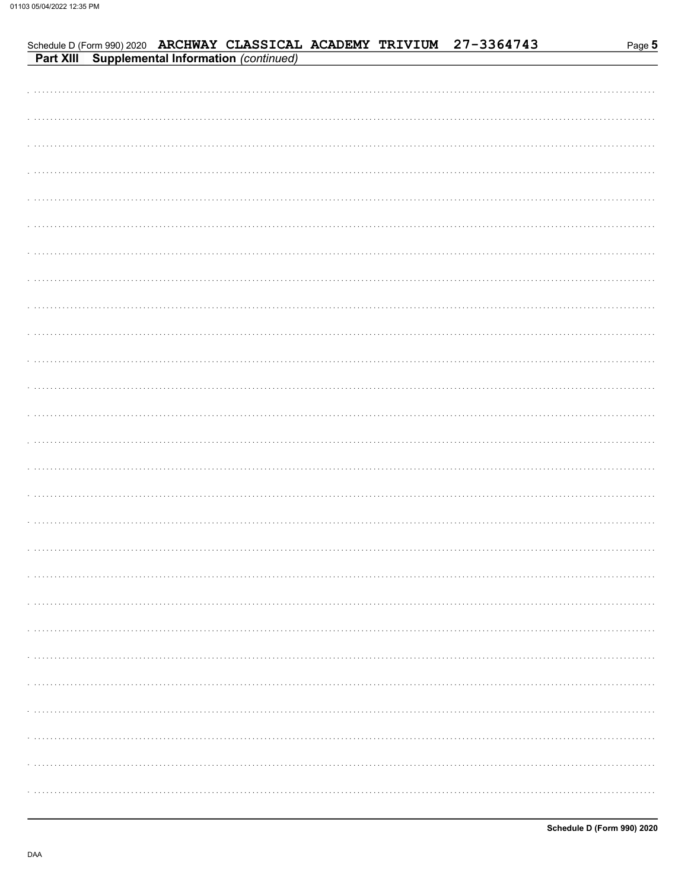|  |  |  | Schedule D (Form 990) 2020 ARCHWAY CLASSICAL ACADEMY TRIVIUM<br>Part XIII Supplemental Information (continued) | 27-3364743 | Page 5 |
|--|--|--|----------------------------------------------------------------------------------------------------------------|------------|--------|
|  |  |  |                                                                                                                |            |        |
|  |  |  |                                                                                                                |            |        |
|  |  |  |                                                                                                                |            |        |
|  |  |  |                                                                                                                |            |        |
|  |  |  |                                                                                                                |            |        |
|  |  |  |                                                                                                                |            |        |
|  |  |  |                                                                                                                |            |        |
|  |  |  |                                                                                                                |            |        |
|  |  |  |                                                                                                                |            |        |
|  |  |  |                                                                                                                |            |        |
|  |  |  |                                                                                                                |            |        |
|  |  |  |                                                                                                                |            |        |
|  |  |  |                                                                                                                |            |        |
|  |  |  |                                                                                                                |            |        |
|  |  |  |                                                                                                                |            |        |
|  |  |  |                                                                                                                |            |        |
|  |  |  |                                                                                                                |            |        |
|  |  |  |                                                                                                                |            |        |
|  |  |  |                                                                                                                |            |        |
|  |  |  |                                                                                                                |            |        |
|  |  |  |                                                                                                                |            |        |
|  |  |  |                                                                                                                |            |        |
|  |  |  |                                                                                                                |            |        |
|  |  |  |                                                                                                                |            |        |
|  |  |  |                                                                                                                |            |        |
|  |  |  |                                                                                                                |            |        |
|  |  |  |                                                                                                                |            |        |
|  |  |  |                                                                                                                |            |        |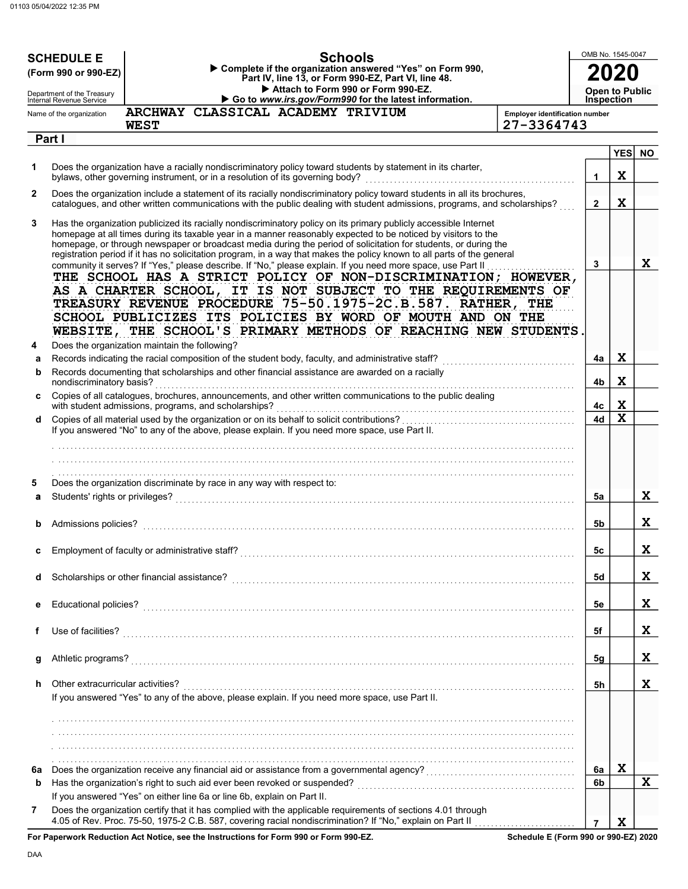|         | <b>Schools</b><br><b>SCHEDULE E</b><br>Complete if the organization answered "Yes" on Form 990,<br>(Form 990 or 990-EZ)<br>Part IV, line 13, or Form 990-EZ, Part VI, line 48.<br>Attach to Form 990 or Form 990-EZ. |                                                                                                                                                                                                                                                                                                                                                                                                                                                                                                                                                                                                                                                                                                                                                                                                                                                                                                                                     |                                                     |                   | OMB No. 1545-0047<br><b>Open to Public</b> |           |  |  |  |
|---------|----------------------------------------------------------------------------------------------------------------------------------------------------------------------------------------------------------------------|-------------------------------------------------------------------------------------------------------------------------------------------------------------------------------------------------------------------------------------------------------------------------------------------------------------------------------------------------------------------------------------------------------------------------------------------------------------------------------------------------------------------------------------------------------------------------------------------------------------------------------------------------------------------------------------------------------------------------------------------------------------------------------------------------------------------------------------------------------------------------------------------------------------------------------------|-----------------------------------------------------|-------------------|--------------------------------------------|-----------|--|--|--|
|         | Department of the Treasury<br>Internal Revenue Service                                                                                                                                                               | Go to www.irs.gov/Form990 for the latest information.                                                                                                                                                                                                                                                                                                                                                                                                                                                                                                                                                                                                                                                                                                                                                                                                                                                                               |                                                     | <b>Inspection</b> |                                            |           |  |  |  |
|         | Name of the organization                                                                                                                                                                                             | ARCHWAY CLASSICAL ACADEMY TRIVIUM<br><b>WEST</b>                                                                                                                                                                                                                                                                                                                                                                                                                                                                                                                                                                                                                                                                                                                                                                                                                                                                                    | <b>Employer identification number</b><br>27-3364743 |                   |                                            |           |  |  |  |
|         | Part I                                                                                                                                                                                                               |                                                                                                                                                                                                                                                                                                                                                                                                                                                                                                                                                                                                                                                                                                                                                                                                                                                                                                                                     |                                                     |                   |                                            |           |  |  |  |
|         |                                                                                                                                                                                                                      |                                                                                                                                                                                                                                                                                                                                                                                                                                                                                                                                                                                                                                                                                                                                                                                                                                                                                                                                     |                                                     |                   | <b>YES</b>                                 | <b>NO</b> |  |  |  |
| 1.      |                                                                                                                                                                                                                      | Does the organization have a racially nondiscriminatory policy toward students by statement in its charter,<br>bylaws, other governing instrument, or in a resolution of its governing body?                                                                                                                                                                                                                                                                                                                                                                                                                                                                                                                                                                                                                                                                                                                                        |                                                     | 1                 | X                                          |           |  |  |  |
| 2       |                                                                                                                                                                                                                      | Does the organization include a statement of its racially nondiscriminatory policy toward students in all its brochures,<br>catalogues, and other written communications with the public dealing with student admissions, programs, and scholarships?                                                                                                                                                                                                                                                                                                                                                                                                                                                                                                                                                                                                                                                                               |                                                     | $\mathbf{2}$      | X                                          |           |  |  |  |
| 3       |                                                                                                                                                                                                                      | Has the organization publicized its racially nondiscriminatory policy on its primary publicly accessible Internet<br>homepage at all times during its taxable year in a manner reasonably expected to be noticed by visitors to the<br>homepage, or through newspaper or broadcast media during the period of solicitation for students, or during the<br>registration period if it has no solicitation program, in a way that makes the policy known to all parts of the general<br>community it serves? If "Yes," please describe. If "No," please explain. If you need more space, use Part II<br>THE SCHOOL HAS A STRICT POLICY OF NON-DISCRIMINATION; HOWEVER,<br>AS A CHARTER SCHOOL, IT IS NOT SUBJECT TO THE REQUIREMENTS OF<br>TREASURY REVENUE PROCEDURE 75-50.1975-2C.B.587. RATHER, THE<br>SCHOOL PUBLICIZES ITS POLICIES BY WORD OF MOUTH AND ON THE<br>WEBSITE, THE SCHOOL'S PRIMARY METHODS OF REACHING NEW STUDENTS |                                                     | 3                 |                                            | X         |  |  |  |
| 4       |                                                                                                                                                                                                                      | Does the organization maintain the following?                                                                                                                                                                                                                                                                                                                                                                                                                                                                                                                                                                                                                                                                                                                                                                                                                                                                                       |                                                     |                   |                                            |           |  |  |  |
| а       |                                                                                                                                                                                                                      | Records indicating the racial composition of the student body, faculty, and administrative staff?                                                                                                                                                                                                                                                                                                                                                                                                                                                                                                                                                                                                                                                                                                                                                                                                                                   |                                                     | 4a                | X                                          |           |  |  |  |
| b       | nondiscriminatory basis?                                                                                                                                                                                             | Records documenting that scholarships and other financial assistance are awarded on a racially                                                                                                                                                                                                                                                                                                                                                                                                                                                                                                                                                                                                                                                                                                                                                                                                                                      |                                                     | 4b                | X                                          |           |  |  |  |
| c       |                                                                                                                                                                                                                      | Copies of all catalogues, brochures, announcements, and other written communications to the public dealing<br>with student admissions, programs, and scholarships?                                                                                                                                                                                                                                                                                                                                                                                                                                                                                                                                                                                                                                                                                                                                                                  |                                                     | 4c                | X                                          |           |  |  |  |
| d       |                                                                                                                                                                                                                      | If you answered "No" to any of the above, please explain. If you need more space, use Part II.                                                                                                                                                                                                                                                                                                                                                                                                                                                                                                                                                                                                                                                                                                                                                                                                                                      |                                                     | 4d                | $\mathbf x$                                |           |  |  |  |
|         |                                                                                                                                                                                                                      |                                                                                                                                                                                                                                                                                                                                                                                                                                                                                                                                                                                                                                                                                                                                                                                                                                                                                                                                     |                                                     |                   |                                            |           |  |  |  |
|         |                                                                                                                                                                                                                      |                                                                                                                                                                                                                                                                                                                                                                                                                                                                                                                                                                                                                                                                                                                                                                                                                                                                                                                                     |                                                     |                   |                                            |           |  |  |  |
| 5<br>a  |                                                                                                                                                                                                                      | Does the organization discriminate by race in any way with respect to:                                                                                                                                                                                                                                                                                                                                                                                                                                                                                                                                                                                                                                                                                                                                                                                                                                                              |                                                     | 5a                |                                            | X         |  |  |  |
| b       | Admissions policies?                                                                                                                                                                                                 |                                                                                                                                                                                                                                                                                                                                                                                                                                                                                                                                                                                                                                                                                                                                                                                                                                                                                                                                     |                                                     | 5b                |                                            | X.        |  |  |  |
|         |                                                                                                                                                                                                                      |                                                                                                                                                                                                                                                                                                                                                                                                                                                                                                                                                                                                                                                                                                                                                                                                                                                                                                                                     |                                                     | 5c                |                                            | A         |  |  |  |
| d       |                                                                                                                                                                                                                      | Scholarships or other financial assistance?                                                                                                                                                                                                                                                                                                                                                                                                                                                                                                                                                                                                                                                                                                                                                                                                                                                                                         |                                                     | 5d                |                                            | X         |  |  |  |
|         |                                                                                                                                                                                                                      |                                                                                                                                                                                                                                                                                                                                                                                                                                                                                                                                                                                                                                                                                                                                                                                                                                                                                                                                     |                                                     | 5e                |                                            | X         |  |  |  |
| f       | Use of facilities?                                                                                                                                                                                                   |                                                                                                                                                                                                                                                                                                                                                                                                                                                                                                                                                                                                                                                                                                                                                                                                                                                                                                                                     |                                                     | 5f                |                                            | X         |  |  |  |
| g       | Athletic programs?                                                                                                                                                                                                   |                                                                                                                                                                                                                                                                                                                                                                                                                                                                                                                                                                                                                                                                                                                                                                                                                                                                                                                                     |                                                     | 5g                |                                            | X         |  |  |  |
| h.      | Other extracurricular activities?                                                                                                                                                                                    | If you answered "Yes" to any of the above, please explain. If you need more space, use Part II.                                                                                                                                                                                                                                                                                                                                                                                                                                                                                                                                                                                                                                                                                                                                                                                                                                     |                                                     | 5h                |                                            | X         |  |  |  |
|         |                                                                                                                                                                                                                      |                                                                                                                                                                                                                                                                                                                                                                                                                                                                                                                                                                                                                                                                                                                                                                                                                                                                                                                                     |                                                     |                   |                                            |           |  |  |  |
|         |                                                                                                                                                                                                                      |                                                                                                                                                                                                                                                                                                                                                                                                                                                                                                                                                                                                                                                                                                                                                                                                                                                                                                                                     |                                                     |                   |                                            |           |  |  |  |
|         |                                                                                                                                                                                                                      |                                                                                                                                                                                                                                                                                                                                                                                                                                                                                                                                                                                                                                                                                                                                                                                                                                                                                                                                     |                                                     | 6a                | X                                          |           |  |  |  |
| 6a<br>b |                                                                                                                                                                                                                      |                                                                                                                                                                                                                                                                                                                                                                                                                                                                                                                                                                                                                                                                                                                                                                                                                                                                                                                                     |                                                     | 6b                |                                            | X         |  |  |  |
|         |                                                                                                                                                                                                                      | If you answered "Yes" on either line 6a or line 6b, explain on Part II.                                                                                                                                                                                                                                                                                                                                                                                                                                                                                                                                                                                                                                                                                                                                                                                                                                                             |                                                     |                   |                                            |           |  |  |  |
| 7       |                                                                                                                                                                                                                      | Does the organization certify that it has complied with the applicable requirements of sections 4.01 through<br>4.05 of Rev. Proc. 75-50, 1975-2 C.B. 587, covering racial nondiscrimination? If "No," explain on Part II                                                                                                                                                                                                                                                                                                                                                                                                                                                                                                                                                                                                                                                                                                           |                                                     | $\overline{7}$    | X                                          |           |  |  |  |
|         |                                                                                                                                                                                                                      | For Paperwork Reduction Act Notice, see the Instructions for Form 990 or Form 990-EZ.                                                                                                                                                                                                                                                                                                                                                                                                                                                                                                                                                                                                                                                                                                                                                                                                                                               | Schedule E (Form 990 or 990-EZ) 2020                |                   |                                            |           |  |  |  |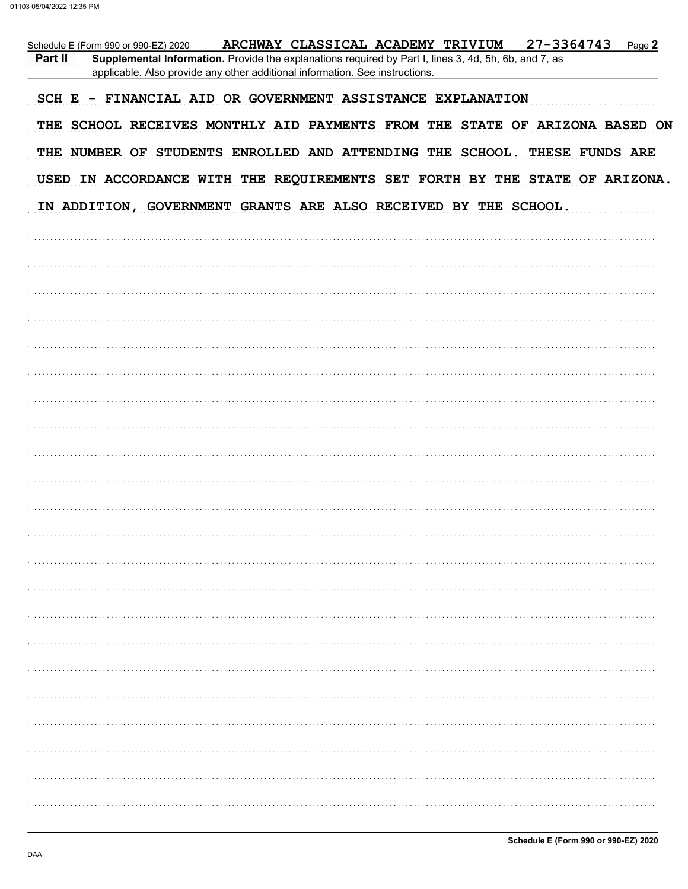| 27-3364743<br>ARCHWAY CLASSICAL ACADEMY TRIVIUM<br>Page 2<br>Schedule E (Form 990 or 990-EZ) 2020<br>Part II<br>Supplemental Information. Provide the explanations required by Part I, lines 3, 4d, 5h, 6b, and 7, as<br>applicable. Also provide any other additional information. See instructions. |
|-------------------------------------------------------------------------------------------------------------------------------------------------------------------------------------------------------------------------------------------------------------------------------------------------------|
| SCH E - FINANCIAL AID OR GOVERNMENT ASSISTANCE EXPLANATION                                                                                                                                                                                                                                            |
| THE SCHOOL RECEIVES MONTHLY AID PAYMENTS FROM THE STATE OF ARIZONA BASED ON                                                                                                                                                                                                                           |
| THE NUMBER OF STUDENTS ENROLLED AND ATTENDING THE SCHOOL. THESE FUNDS ARE                                                                                                                                                                                                                             |
| USED IN ACCORDANCE WITH THE REQUIREMENTS SET FORTH BY THE STATE OF ARIZONA.                                                                                                                                                                                                                           |
| IN ADDITION, GOVERNMENT GRANTS ARE ALSO RECEIVED BY THE SCHOOL.                                                                                                                                                                                                                                       |
|                                                                                                                                                                                                                                                                                                       |
|                                                                                                                                                                                                                                                                                                       |
|                                                                                                                                                                                                                                                                                                       |
|                                                                                                                                                                                                                                                                                                       |
|                                                                                                                                                                                                                                                                                                       |
|                                                                                                                                                                                                                                                                                                       |
|                                                                                                                                                                                                                                                                                                       |
|                                                                                                                                                                                                                                                                                                       |
|                                                                                                                                                                                                                                                                                                       |
|                                                                                                                                                                                                                                                                                                       |
|                                                                                                                                                                                                                                                                                                       |
|                                                                                                                                                                                                                                                                                                       |
|                                                                                                                                                                                                                                                                                                       |
|                                                                                                                                                                                                                                                                                                       |
|                                                                                                                                                                                                                                                                                                       |
|                                                                                                                                                                                                                                                                                                       |
|                                                                                                                                                                                                                                                                                                       |
|                                                                                                                                                                                                                                                                                                       |
|                                                                                                                                                                                                                                                                                                       |
|                                                                                                                                                                                                                                                                                                       |
|                                                                                                                                                                                                                                                                                                       |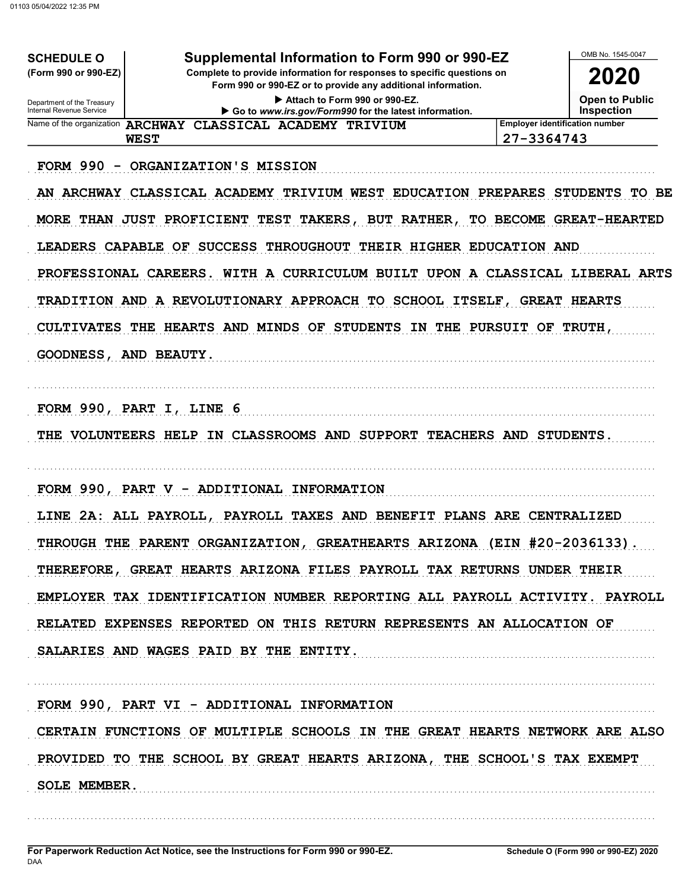| Complete to provide information for responses to specific questions on<br><b>2020</b><br>Form 990 or 990-EZ or to provide any additional information.<br><b>Open to Public</b><br>Attach to Form 990 or 990-EZ.<br>Internal Revenue Service<br><b>Inspection</b><br>Go to www.irs.gov/Form990 for the latest information.<br>Name of the organization ARCHWAY CLASSICAL ACADEMY TRIVIUM<br><b>Employer identification number</b><br>27-3364743<br><b>WEST</b><br>FORM 990 - ORGANIZATION'S MISSION<br>AN ARCHWAY CLASSICAL ACADEMY TRIVIUM WEST EDUCATION PREPARES STUDENTS TO BE<br>MORE THAN JUST PROFICIENT TEST TAKERS, BUT RATHER, TO BECOME GREAT-HEARTED<br>LEADERS CAPABLE OF SUCCESS THROUGHOUT THEIR HIGHER EDUCATION AND<br>PROFESSIONAL CAREERS. WITH A CURRICULUM BUILT UPON A CLASSICAL LIBERAL ARTS<br>TRADITION AND A REVOLUTIONARY APPROACH TO SCHOOL ITSELF, GREAT HEARTS<br>CULTIVATES THE HEARTS AND MINDS OF STUDENTS IN THE PURSUIT OF TRUTH,<br>GOODNESS, AND BEAUTY.<br>FORM 990, PART I, LINE 6<br>THE VOLUNTEERS HELP IN CLASSROOMS AND SUPPORT TEACHERS AND STUDENTS.<br>FORM 990, PART V - ADDITIONAL INFORMATION<br>LINE 2A: ALL PAYROLL, PAYROLL TAXES AND BENEFIT PLANS ARE CENTRALIZED<br>THROUGH THE PARENT ORGANIZATION, GREATHEARTS ARIZONA (EIN #20-2036133).<br>THEREFORE, GREAT HEARTS ARIZONA FILES PAYROLL TAX RETURNS UNDER THEIR<br>EMPLOYER TAX IDENTIFICATION NUMBER REPORTING ALL PAYROLL ACTIVITY. PAYROLL<br>RELATED EXPENSES REPORTED ON THIS RETURN REPRESENTS AN ALLOCATION OF<br>SALARIES AND WAGES PAID BY THE ENTITY.<br>FORM 990, PART VI - ADDITIONAL INFORMATION<br>CERTAIN FUNCTIONS OF MULTIPLE SCHOOLS IN THE GREAT HEARTS NETWORK ARE ALSO<br>PROVIDED TO THE SCHOOL BY GREAT HEARTS ARIZONA, THE SCHOOL'S TAX EXEMPT<br>SOLE MEMBER. | <b>SCHEDULE O</b>          | Supplemental Information to Form 990 or 990-EZ | OMB No. 1545-0047 |
|---------------------------------------------------------------------------------------------------------------------------------------------------------------------------------------------------------------------------------------------------------------------------------------------------------------------------------------------------------------------------------------------------------------------------------------------------------------------------------------------------------------------------------------------------------------------------------------------------------------------------------------------------------------------------------------------------------------------------------------------------------------------------------------------------------------------------------------------------------------------------------------------------------------------------------------------------------------------------------------------------------------------------------------------------------------------------------------------------------------------------------------------------------------------------------------------------------------------------------------------------------------------------------------------------------------------------------------------------------------------------------------------------------------------------------------------------------------------------------------------------------------------------------------------------------------------------------------------------------------------------------------------------------------------------------------------------------------------------------------------------------------------------------------------------|----------------------------|------------------------------------------------|-------------------|
|                                                                                                                                                                                                                                                                                                                                                                                                                                                                                                                                                                                                                                                                                                                                                                                                                                                                                                                                                                                                                                                                                                                                                                                                                                                                                                                                                                                                                                                                                                                                                                                                                                                                                                                                                                                                   | (Form 990 or 990-EZ)       |                                                |                   |
|                                                                                                                                                                                                                                                                                                                                                                                                                                                                                                                                                                                                                                                                                                                                                                                                                                                                                                                                                                                                                                                                                                                                                                                                                                                                                                                                                                                                                                                                                                                                                                                                                                                                                                                                                                                                   | Department of the Treasury |                                                |                   |
|                                                                                                                                                                                                                                                                                                                                                                                                                                                                                                                                                                                                                                                                                                                                                                                                                                                                                                                                                                                                                                                                                                                                                                                                                                                                                                                                                                                                                                                                                                                                                                                                                                                                                                                                                                                                   |                            |                                                |                   |
|                                                                                                                                                                                                                                                                                                                                                                                                                                                                                                                                                                                                                                                                                                                                                                                                                                                                                                                                                                                                                                                                                                                                                                                                                                                                                                                                                                                                                                                                                                                                                                                                                                                                                                                                                                                                   |                            |                                                |                   |
|                                                                                                                                                                                                                                                                                                                                                                                                                                                                                                                                                                                                                                                                                                                                                                                                                                                                                                                                                                                                                                                                                                                                                                                                                                                                                                                                                                                                                                                                                                                                                                                                                                                                                                                                                                                                   |                            |                                                |                   |
|                                                                                                                                                                                                                                                                                                                                                                                                                                                                                                                                                                                                                                                                                                                                                                                                                                                                                                                                                                                                                                                                                                                                                                                                                                                                                                                                                                                                                                                                                                                                                                                                                                                                                                                                                                                                   |                            |                                                |                   |
|                                                                                                                                                                                                                                                                                                                                                                                                                                                                                                                                                                                                                                                                                                                                                                                                                                                                                                                                                                                                                                                                                                                                                                                                                                                                                                                                                                                                                                                                                                                                                                                                                                                                                                                                                                                                   |                            |                                                |                   |
|                                                                                                                                                                                                                                                                                                                                                                                                                                                                                                                                                                                                                                                                                                                                                                                                                                                                                                                                                                                                                                                                                                                                                                                                                                                                                                                                                                                                                                                                                                                                                                                                                                                                                                                                                                                                   |                            |                                                |                   |
|                                                                                                                                                                                                                                                                                                                                                                                                                                                                                                                                                                                                                                                                                                                                                                                                                                                                                                                                                                                                                                                                                                                                                                                                                                                                                                                                                                                                                                                                                                                                                                                                                                                                                                                                                                                                   |                            |                                                |                   |
|                                                                                                                                                                                                                                                                                                                                                                                                                                                                                                                                                                                                                                                                                                                                                                                                                                                                                                                                                                                                                                                                                                                                                                                                                                                                                                                                                                                                                                                                                                                                                                                                                                                                                                                                                                                                   |                            |                                                |                   |
|                                                                                                                                                                                                                                                                                                                                                                                                                                                                                                                                                                                                                                                                                                                                                                                                                                                                                                                                                                                                                                                                                                                                                                                                                                                                                                                                                                                                                                                                                                                                                                                                                                                                                                                                                                                                   |                            |                                                |                   |
|                                                                                                                                                                                                                                                                                                                                                                                                                                                                                                                                                                                                                                                                                                                                                                                                                                                                                                                                                                                                                                                                                                                                                                                                                                                                                                                                                                                                                                                                                                                                                                                                                                                                                                                                                                                                   |                            |                                                |                   |
|                                                                                                                                                                                                                                                                                                                                                                                                                                                                                                                                                                                                                                                                                                                                                                                                                                                                                                                                                                                                                                                                                                                                                                                                                                                                                                                                                                                                                                                                                                                                                                                                                                                                                                                                                                                                   |                            |                                                |                   |
|                                                                                                                                                                                                                                                                                                                                                                                                                                                                                                                                                                                                                                                                                                                                                                                                                                                                                                                                                                                                                                                                                                                                                                                                                                                                                                                                                                                                                                                                                                                                                                                                                                                                                                                                                                                                   |                            |                                                |                   |
|                                                                                                                                                                                                                                                                                                                                                                                                                                                                                                                                                                                                                                                                                                                                                                                                                                                                                                                                                                                                                                                                                                                                                                                                                                                                                                                                                                                                                                                                                                                                                                                                                                                                                                                                                                                                   |                            |                                                |                   |
|                                                                                                                                                                                                                                                                                                                                                                                                                                                                                                                                                                                                                                                                                                                                                                                                                                                                                                                                                                                                                                                                                                                                                                                                                                                                                                                                                                                                                                                                                                                                                                                                                                                                                                                                                                                                   |                            |                                                |                   |
|                                                                                                                                                                                                                                                                                                                                                                                                                                                                                                                                                                                                                                                                                                                                                                                                                                                                                                                                                                                                                                                                                                                                                                                                                                                                                                                                                                                                                                                                                                                                                                                                                                                                                                                                                                                                   |                            |                                                |                   |
|                                                                                                                                                                                                                                                                                                                                                                                                                                                                                                                                                                                                                                                                                                                                                                                                                                                                                                                                                                                                                                                                                                                                                                                                                                                                                                                                                                                                                                                                                                                                                                                                                                                                                                                                                                                                   |                            |                                                |                   |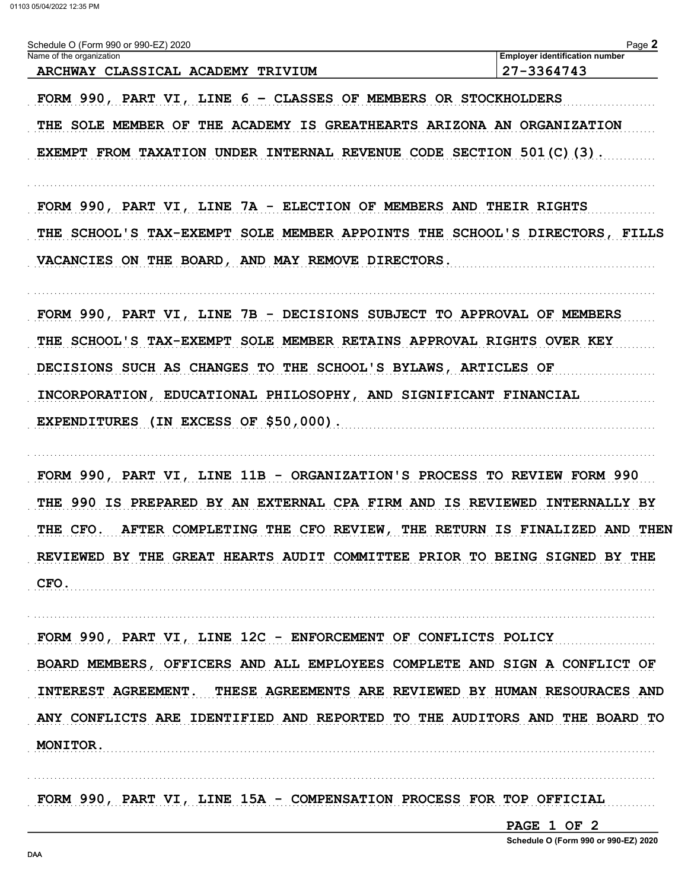| Schedule O (Form 990 or 990-EZ) 2020 | $P$ aqe $\Box$                        |
|--------------------------------------|---------------------------------------|
| Name of the organization             | <b>Employer identification number</b> |
| ARCHWAY CLASSICAL ACADEMY TRIVIUM    | 27-3364743                            |

FORM 990, PART VI, LINE 6 - CLASSES OF MEMBERS OR STOCKHOLDERS THE SOLE MEMBER OF THE ACADEMY IS GREATHEARTS ARIZONA AN ORGANIZATION EXEMPT FROM TAXATION UNDER INTERNAL REVENUE CODE SECTION 501(C)(3).

FORM 990, PART VI, LINE 7A - ELECTION OF MEMBERS AND THEIR RIGHTS THE SCHOOL'S TAX-EXEMPT SOLE MEMBER APPOINTS THE SCHOOL'S DIRECTORS, FILLS VACANCIES ON THE BOARD, AND MAY REMOVE DIRECTORS.

FORM 990, PART VI, LINE 7B - DECISIONS SUBJECT TO APPROVAL OF MEMBERS THE SCHOOL'S TAX-EXEMPT SOLE MEMBER RETAINS APPROVAL RIGHTS OVER KEY DECISIONS SUCH AS CHANGES TO THE SCHOOL'S BYLAWS, ARTICLES OF INCORPORATION, EDUCATIONAL PHILOSOPHY, AND SIGNIFICANT FINANCIAL EXPENDITURES (IN EXCESS OF \$50,000).

FORM 990, PART VI, LINE 11B - ORGANIZATION'S PROCESS TO REVIEW FORM 990 THE 990 IS PREPARED BY AN EXTERNAL CPA FIRM AND IS REVIEWED INTERNALLY BY THE CFO. AFTER COMPLETING THE CFO REVIEW, THE RETURN IS FINALIZED AND THEN REVIEWED BY THE GREAT HEARTS AUDIT COMMITTEE PRIOR TO BEING SIGNED BY THE CFO.

FORM 990, PART VI, LINE 12C - ENFORCEMENT OF CONFLICTS POLICY BOARD MEMBERS, OFFICERS AND ALL EMPLOYEES COMPLETE AND SIGN A CONFLICT OF INTEREST AGREEMENT. THESE AGREEMENTS ARE REVIEWED BY HUMAN RESOURACES AND ANY CONFLICTS ARE IDENTIFIED AND REPORTED TO THE AUDITORS AND THE BOARD TO MONITOR.

FORM 990, PART VI, LINE 15A - COMPENSATION PROCESS FOR TOP OFFICIAL

PAGE 1 OF 2

Schedule O (Form 990 or 990-EZ) 2020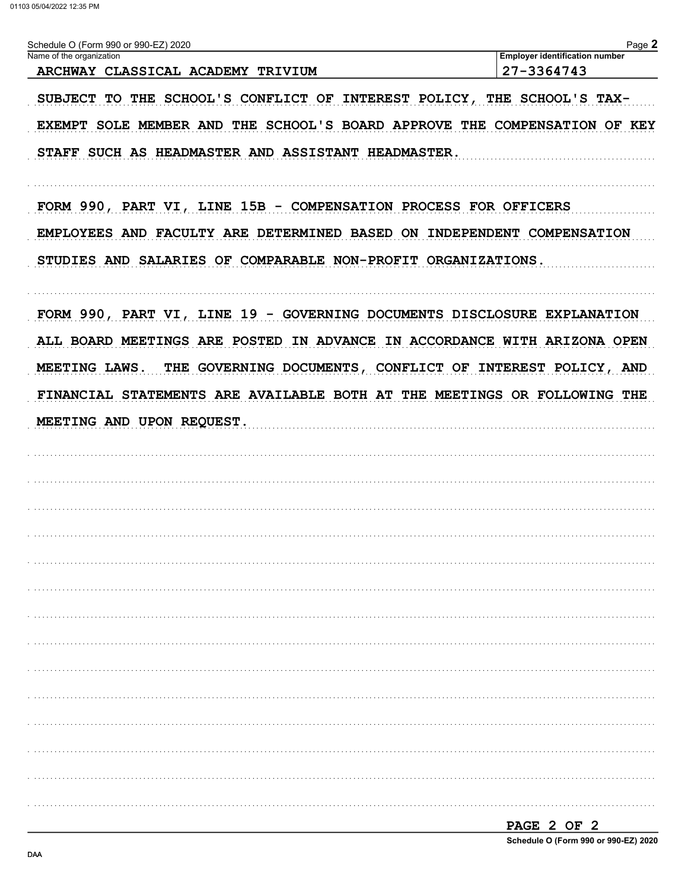| Schedule O (Form 990 or 990-EZ) 2020                                              | Page 2                                              |
|-----------------------------------------------------------------------------------|-----------------------------------------------------|
| Name of the organization<br>ARCHWAY CLASSICAL ACADEMY TRIVIUM                     | <b>Employer identification number</b><br>27-3364743 |
| SUBJECT TO THE SCHOOL'S CONFLICT OF INTEREST POLICY, THE SCHOOL'S TAX-            |                                                     |
| EXEMPT SOLE MEMBER AND THE SCHOOL'S BOARD APPROVE THE COMPENSATION OF KEY         |                                                     |
| STAFF SUCH AS HEADMASTER AND ASSISTANT HEADMASTER.                                |                                                     |
| FORM 990, PART VI, LINE 15B - COMPENSATION PROCESS FOR OFFICERS                   |                                                     |
| EMPLOYEES AND FACULTY ARE DETERMINED BASED ON INDEPENDENT COMPENSATION            |                                                     |
| STUDIES AND SALARIES OF COMPARABLE NON-PROFIT ORGANIZATIONS.                      |                                                     |
| FORM 990, PART VI, LINE 19 - GOVERNING DOCUMENTS DISCLOSURE EXPLANATION           |                                                     |
| ALL BOARD MEETINGS ARE POSTED IN ADVANCE IN ACCORDANCE WITH ARIZONA OPEN          |                                                     |
| THE GOVERNING DOCUMENTS, CONFLICT OF INTEREST POLICY, AND<br><b>MEETING LAWS.</b> |                                                     |
| FINANCIAL STATEMENTS ARE AVAILABLE BOTH AT THE MEETINGS OR FOLLOWING THE          |                                                     |
| MEETING AND UPON REQUEST.                                                         |                                                     |
|                                                                                   |                                                     |
|                                                                                   |                                                     |
|                                                                                   |                                                     |
|                                                                                   |                                                     |
|                                                                                   |                                                     |
|                                                                                   |                                                     |
|                                                                                   |                                                     |
|                                                                                   |                                                     |
|                                                                                   |                                                     |
|                                                                                   |                                                     |
|                                                                                   |                                                     |
|                                                                                   |                                                     |
|                                                                                   |                                                     |

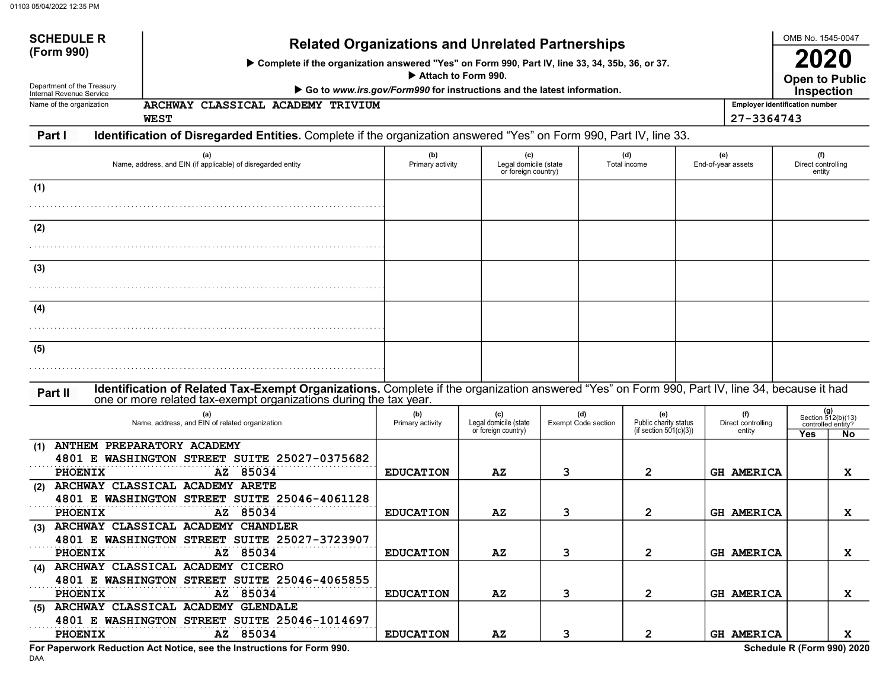| <b>SCHEDULE R</b><br>(Form 990)<br>Department of the Treasury<br>Internal Revenue Service<br>Name of the organization | <b>Related Organizations and Unrelated Partnerships</b><br>> Complete if the organization answered "Yes" on Form 990, Part IV, line 33, 34, 35b, 36, or 37.<br>$\triangleright$ Go to www.irs.gov/Form990 for instructions and the latest information.<br>ARCHWAY CLASSICAL ACADEMY TRIVIUM | Attach to Form 990.     |                                                     |                                   |                                                           |                           |                                     | OMB No. 1545-0047<br><b>2020</b><br><b>Open to Public</b><br><b>Inspection</b><br><b>Employer identification number</b> |    |
|-----------------------------------------------------------------------------------------------------------------------|---------------------------------------------------------------------------------------------------------------------------------------------------------------------------------------------------------------------------------------------------------------------------------------------|-------------------------|-----------------------------------------------------|-----------------------------------|-----------------------------------------------------------|---------------------------|-------------------------------------|-------------------------------------------------------------------------------------------------------------------------|----|
|                                                                                                                       | <b>WEST</b>                                                                                                                                                                                                                                                                                 |                         |                                                     |                                   |                                                           |                           | 27-3364743                          |                                                                                                                         |    |
| Part I                                                                                                                | Identification of Disregarded Entities. Complete if the organization answered "Yes" on Form 990, Part IV, line 33.                                                                                                                                                                          |                         |                                                     |                                   |                                                           |                           |                                     |                                                                                                                         |    |
|                                                                                                                       | Name, address, and EIN (if applicable) of disregarded entity                                                                                                                                                                                                                                | (b)<br>Primary activity | (c)<br>Legal domicile (state<br>or foreign country) |                                   | (d)<br>Total income                                       | (e)<br>End-of-year assets |                                     | (f)<br>Direct controlling<br>entity                                                                                     |    |
| (1)                                                                                                                   |                                                                                                                                                                                                                                                                                             |                         |                                                     |                                   |                                                           |                           |                                     |                                                                                                                         |    |
| (2)                                                                                                                   |                                                                                                                                                                                                                                                                                             |                         |                                                     |                                   |                                                           |                           |                                     |                                                                                                                         |    |
| (3)                                                                                                                   |                                                                                                                                                                                                                                                                                             |                         |                                                     |                                   |                                                           |                           |                                     |                                                                                                                         |    |
| (4)                                                                                                                   |                                                                                                                                                                                                                                                                                             |                         |                                                     |                                   |                                                           |                           |                                     |                                                                                                                         |    |
|                                                                                                                       |                                                                                                                                                                                                                                                                                             |                         |                                                     |                                   |                                                           |                           |                                     |                                                                                                                         |    |
| (5)                                                                                                                   |                                                                                                                                                                                                                                                                                             |                         |                                                     |                                   |                                                           |                           |                                     |                                                                                                                         |    |
| Part II                                                                                                               | Identification of Related Tax-Exempt Organizations. Complete if the organization answered "Yes" on Form 990, Part IV, line 34, because it had<br>one or more related tax-exempt organizations during the tax year.                                                                          |                         |                                                     |                                   |                                                           |                           |                                     |                                                                                                                         |    |
|                                                                                                                       | (a)<br>Name, address, and EIN of related organization                                                                                                                                                                                                                                       | (b)<br>Primary activity | (c)<br>Legal domicile (state<br>or foreign country) | (d)<br><b>Exempt Code section</b> | (e)<br>Public charity status<br>(if section $501(c)(3)$ ) |                           | (f)<br>Direct controlling<br>entity | (g)<br>Section 512(b)(13)<br>controlled entity?<br>Yes                                                                  | No |
| (1)<br><b>PHOENIX</b>                                                                                                 | ANTHEM PREPARATORY ACADEMY<br>4801 E WASHINGTON STREET SUITE 25027-0375682<br>85034<br>AZ                                                                                                                                                                                                   | <b>EDUCATION</b>        | AZ                                                  | 3                                 | 2                                                         |                           | <b>GH AMERICA</b>                   |                                                                                                                         | x  |
| (2)<br><b>PHOENIX</b>                                                                                                 | ARCHWAY CLASSICAL ACADEMY ARETE<br>4801 E WASHINGTON STREET SUITE 25046-4061128<br>85034<br>AZ                                                                                                                                                                                              | <b>EDUCATION</b>        | AZ                                                  | 3                                 | 2                                                         |                           | <b>GH AMERICA</b>                   |                                                                                                                         | x  |
| <b>PHOENIX</b>                                                                                                        | (3) ARCHWAY CLASSICAL ACADEMY CHANDLER<br>4801 E WASHINGTON STREET SUITE 25027-3723907<br>AZ 85034                                                                                                                                                                                          | <b>EDUCATION</b>        | AZ                                                  | 3                                 | $\mathbf{2}$                                              |                           | <b>GH AMERICA</b>                   |                                                                                                                         | X  |
| <b>PHOENIX</b>                                                                                                        | (4) ARCHWAY CLASSICAL ACADEMY CICERO<br>4801 E WASHINGTON STREET SUITE 25046-4065855<br>AZ 85034                                                                                                                                                                                            | <b>EDUCATION</b>        | AZ                                                  | 3                                 | 2                                                         |                           | <b>GH AMERICA</b>                   |                                                                                                                         | X  |
| <b>PHOENIX</b>                                                                                                        | (5) ARCHWAY CLASSICAL ACADEMY GLENDALE<br>4801 E WASHINGTON STREET SUITE 25046-1014697<br>AZ 85034                                                                                                                                                                                          | <b>EDUCATION</b>        | AZ                                                  | 3                                 | $\mathbf{2}$                                              |                           | <b>GH AMERICA</b>                   |                                                                                                                         | X. |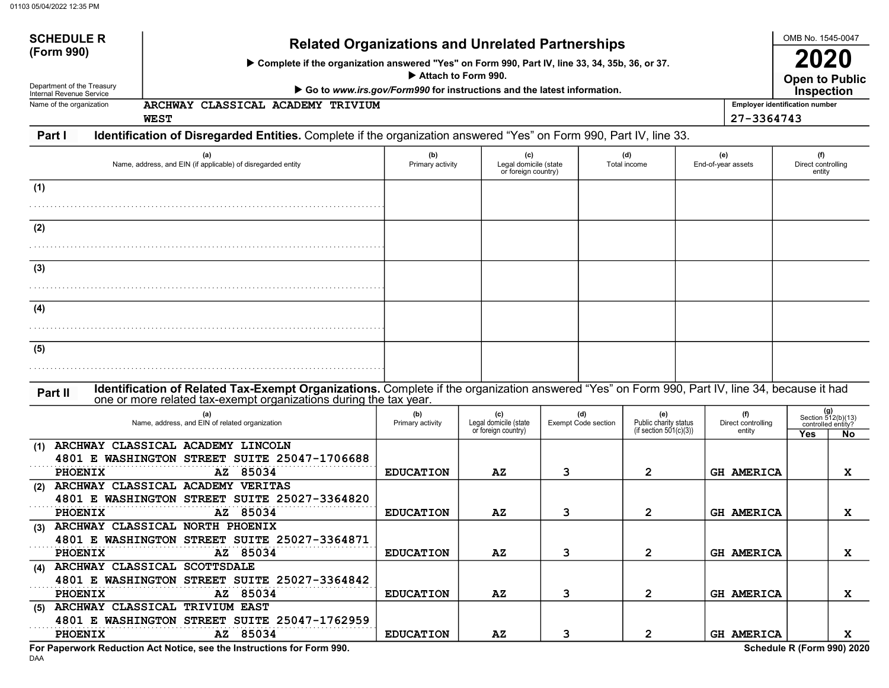| <b>SCHEDULE R</b><br>(Form 990)<br>Department of the Treasury<br>Internal Revenue Service | <b>Related Organizations and Unrelated Partnerships</b><br>> Complete if the organization answered "Yes" on Form 990, Part IV, line 33, 34, 35b, 36, or 37.                                                        | Attach to Form 990.<br>Go to www.irs.gov/Form990 for instructions and the latest information. |                                                     |                                   |                                                           |                                     | OMB No. 1545-0047<br><b>2020</b><br><b>Open to Public</b><br><b>Inspection</b> |                                                         |
|-------------------------------------------------------------------------------------------|--------------------------------------------------------------------------------------------------------------------------------------------------------------------------------------------------------------------|-----------------------------------------------------------------------------------------------|-----------------------------------------------------|-----------------------------------|-----------------------------------------------------------|-------------------------------------|--------------------------------------------------------------------------------|---------------------------------------------------------|
| Name of the organization                                                                  | ARCHWAY CLASSICAL ACADEMY TRIVIUM<br><b>WEST</b>                                                                                                                                                                   |                                                                                               |                                                     |                                   |                                                           | 27-3364743                          | <b>Employer identification number</b>                                          |                                                         |
| Part I                                                                                    | Identification of Disregarded Entities. Complete if the organization answered "Yes" on Form 990, Part IV, line 33.                                                                                                 |                                                                                               |                                                     |                                   |                                                           |                                     |                                                                                |                                                         |
|                                                                                           | Name, address, and EIN (if applicable) of disregarded entity                                                                                                                                                       | (b)<br>Primary activity                                                                       | (c)<br>Legal domicile (state<br>or foreign country) |                                   | (d)<br>Total income                                       | (e)<br>End-of-year assets           | (f)<br>Direct controlling<br>entity                                            |                                                         |
| (1)                                                                                       |                                                                                                                                                                                                                    |                                                                                               |                                                     |                                   |                                                           |                                     |                                                                                |                                                         |
|                                                                                           |                                                                                                                                                                                                                    |                                                                                               |                                                     |                                   |                                                           |                                     |                                                                                |                                                         |
| (2)                                                                                       |                                                                                                                                                                                                                    |                                                                                               |                                                     |                                   |                                                           |                                     |                                                                                |                                                         |
|                                                                                           |                                                                                                                                                                                                                    |                                                                                               |                                                     |                                   |                                                           |                                     |                                                                                |                                                         |
| (3)                                                                                       |                                                                                                                                                                                                                    |                                                                                               |                                                     |                                   |                                                           |                                     |                                                                                |                                                         |
|                                                                                           |                                                                                                                                                                                                                    |                                                                                               |                                                     |                                   |                                                           |                                     |                                                                                |                                                         |
|                                                                                           |                                                                                                                                                                                                                    |                                                                                               |                                                     |                                   |                                                           |                                     |                                                                                |                                                         |
| (4)                                                                                       |                                                                                                                                                                                                                    |                                                                                               |                                                     |                                   |                                                           |                                     |                                                                                |                                                         |
|                                                                                           |                                                                                                                                                                                                                    |                                                                                               |                                                     |                                   |                                                           |                                     |                                                                                |                                                         |
| (5)                                                                                       |                                                                                                                                                                                                                    |                                                                                               |                                                     |                                   |                                                           |                                     |                                                                                |                                                         |
|                                                                                           |                                                                                                                                                                                                                    |                                                                                               |                                                     |                                   |                                                           |                                     |                                                                                |                                                         |
| Part II                                                                                   | Identification of Related Tax-Exempt Organizations. Complete if the organization answered "Yes" on Form 990, Part IV, line 34, because it had<br>one or more related tax-exempt organizations during the tax year. |                                                                                               |                                                     |                                   |                                                           |                                     |                                                                                |                                                         |
|                                                                                           | (a)<br>Name, address, and EIN of related organization                                                                                                                                                              | (b)<br>Primary activity                                                                       | (c)<br>Legal domicile (state<br>or foreign country) | (d)<br><b>Exempt Code section</b> | (e)<br>Public charity status<br>(if section $501(c)(3)$ ) | (f)<br>Direct controlling<br>entity | Yes                                                                            | $(g)$<br>Section 512(b)(13)<br>controlled entity?<br>No |
| (1)<br><b>PHOENIX</b>                                                                     | ARCHWAY CLASSICAL ACADEMY LINCOLN<br>4801 E WASHINGTON STREET SUITE 25047-1706688<br>85034<br>AZ                                                                                                                   | <b>EDUCATION</b>                                                                              | AZ                                                  | 3                                 | 2                                                         | <b>GH AMERICA</b>                   |                                                                                | x                                                       |
| (2)                                                                                       | ARCHWAY CLASSICAL ACADEMY VERITAS                                                                                                                                                                                  |                                                                                               |                                                     |                                   |                                                           |                                     |                                                                                |                                                         |
| <b>PHOENIX</b>                                                                            | 4801 E WASHINGTON STREET SUITE 25027-3364820<br>85034                                                                                                                                                              |                                                                                               |                                                     | з                                 | 2                                                         | <b>GH AMERICA</b>                   |                                                                                | x                                                       |
|                                                                                           | AZ.<br>(3) ARCHWAY CLASSICAL NORTH PHOENIX                                                                                                                                                                         | <b>EDUCATION</b>                                                                              | AZ                                                  |                                   |                                                           |                                     |                                                                                |                                                         |
| <b>PHOENIX</b>                                                                            | 4801 E WASHINGTON STREET SUITE 25027-3364871<br>AZ 85034                                                                                                                                                           | <b>EDUCATION</b>                                                                              | AZ                                                  | 3                                 | $\mathbf{2}$                                              | <b>GH AMERICA</b>                   |                                                                                | X                                                       |
| <b>PHOENIX</b>                                                                            | (4) ARCHWAY CLASSICAL SCOTTSDALE<br>4801 E WASHINGTON STREET SUITE 25027-3364842<br>AZ 85034                                                                                                                       | <b>EDUCATION</b>                                                                              | AZ                                                  | 3                                 | $\mathbf{2}$                                              | <b>GH AMERICA</b>                   |                                                                                | X                                                       |
| <b>PHOENIX</b>                                                                            | (5) ARCHWAY CLASSICAL TRIVIUM EAST<br>4801 E WASHINGTON STREET SUITE 25047-1762959<br>AZ 85034                                                                                                                     | <b>EDUCATION</b>                                                                              | AZ                                                  | 3                                 | $\mathbf{2}$                                              | GH AMERICA                          |                                                                                | X                                                       |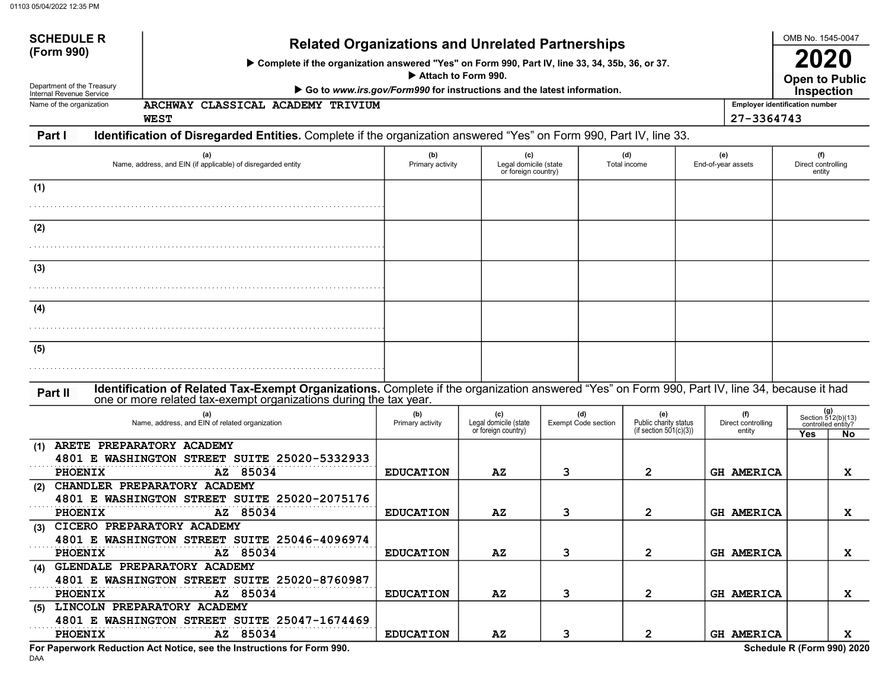| <b>SCHEDULE R</b><br>(Form 990)<br>Department of the Treasury<br>Internal Revenue Service | <b>Related Organizations and Unrelated Partnerships</b><br>> Complete if the organization answered "Yes" on Form 990, Part IV, line 33, 34, 35b, 36, or 37.<br>$\triangleright$ Go to www.irs.gov/Form990 for instructions and the latest information. | Attach to Form 990.     |                                                     |                                   |                                                           |                           |                                                     | OMB No. 1545-0047<br><b>2020</b><br><b>Open to Public</b><br><b>Inspection</b> |                                                       |  |
|-------------------------------------------------------------------------------------------|--------------------------------------------------------------------------------------------------------------------------------------------------------------------------------------------------------------------------------------------------------|-------------------------|-----------------------------------------------------|-----------------------------------|-----------------------------------------------------------|---------------------------|-----------------------------------------------------|--------------------------------------------------------------------------------|-------------------------------------------------------|--|
| Name of the organization                                                                  | ARCHWAY CLASSICAL ACADEMY TRIVIUM<br><b>WEST</b>                                                                                                                                                                                                       |                         |                                                     |                                   |                                                           |                           | <b>Employer identification number</b><br>27-3364743 |                                                                                |                                                       |  |
| Part I                                                                                    | Identification of Disregarded Entities. Complete if the organization answered "Yes" on Form 990, Part IV, line 33.                                                                                                                                     |                         |                                                     |                                   |                                                           |                           |                                                     |                                                                                |                                                       |  |
|                                                                                           | Name, address, and EIN (if applicable) of disregarded entity                                                                                                                                                                                           | (b)<br>Primary activity | (c)<br>Legal domicile (state<br>or foreign country) |                                   | (d)<br>Total income                                       | (e)<br>End-of-year assets |                                                     | (f)<br>Direct controlling<br>entity                                            |                                                       |  |
| (1)                                                                                       |                                                                                                                                                                                                                                                        |                         |                                                     |                                   |                                                           |                           |                                                     |                                                                                |                                                       |  |
| (2)                                                                                       |                                                                                                                                                                                                                                                        |                         |                                                     |                                   |                                                           |                           |                                                     |                                                                                |                                                       |  |
| (3)                                                                                       |                                                                                                                                                                                                                                                        |                         |                                                     |                                   |                                                           |                           |                                                     |                                                                                |                                                       |  |
| (4)                                                                                       |                                                                                                                                                                                                                                                        |                         |                                                     |                                   |                                                           |                           |                                                     |                                                                                |                                                       |  |
| (5)                                                                                       |                                                                                                                                                                                                                                                        |                         |                                                     |                                   |                                                           |                           |                                                     |                                                                                |                                                       |  |
| Part II                                                                                   | Identification of Related Tax-Exempt Organizations. Complete if the organization answered "Yes" on Form 990, Part IV, line 34, because it had<br>one or more related tax-exempt organizations during the tax year.                                     |                         |                                                     |                                   |                                                           |                           |                                                     |                                                                                |                                                       |  |
|                                                                                           | (a)<br>Name, address, and EIN of related organization                                                                                                                                                                                                  | (b)<br>Primary activity | (c)<br>Legal domicile (state<br>or foreign country) | (d)<br><b>Exempt Code section</b> | (e)<br>Public charity status<br>(if section $501(c)(3)$ ) |                           | (f)<br>Direct controlling<br>entity                 | Yes                                                                            | (g)<br>Section 512(b)(13)<br>controlled entity?<br>No |  |
| (1)<br><b>PHOENIX</b>                                                                     | ARETE PREPARATORY ACADEMY<br>4801 E WASHINGTON STREET SUITE 25020-5332933<br>AZ 85034                                                                                                                                                                  | <b>EDUCATION</b>        | AZ                                                  | 3                                 | 2                                                         |                           | <b>GH AMERICA</b>                                   |                                                                                | x                                                     |  |
| (2)<br><b>PHOENIX</b>                                                                     | CHANDLER PREPARATORY ACADEMY<br>4801 E WASHINGTON STREET SUITE 25020-2075176<br>AZ 85034                                                                                                                                                               | <b>EDUCATION</b>        | AZ                                                  | 3                                 | 2                                                         |                           | <b>GH AMERICA</b>                                   |                                                                                | x                                                     |  |
| PHOENIX                                                                                   | (3) CICERO PREPARATORY ACADEMY<br>4801 E WASHINGTON STREET SUITE 25046-4096974<br>AZ 85034                                                                                                                                                             | <b>EDUCATION</b>        | AZ                                                  | 3                                 | $\mathbf{2}$                                              |                           | <b>GH AMERICA</b>                                   |                                                                                | X                                                     |  |
| <b>PHOENIX</b>                                                                            | (4) GLENDALE PREPARATORY ACADEMY<br>4801 E WASHINGTON STREET SUITE 25020-8760987<br>AZ 85034                                                                                                                                                           | <b>EDUCATION</b>        | AZ                                                  | 3                                 | 2                                                         |                           | <b>GH AMERICA</b>                                   |                                                                                | X                                                     |  |
| <b>PHOENIX</b>                                                                            | (5) LINCOLN PREPARATORY ACADEMY<br>4801 E WASHINGTON STREET SUITE 25047-1674469<br>AZ 85034                                                                                                                                                            | <b>EDUCATION</b>        | AZ                                                  | 3                                 | $\mathbf{2}$                                              |                           | <b>GH AMERICA</b>                                   |                                                                                | X.                                                    |  |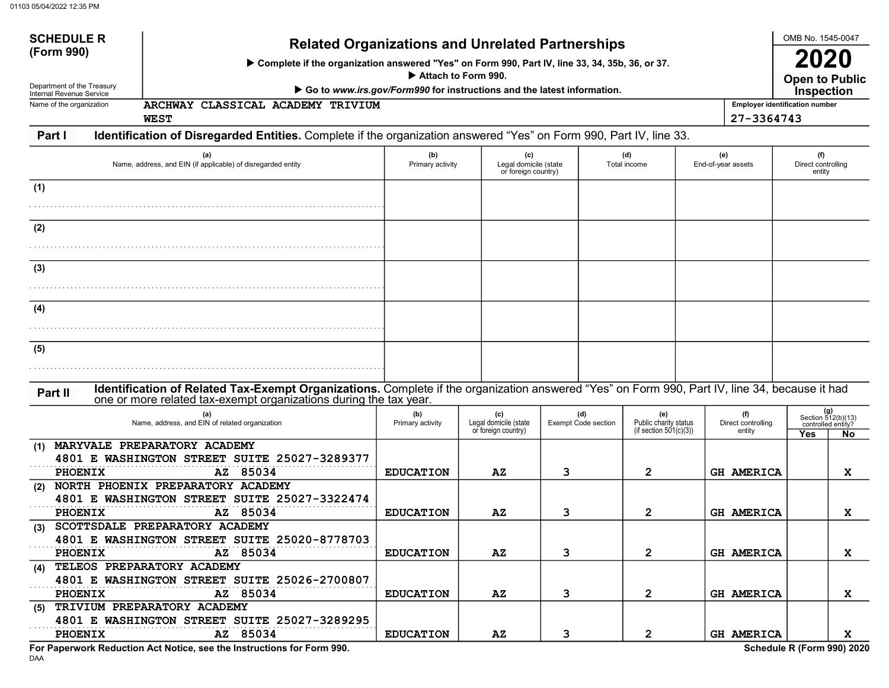| <b>SCHEDULE R</b><br>OMB No. 1545-0047<br><b>Related Organizations and Unrelated Partnerships</b><br>(Form 990)<br>> Complete if the organization answered "Yes" on Form 990, Part IV, line 33, 34, 35b, 36, or 37.<br>Attach to Form 990.<br><b>Open to Public</b><br>Department of the Treasury<br>Go to www.irs.gov/Form990 for instructions and the latest information.<br>Internal Revenue Service |                                                                                                                                                                                                                    |                         |                                                     |                                   |                                                           |                                     |                                       |                                                       |  |  |
|---------------------------------------------------------------------------------------------------------------------------------------------------------------------------------------------------------------------------------------------------------------------------------------------------------------------------------------------------------------------------------------------------------|--------------------------------------------------------------------------------------------------------------------------------------------------------------------------------------------------------------------|-------------------------|-----------------------------------------------------|-----------------------------------|-----------------------------------------------------------|-------------------------------------|---------------------------------------|-------------------------------------------------------|--|--|
| Name of the organization                                                                                                                                                                                                                                                                                                                                                                                | ARCHWAY CLASSICAL ACADEMY TRIVIUM<br><b>WEST</b>                                                                                                                                                                   |                         |                                                     |                                   |                                                           | 27-3364743                          | <b>Employer identification number</b> |                                                       |  |  |
| Part I                                                                                                                                                                                                                                                                                                                                                                                                  | Identification of Disregarded Entities. Complete if the organization answered "Yes" on Form 990, Part IV, line 33.                                                                                                 |                         |                                                     |                                   |                                                           |                                     |                                       |                                                       |  |  |
|                                                                                                                                                                                                                                                                                                                                                                                                         |                                                                                                                                                                                                                    |                         |                                                     |                                   |                                                           |                                     |                                       |                                                       |  |  |
|                                                                                                                                                                                                                                                                                                                                                                                                         | Name, address, and EIN (if applicable) of disregarded entity                                                                                                                                                       | (b)<br>Primary activity | (c)<br>Legal domicile (state<br>or foreign country) |                                   | (d)<br>Total income                                       | (e)<br>End-of-year assets           | (f)<br>Direct controlling<br>entity   |                                                       |  |  |
| (1)                                                                                                                                                                                                                                                                                                                                                                                                     |                                                                                                                                                                                                                    |                         |                                                     |                                   |                                                           |                                     |                                       |                                                       |  |  |
|                                                                                                                                                                                                                                                                                                                                                                                                         |                                                                                                                                                                                                                    |                         |                                                     |                                   |                                                           |                                     |                                       |                                                       |  |  |
| (2)                                                                                                                                                                                                                                                                                                                                                                                                     |                                                                                                                                                                                                                    |                         |                                                     |                                   |                                                           |                                     |                                       |                                                       |  |  |
|                                                                                                                                                                                                                                                                                                                                                                                                         |                                                                                                                                                                                                                    |                         |                                                     |                                   |                                                           |                                     |                                       |                                                       |  |  |
| (3)                                                                                                                                                                                                                                                                                                                                                                                                     |                                                                                                                                                                                                                    |                         |                                                     |                                   |                                                           |                                     |                                       |                                                       |  |  |
|                                                                                                                                                                                                                                                                                                                                                                                                         |                                                                                                                                                                                                                    |                         |                                                     |                                   |                                                           |                                     |                                       |                                                       |  |  |
|                                                                                                                                                                                                                                                                                                                                                                                                         |                                                                                                                                                                                                                    |                         |                                                     |                                   |                                                           |                                     |                                       |                                                       |  |  |
| (4)                                                                                                                                                                                                                                                                                                                                                                                                     |                                                                                                                                                                                                                    |                         |                                                     |                                   |                                                           |                                     |                                       |                                                       |  |  |
|                                                                                                                                                                                                                                                                                                                                                                                                         |                                                                                                                                                                                                                    |                         |                                                     |                                   |                                                           |                                     |                                       |                                                       |  |  |
| (5)                                                                                                                                                                                                                                                                                                                                                                                                     |                                                                                                                                                                                                                    |                         |                                                     |                                   |                                                           |                                     |                                       |                                                       |  |  |
|                                                                                                                                                                                                                                                                                                                                                                                                         |                                                                                                                                                                                                                    |                         |                                                     |                                   |                                                           |                                     |                                       |                                                       |  |  |
| Part II                                                                                                                                                                                                                                                                                                                                                                                                 | Identification of Related Tax-Exempt Organizations. Complete if the organization answered "Yes" on Form 990, Part IV, line 34, because it had<br>one or more related tax-exempt organizations during the tax year. |                         |                                                     |                                   |                                                           |                                     |                                       |                                                       |  |  |
|                                                                                                                                                                                                                                                                                                                                                                                                         | (a)<br>Name, address, and EIN of related organization                                                                                                                                                              | (b)<br>Primary activity | (c)<br>Legal domicile (state<br>or foreign country) | (d)<br><b>Exempt Code section</b> | (e)<br>Public charity status<br>(if section $501(c)(3)$ ) | (f)<br>Direct controlling<br>entity | Yes                                   | (g)<br>Section 512(b)(13)<br>controlled entity?<br>No |  |  |
| (1)<br><b>PHOENIX</b>                                                                                                                                                                                                                                                                                                                                                                                   | MARYVALE PREPARATORY ACADEMY<br>4801 E WASHINGTON STREET SUITE 25027-3289377<br>85034<br>AZ                                                                                                                        | <b>EDUCATION</b>        | AZ                                                  | 3                                 | 2                                                         | <b>GH AMERICA</b>                   |                                       | x                                                     |  |  |
| (2)                                                                                                                                                                                                                                                                                                                                                                                                     | NORTH PHOENIX PREPARATORY ACADEMY<br>4801 E WASHINGTON STREET SUITE 25027-3322474                                                                                                                                  |                         |                                                     |                                   |                                                           |                                     |                                       |                                                       |  |  |
| <b>PHOENIX</b><br>(3)                                                                                                                                                                                                                                                                                                                                                                                   | AZ 85034<br>SCOTTSDALE PREPARATORY ACADEMY                                                                                                                                                                         | <b>EDUCATION</b>        | AZ                                                  | з                                 | 2                                                         | <b>GH AMERICA</b>                   |                                       | x                                                     |  |  |
| <b>PHOENIX</b>                                                                                                                                                                                                                                                                                                                                                                                          | 4801 E WASHINGTON STREET SUITE 25020-8778703<br>AZ 85034                                                                                                                                                           | <b>EDUCATION</b>        | AZ                                                  | 3                                 | $\mathbf{2}$                                              | <b>GH AMERICA</b>                   |                                       | X                                                     |  |  |
| <b>PHOENIX</b>                                                                                                                                                                                                                                                                                                                                                                                          | (4) TELEOS PREPARATORY ACADEMY<br>4801 E WASHINGTON STREET SUITE 25026-2700807<br>AZ 85034                                                                                                                         | <b>EDUCATION</b>        | AZ                                                  | 3                                 | $\mathbf{2}$                                              | <b>GH AMERICA</b>                   |                                       | X                                                     |  |  |
| <b>PHOENIX</b>                                                                                                                                                                                                                                                                                                                                                                                          | (5) TRIVIUM PREPARATORY ACADEMY<br>4801 E WASHINGTON STREET SUITE 25027-3289295<br>AZ 85034                                                                                                                        | <b>EDUCATION</b>        | AZ                                                  | 3                                 | $\mathbf{2}$                                              | GH AMERICA                          |                                       | X                                                     |  |  |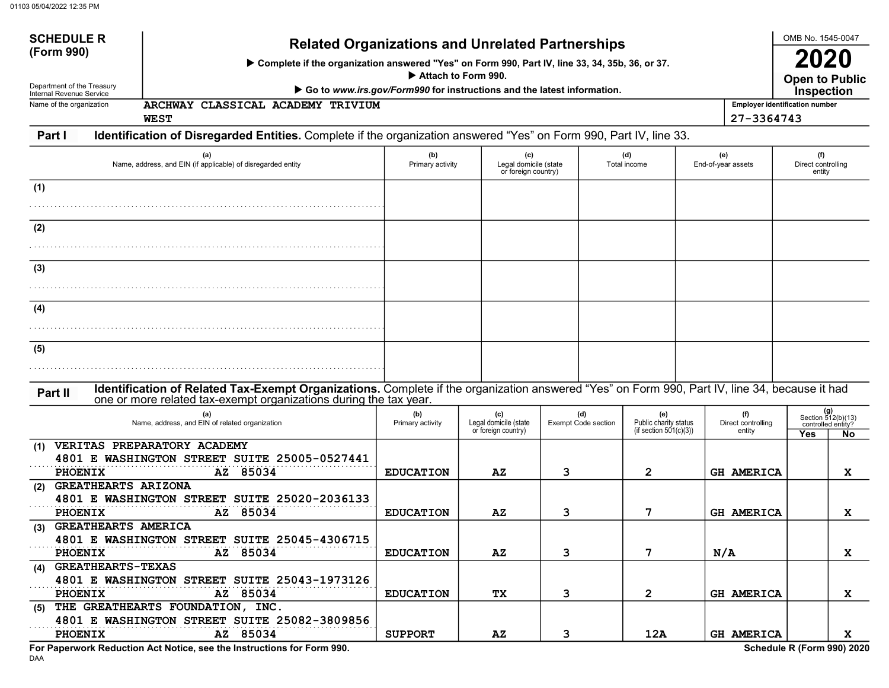| <b>SCHEDULE R</b><br>OMB No. 1545-0047<br><b>Related Organizations and Unrelated Partnerships</b><br>(Form 990)<br>> Complete if the organization answered "Yes" on Form 990, Part IV, line 33, 34, 35b, 36, or 37.<br>Attach to Form 990.<br><b>Open to Public</b><br>Department of the Treasury<br>$\triangleright$ Go to www.irs.gov/Form990 for instructions and the latest information.<br>Internal Revenue Service<br><b>Employer identification number</b><br>ARCHWAY CLASSICAL ACADEMY TRIVIUM<br>Name of the organization |                                                                                                                                                                                                                    |                         |                                                     |                                   |  |                                                           |  |                                     |                                     |                                                       |  |
|------------------------------------------------------------------------------------------------------------------------------------------------------------------------------------------------------------------------------------------------------------------------------------------------------------------------------------------------------------------------------------------------------------------------------------------------------------------------------------------------------------------------------------|--------------------------------------------------------------------------------------------------------------------------------------------------------------------------------------------------------------------|-------------------------|-----------------------------------------------------|-----------------------------------|--|-----------------------------------------------------------|--|-------------------------------------|-------------------------------------|-------------------------------------------------------|--|
|                                                                                                                                                                                                                                                                                                                                                                                                                                                                                                                                    | <b>WEST</b>                                                                                                                                                                                                        |                         |                                                     |                                   |  |                                                           |  | 27-3364743                          |                                     |                                                       |  |
| Part I                                                                                                                                                                                                                                                                                                                                                                                                                                                                                                                             | Identification of Disregarded Entities. Complete if the organization answered "Yes" on Form 990, Part IV, line 33.                                                                                                 |                         |                                                     |                                   |  |                                                           |  |                                     |                                     |                                                       |  |
|                                                                                                                                                                                                                                                                                                                                                                                                                                                                                                                                    | (a)<br>Name, address, and EIN (if applicable) of disregarded entity                                                                                                                                                | (b)<br>Primary activity | (c)<br>Legal domicile (state<br>or foreign country) |                                   |  | (d)<br>Total income                                       |  | (e)<br>End-of-year assets           | (f)<br>Direct controlling<br>entity |                                                       |  |
| (1)                                                                                                                                                                                                                                                                                                                                                                                                                                                                                                                                |                                                                                                                                                                                                                    |                         |                                                     |                                   |  |                                                           |  |                                     |                                     |                                                       |  |
| (2)                                                                                                                                                                                                                                                                                                                                                                                                                                                                                                                                |                                                                                                                                                                                                                    |                         |                                                     |                                   |  |                                                           |  |                                     |                                     |                                                       |  |
| (3)                                                                                                                                                                                                                                                                                                                                                                                                                                                                                                                                |                                                                                                                                                                                                                    |                         |                                                     |                                   |  |                                                           |  |                                     |                                     |                                                       |  |
| (4)                                                                                                                                                                                                                                                                                                                                                                                                                                                                                                                                |                                                                                                                                                                                                                    |                         |                                                     |                                   |  |                                                           |  |                                     |                                     |                                                       |  |
|                                                                                                                                                                                                                                                                                                                                                                                                                                                                                                                                    |                                                                                                                                                                                                                    |                         |                                                     |                                   |  |                                                           |  |                                     |                                     |                                                       |  |
| (5)                                                                                                                                                                                                                                                                                                                                                                                                                                                                                                                                |                                                                                                                                                                                                                    |                         |                                                     |                                   |  |                                                           |  |                                     |                                     |                                                       |  |
| Part II                                                                                                                                                                                                                                                                                                                                                                                                                                                                                                                            | Identification of Related Tax-Exempt Organizations. Complete if the organization answered "Yes" on Form 990, Part IV, line 34, because it had<br>one or more related tax-exempt organizations during the tax year. |                         |                                                     |                                   |  |                                                           |  |                                     |                                     |                                                       |  |
|                                                                                                                                                                                                                                                                                                                                                                                                                                                                                                                                    | (a)<br>Name, address, and EIN of related organization                                                                                                                                                              | (b)<br>Primary activity | (c)<br>Legal domicile (state<br>or foreign country) | (d)<br><b>Exempt Code section</b> |  | (e)<br>Public charity status<br>(if section $501(c)(3)$ ) |  | (f)<br>Direct controlling<br>entity | Yes                                 | (g)<br>Section 512(b)(13)<br>controlled entity?<br>No |  |
| (1)<br><b>PHOENIX</b>                                                                                                                                                                                                                                                                                                                                                                                                                                                                                                              | VERITAS PREPARATORY ACADEMY<br>4801 E WASHINGTON STREET SUITE 25005-0527441<br>AZ 85034                                                                                                                            | <b>EDUCATION</b>        | AZ                                                  | 3                                 |  | 2                                                         |  | <b>GH AMERICA</b>                   |                                     | x                                                     |  |
| <b>GREATHEARTS ARIZONA</b><br>(2)<br><b>PHOENIX</b>                                                                                                                                                                                                                                                                                                                                                                                                                                                                                | 4801 E WASHINGTON STREET SUITE 25020-2036133<br>AZ 85034                                                                                                                                                           | <b>EDUCATION</b>        | AZ                                                  | 3                                 |  | 7                                                         |  | <b>GH AMERICA</b>                   |                                     | x                                                     |  |
| (3) GREATHEARTS AMERICA<br>PHOENIX                                                                                                                                                                                                                                                                                                                                                                                                                                                                                                 | 4801 E WASHINGTON STREET SUITE 25045-4306715<br>AZ 85034                                                                                                                                                           | <b>EDUCATION</b>        | AZ                                                  | 3                                 |  | 7                                                         |  | N/A                                 |                                     | X                                                     |  |
| (4) GREATHEARTS-TEXAS<br><b>PHOENIX</b>                                                                                                                                                                                                                                                                                                                                                                                                                                                                                            | 4801 E WASHINGTON STREET SUITE 25043-1973126<br>AZ 85034                                                                                                                                                           | <b>EDUCATION</b>        | TХ                                                  | 3                                 |  | $\mathbf{2}$                                              |  | <b>GH AMERICA</b>                   |                                     | X                                                     |  |
| <b>PHOENIX</b>                                                                                                                                                                                                                                                                                                                                                                                                                                                                                                                     | (5) THE GREATHEARTS FOUNDATION, INC.<br>4801 E WASHINGTON STREET SUITE 25082-3809856<br>AZ 85034                                                                                                                   | <b>SUPPORT</b>          | AZ                                                  | 3                                 |  | 12A                                                       |  | GH AMERICA                          |                                     | X.                                                    |  |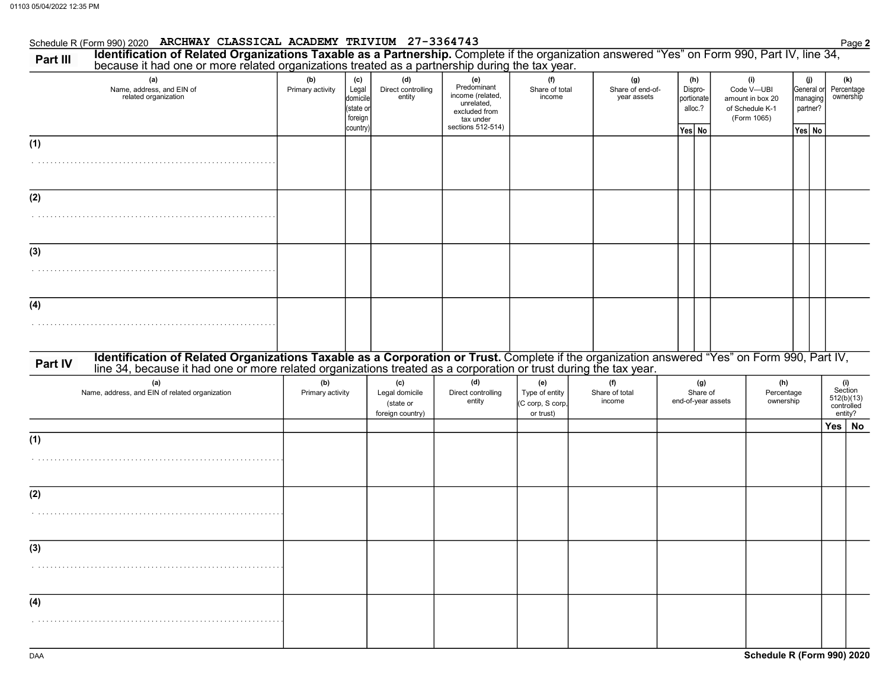# Schedule R (Form 990) 2020 ARCHWAY CLASSICAL ACADEMY TRIVIUM 27-3364743<br>Page 2

| Part III | Identification of Related Organizations Taxable as a Partnership. Complete if the organization answered "Yes" on Form 990, Part IV, line 34, because it had one or more related organizations treated as a partnership during  |                         |                                                             |                                                        |                                                                                                         |                                                        |                                        |                                                   |                    |                                                                         |        |                                           |                                                       |  |
|----------|--------------------------------------------------------------------------------------------------------------------------------------------------------------------------------------------------------------------------------|-------------------------|-------------------------------------------------------------|--------------------------------------------------------|---------------------------------------------------------------------------------------------------------|--------------------------------------------------------|----------------------------------------|---------------------------------------------------|--------------------|-------------------------------------------------------------------------|--------|-------------------------------------------|-------------------------------------------------------|--|
|          | (a)<br>Name, address, and EIN of<br>related organization                                                                                                                                                                       | (b)<br>Primary activity | (c)<br>Legal<br>domicile<br>(state or<br>foreign<br>country | (d)<br>Direct controlling<br>entity                    | (e)<br>Predominant<br>income (related,<br>unrelated,<br>excluded from<br>tax under<br>sections 512-514) | (f)<br>Share of total<br>income                        | (g)<br>Share of end-of-<br>year assets | (h)<br>Dispro-<br>portionate<br>alloc.?<br>Yes No |                    | (i)<br>Code V-UBI<br>amount in box 20<br>of Schedule K-1<br>(Form 1065) | Yes No | (j)<br>General or<br>managing<br>partner? | (k)<br>Percentage<br>ownership                        |  |
| (1)      |                                                                                                                                                                                                                                |                         |                                                             |                                                        |                                                                                                         |                                                        |                                        |                                                   |                    |                                                                         |        |                                           |                                                       |  |
|          |                                                                                                                                                                                                                                |                         |                                                             |                                                        |                                                                                                         |                                                        |                                        |                                                   |                    |                                                                         |        |                                           |                                                       |  |
| (2)      |                                                                                                                                                                                                                                |                         |                                                             |                                                        |                                                                                                         |                                                        |                                        |                                                   |                    |                                                                         |        |                                           |                                                       |  |
|          |                                                                                                                                                                                                                                |                         |                                                             |                                                        |                                                                                                         |                                                        |                                        |                                                   |                    |                                                                         |        |                                           |                                                       |  |
| (3)      |                                                                                                                                                                                                                                |                         |                                                             |                                                        |                                                                                                         |                                                        |                                        |                                                   |                    |                                                                         |        |                                           |                                                       |  |
|          |                                                                                                                                                                                                                                |                         |                                                             |                                                        |                                                                                                         |                                                        |                                        |                                                   |                    |                                                                         |        |                                           |                                                       |  |
| (4)      |                                                                                                                                                                                                                                |                         |                                                             |                                                        |                                                                                                         |                                                        |                                        |                                                   |                    |                                                                         |        |                                           |                                                       |  |
|          |                                                                                                                                                                                                                                |                         |                                                             |                                                        |                                                                                                         |                                                        |                                        |                                                   |                    |                                                                         |        |                                           |                                                       |  |
| Part IV  | Identification of Related Organizations Taxable as a Corporation or Trust. Complete if the organization answered "Yes" on Form 990, Part IV, line 34, because it had one or more related organizations treated as a corporatio |                         |                                                             |                                                        |                                                                                                         |                                                        |                                        |                                                   |                    |                                                                         |        |                                           |                                                       |  |
|          | (a)<br>Name, address, and EIN of related organization                                                                                                                                                                          | (b)<br>Primary activity |                                                             | (c)<br>Legal domicile<br>(state or<br>foreign country) | (d)<br>Direct controlling<br>entity                                                                     | (e)<br>Type of entity<br>(C corp, S corp,<br>or trust) | (f)<br>Share of total<br>income        | (g)<br>Share of                                   | end-of-year assets | (h)<br>Percentage<br>ownership                                          |        |                                           | (i)<br>Section<br>512(b)(13)<br>controlled<br>entity? |  |
| (1)      |                                                                                                                                                                                                                                |                         |                                                             |                                                        |                                                                                                         |                                                        |                                        |                                                   |                    |                                                                         |        |                                           | Yes   No                                              |  |
|          |                                                                                                                                                                                                                                |                         |                                                             |                                                        |                                                                                                         |                                                        |                                        |                                                   |                    |                                                                         |        |                                           |                                                       |  |
| (2)      |                                                                                                                                                                                                                                |                         |                                                             |                                                        |                                                                                                         |                                                        |                                        |                                                   |                    |                                                                         |        |                                           |                                                       |  |
|          |                                                                                                                                                                                                                                |                         |                                                             |                                                        |                                                                                                         |                                                        |                                        |                                                   |                    |                                                                         |        |                                           |                                                       |  |
| (3)      |                                                                                                                                                                                                                                |                         |                                                             |                                                        |                                                                                                         |                                                        |                                        |                                                   |                    |                                                                         |        |                                           |                                                       |  |
|          |                                                                                                                                                                                                                                |                         |                                                             |                                                        |                                                                                                         |                                                        |                                        |                                                   |                    |                                                                         |        |                                           |                                                       |  |
| (4)      |                                                                                                                                                                                                                                |                         |                                                             |                                                        |                                                                                                         |                                                        |                                        |                                                   |                    |                                                                         |        |                                           |                                                       |  |
|          |                                                                                                                                                                                                                                |                         |                                                             |                                                        |                                                                                                         |                                                        |                                        |                                                   |                    |                                                                         |        |                                           |                                                       |  |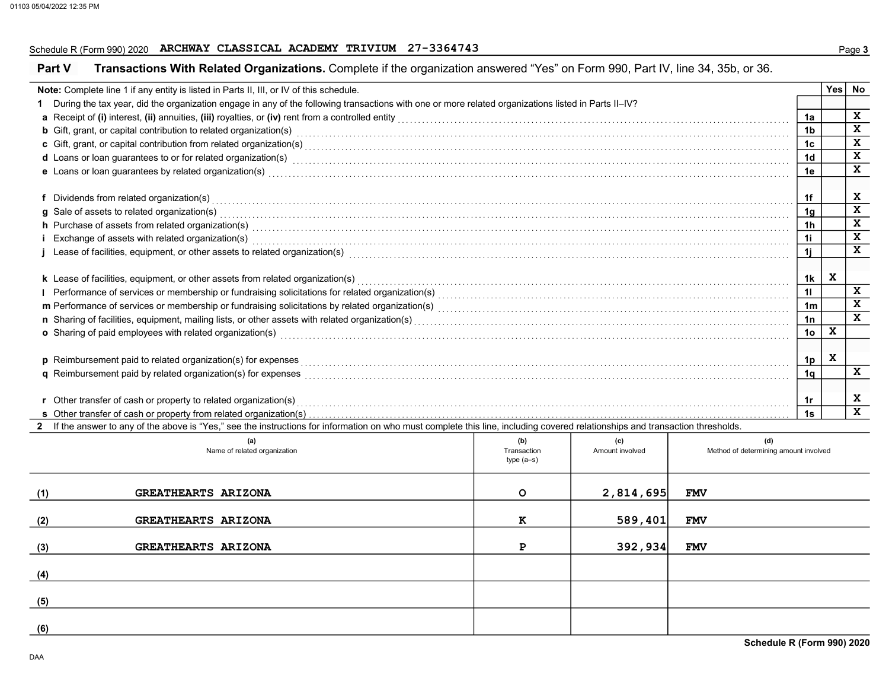# Schedule R (Form 990) 2020 ARCHWAY CLASSICAL ACADEMY TRIVIUM 27-3364743<br>Page 3

|     | Transactions With Related Organizations. Complete if the organization answered "Yes" on Form 990, Part IV, line 34, 35b, or 36.<br><b>Part V</b>                                                                                                                                                                                                                                                                                                                                                |                            |                 |                                       |                |              |              |
|-----|-------------------------------------------------------------------------------------------------------------------------------------------------------------------------------------------------------------------------------------------------------------------------------------------------------------------------------------------------------------------------------------------------------------------------------------------------------------------------------------------------|----------------------------|-----------------|---------------------------------------|----------------|--------------|--------------|
|     | Note: Complete line 1 if any entity is listed in Parts II, III, or IV of this schedule.                                                                                                                                                                                                                                                                                                                                                                                                         |                            |                 |                                       |                | <b>Yes</b>   | No           |
|     | 1 During the tax year, did the organization engage in any of the following transactions with one or more related organizations listed in Parts II-IV?                                                                                                                                                                                                                                                                                                                                           |                            |                 |                                       |                |              |              |
|     |                                                                                                                                                                                                                                                                                                                                                                                                                                                                                                 |                            |                 |                                       | 1a             |              | $\mathbf x$  |
|     | <b>b</b> Gift, grant, or capital contribution to related organization(s) encourse consumed and consumed contribution to related organization(s)                                                                                                                                                                                                                                                                                                                                                 |                            |                 |                                       | 1b             |              | $\mathbf x$  |
|     | c Gift, grant, or capital contribution from related organization(s) Material Content Content Content Content Content Content Content Content Content Content Content Content Content Content Content Content Content Content C                                                                                                                                                                                                                                                                  |                            |                 |                                       | 1 <sup>c</sup> |              | X            |
|     | d Loans or loan guarantees to or for related organization(s) encourance contained and contained a contained and contained a contact the contact or for related organization(s) encourance contact the contact of contact or co                                                                                                                                                                                                                                                                  |                            |                 |                                       | 1 <sub>d</sub> |              | $\mathbf x$  |
|     | e Loans or loan guarantees by related organization(s)<br>interaction continuous continuous continuous continuous continuous contractions and the contract or continuous                                                                                                                                                                                                                                                                                                                         |                            |                 |                                       | 1e             |              | X            |
|     |                                                                                                                                                                                                                                                                                                                                                                                                                                                                                                 |                            |                 |                                       |                |              |              |
|     | f Dividends from related organization(s) encourance contains a substantial container and providends from related organization(s)                                                                                                                                                                                                                                                                                                                                                                |                            |                 |                                       | 1f             |              | x            |
|     | g Sale of assets to related organization(s)<br><br>$\begin{array}{ccc}\n&\text{Case of assets to related organization(s)} & \text{Equation(1)} \\ &\text{Equation(2)} & \text{Equation(3)} \\ &\text{Equation(1)} & \text{Equation(3)} \\ &\text{Equation(1)} & \text{Equation(2)} & \text{Equation(3)} \\ &\text{Equation(1)} & \text{Equation(3)} & \text{Equation(4)} \\ &\text{Equation(5)} & \text{Equation(6)} & \text{Equation(6)} \\ &\text{Equation(6)} & \text{Equation(7)} & \text{$ |                            |                 |                                       | 1 <sub>q</sub> |              | $\mathbf x$  |
|     | h Purchase of assets from related organization(s) encourance contains and contains a container and container and container and container and container and container and container and container and container and container a                                                                                                                                                                                                                                                                  |                            |                 |                                       | 1 <sub>h</sub> |              | X            |
|     | i Exchange of assets with related organization(s) encourance contains an according to the container and a set of assets with related organization(s) encourance contains a set of a set of $\sim$                                                                                                                                                                                                                                                                                               |                            |                 |                                       | 1i             |              | $\mathbf x$  |
|     | j Lease of facilities, equipment, or other assets to related organization(s) enconverse contained and contained and contained and facilities, equipment, or other assets to related organization(s) enconverse contained and c                                                                                                                                                                                                                                                                  |                            |                 |                                       | 1j             |              | X            |
|     |                                                                                                                                                                                                                                                                                                                                                                                                                                                                                                 |                            |                 |                                       |                |              |              |
|     | k Lease of facilities, equipment, or other assets from related organization(s)                                                                                                                                                                                                                                                                                                                                                                                                                  |                            |                 |                                       | 1k             | X            |              |
|     |                                                                                                                                                                                                                                                                                                                                                                                                                                                                                                 |                            |                 |                                       | 11             |              | X            |
|     | m Performance of services or membership or fundraising solicitations by related organization(s) [11] mechanicano material content content of services or membership or fundraising solicitations by related organization(s) [1                                                                                                                                                                                                                                                                  |                            |                 |                                       | 1 <sub>m</sub> |              | X            |
|     |                                                                                                                                                                                                                                                                                                                                                                                                                                                                                                 |                            |                 |                                       | 1n             |              | $\mathbf x$  |
|     | o Sharing of paid employees with related organization(s) encounteral control and contact the state of the state or sharing of paid employees with related organization(s)                                                                                                                                                                                                                                                                                                                       |                            |                 |                                       | 1 <sub>o</sub> | $\mathbf{x}$ |              |
|     |                                                                                                                                                                                                                                                                                                                                                                                                                                                                                                 |                            |                 |                                       |                |              |              |
|     | p Reimbursement paid to related organization(s) for expenses <b>conserver and the conserver and the conserver and the conserver and the conserver and the conserver and the conserver and the conserver and the conserver and th</b>                                                                                                                                                                                                                                                            |                            |                 |                                       | 1 <sub>p</sub> | $\mathbf x$  |              |
|     | q Reimbursement paid by related organization(s) for expenses <b>construction construction</b> construction construction                                                                                                                                                                                                                                                                                                                                                                         |                            |                 |                                       | 1q             |              | $\mathbf{x}$ |
|     |                                                                                                                                                                                                                                                                                                                                                                                                                                                                                                 |                            |                 |                                       |                |              |              |
|     | r Other transfer of cash or property to related organization(s)                                                                                                                                                                                                                                                                                                                                                                                                                                 |                            |                 |                                       | 1r             |              | x            |
|     |                                                                                                                                                                                                                                                                                                                                                                                                                                                                                                 |                            |                 |                                       | 1s             |              | X            |
|     | 2 If the answer to any of the above is "Yes," see the instructions for information on who must complete this line, including covered relationships and transaction thresholds.                                                                                                                                                                                                                                                                                                                  |                            |                 |                                       |                |              |              |
|     | (a)                                                                                                                                                                                                                                                                                                                                                                                                                                                                                             | (b)                        | (c)             | (d)                                   |                |              |              |
|     | Name of related organization                                                                                                                                                                                                                                                                                                                                                                                                                                                                    | Transaction<br>$type(a-s)$ | Amount involved | Method of determining amount involved |                |              |              |
|     |                                                                                                                                                                                                                                                                                                                                                                                                                                                                                                 |                            |                 |                                       |                |              |              |
|     |                                                                                                                                                                                                                                                                                                                                                                                                                                                                                                 |                            |                 |                                       |                |              |              |
| (1) | <b>GREATHEARTS ARIZONA</b>                                                                                                                                                                                                                                                                                                                                                                                                                                                                      | o                          | 2,814,695       | <b>FMV</b>                            |                |              |              |
|     |                                                                                                                                                                                                                                                                                                                                                                                                                                                                                                 |                            |                 |                                       |                |              |              |
| (2) | GREATHEARTS ARIZONA                                                                                                                                                                                                                                                                                                                                                                                                                                                                             | к                          | 589,401         | <b>FMV</b>                            |                |              |              |
|     |                                                                                                                                                                                                                                                                                                                                                                                                                                                                                                 |                            |                 |                                       |                |              |              |
| (3) | GREATHEARTS ARIZONA                                                                                                                                                                                                                                                                                                                                                                                                                                                                             | Р                          | 392,934         | <b>FMV</b>                            |                |              |              |
|     |                                                                                                                                                                                                                                                                                                                                                                                                                                                                                                 |                            |                 |                                       |                |              |              |
| (4) |                                                                                                                                                                                                                                                                                                                                                                                                                                                                                                 |                            |                 |                                       |                |              |              |
|     |                                                                                                                                                                                                                                                                                                                                                                                                                                                                                                 |                            |                 |                                       |                |              |              |
| (5) |                                                                                                                                                                                                                                                                                                                                                                                                                                                                                                 |                            |                 |                                       |                |              |              |
| (6) |                                                                                                                                                                                                                                                                                                                                                                                                                                                                                                 |                            |                 |                                       |                |              |              |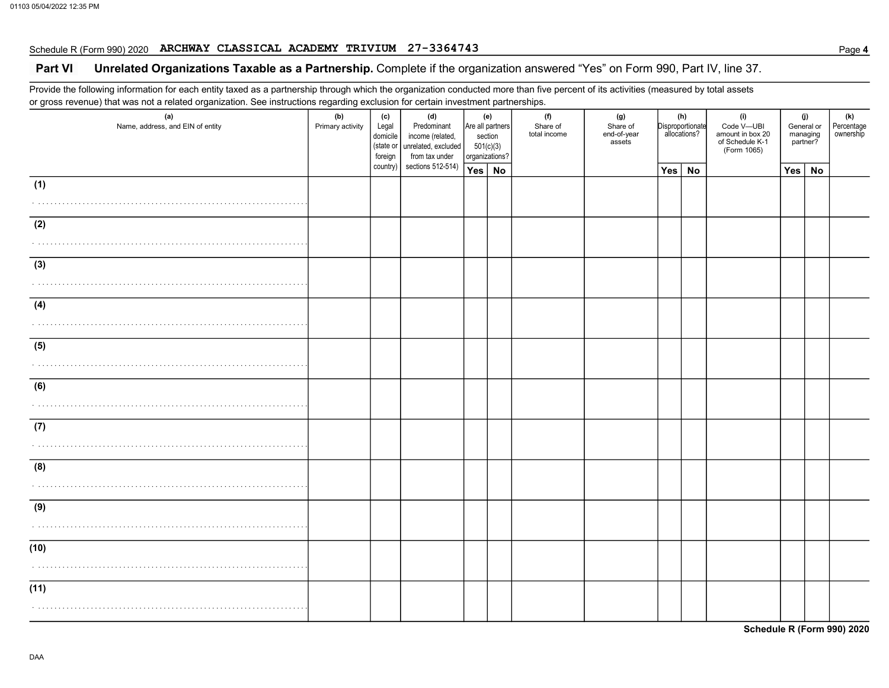# Schedule R (Form 990) 2020 ARCHWAY CLASSICAL ACADEMY TRIVIUM 27-3364743<br>Page 4

### Part VI Unrelated Organizations Taxable as a Partnership. Complete if the organization answered "Yes" on Form 990, Part IV, line 37.

Provide the following information for each entity taxed as a partnership through which the organization conducted more than five percent of its activities (measured by total assets or gross revenue) that was not a related organization. See instructions regarding exclusion for certain investment partnerships.

| $\sim$<br>ັ<br>(a)<br>Name, address, and EIN of entity | ັ<br>ັ<br>(b)<br>Primary activity | (c)<br>Legal<br>domicile<br>(state or<br>foreign | (d)<br>Predominant<br>income (related,<br>unrelated, excluded<br>from tax under | (e)<br>section<br>501(c)(3)<br>organizations? | Are all partners | (f)<br>Share of<br>total income | (g)<br>Share of<br>end-of-year<br>assets | Disproportionate | (h)<br>allocations? | (i)<br>Code V-UBI<br>amount in box 20<br>of Schedule K-1<br>(Form 1065) | General or | (j)<br>managing<br>partner? | (k)<br>Percentage<br>ownership |
|--------------------------------------------------------|-----------------------------------|--------------------------------------------------|---------------------------------------------------------------------------------|-----------------------------------------------|------------------|---------------------------------|------------------------------------------|------------------|---------------------|-------------------------------------------------------------------------|------------|-----------------------------|--------------------------------|
|                                                        |                                   | country)                                         | sections 512-514)                                                               | Yes   No                                      |                  |                                 |                                          | $Yes \mid$       | <b>No</b>           |                                                                         | Yes        | <b>No</b>                   |                                |
| (1)<br>.                                               |                                   |                                                  |                                                                                 |                                               |                  |                                 |                                          |                  |                     |                                                                         |            |                             |                                |
| (2)                                                    |                                   |                                                  |                                                                                 |                                               |                  |                                 |                                          |                  |                     |                                                                         |            |                             |                                |
| (3)                                                    |                                   |                                                  |                                                                                 |                                               |                  |                                 |                                          |                  |                     |                                                                         |            |                             |                                |
| (4)                                                    |                                   |                                                  |                                                                                 |                                               |                  |                                 |                                          |                  |                     |                                                                         |            |                             |                                |
| (5)                                                    |                                   |                                                  |                                                                                 |                                               |                  |                                 |                                          |                  |                     |                                                                         |            |                             |                                |
| (6)                                                    |                                   |                                                  |                                                                                 |                                               |                  |                                 |                                          |                  |                     |                                                                         |            |                             |                                |
| (7)                                                    |                                   |                                                  |                                                                                 |                                               |                  |                                 |                                          |                  |                     |                                                                         |            |                             |                                |
| (8)                                                    |                                   |                                                  |                                                                                 |                                               |                  |                                 |                                          |                  |                     |                                                                         |            |                             |                                |
| (9)                                                    |                                   |                                                  |                                                                                 |                                               |                  |                                 |                                          |                  |                     |                                                                         |            |                             |                                |
| (10)                                                   |                                   |                                                  |                                                                                 |                                               |                  |                                 |                                          |                  |                     |                                                                         |            |                             |                                |
| (11)<br>$\alpha$ . The second second second $\alpha$   |                                   |                                                  |                                                                                 |                                               |                  |                                 |                                          |                  |                     |                                                                         |            |                             |                                |

Schedule R (Form 990) 2020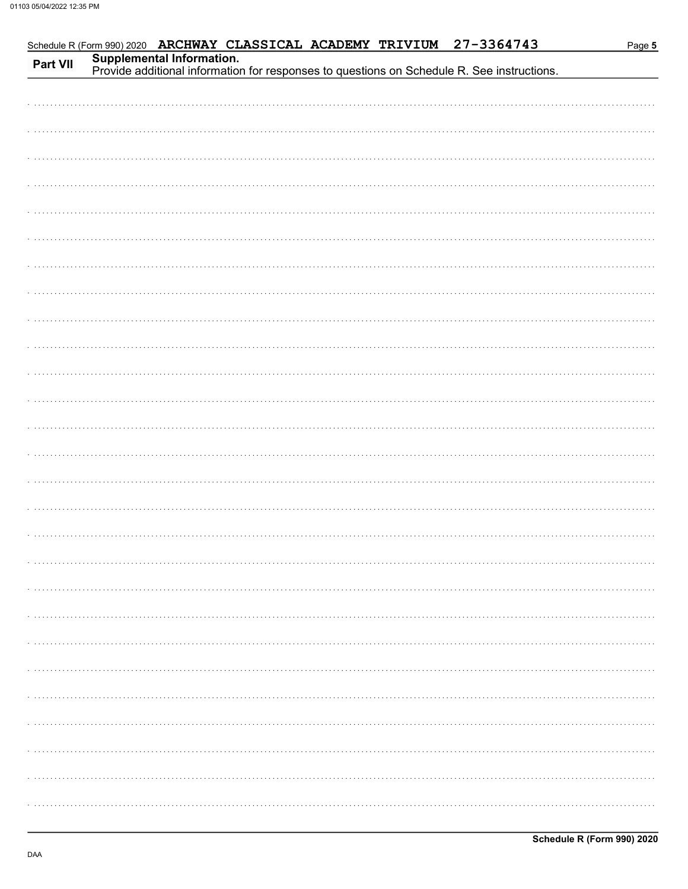|          |  | Schedule R (Form 990) 2020 ARCHWAY CLASSICAL ACADEMY TRIVIUM |  | 27-3364743                                                                                                              | Page 5 |
|----------|--|--------------------------------------------------------------|--|-------------------------------------------------------------------------------------------------------------------------|--------|
| Part VII |  |                                                              |  | Supplemental Information.<br>Provide additional information for responses to questions on Schedule R. See instructions. |        |
|          |  |                                                              |  |                                                                                                                         |        |
|          |  |                                                              |  |                                                                                                                         |        |
|          |  |                                                              |  |                                                                                                                         |        |
|          |  |                                                              |  |                                                                                                                         |        |
|          |  |                                                              |  |                                                                                                                         |        |
|          |  |                                                              |  |                                                                                                                         |        |
|          |  |                                                              |  |                                                                                                                         |        |
|          |  |                                                              |  |                                                                                                                         |        |
|          |  |                                                              |  |                                                                                                                         |        |
|          |  |                                                              |  |                                                                                                                         |        |
|          |  |                                                              |  |                                                                                                                         |        |
|          |  |                                                              |  |                                                                                                                         |        |
|          |  |                                                              |  |                                                                                                                         |        |
|          |  |                                                              |  |                                                                                                                         |        |
|          |  |                                                              |  |                                                                                                                         |        |
|          |  |                                                              |  |                                                                                                                         |        |
|          |  |                                                              |  |                                                                                                                         |        |
|          |  |                                                              |  |                                                                                                                         |        |
|          |  |                                                              |  |                                                                                                                         |        |
|          |  |                                                              |  |                                                                                                                         |        |
|          |  |                                                              |  |                                                                                                                         |        |
|          |  |                                                              |  |                                                                                                                         |        |
|          |  |                                                              |  |                                                                                                                         |        |
|          |  |                                                              |  |                                                                                                                         |        |
|          |  |                                                              |  |                                                                                                                         |        |
|          |  |                                                              |  |                                                                                                                         |        |
|          |  |                                                              |  |                                                                                                                         |        |
|          |  |                                                              |  |                                                                                                                         |        |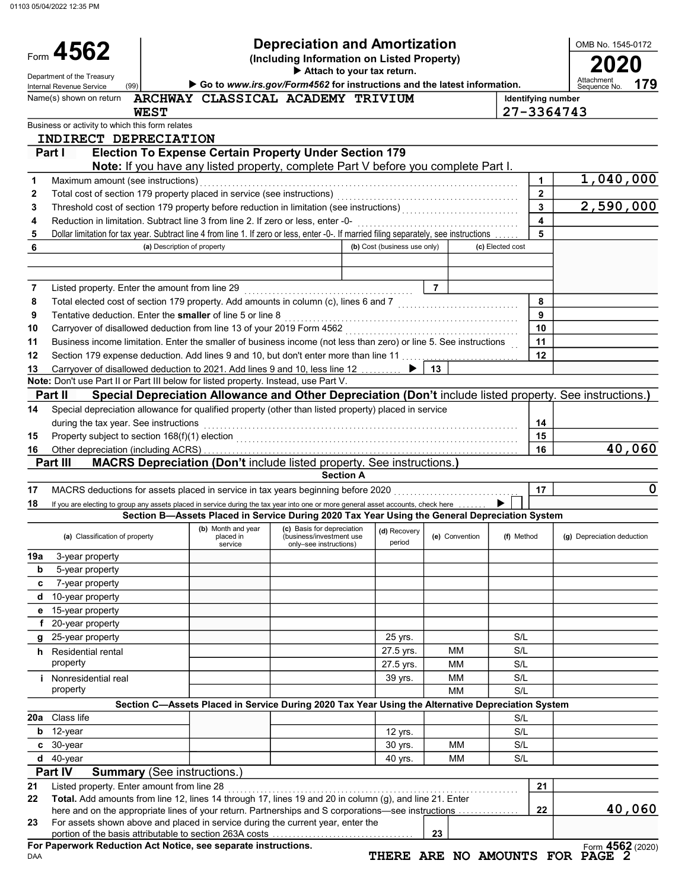01103 05/04/2022 12:35 PM

| <b>Depreciation and Amortization</b> |  |  |
|--------------------------------------|--|--|
|                                      |  |  |

|          | Form 4562                                                                                                                                                                                                                     |                             |                                                                                                              | <b>Depreciation and Amortization</b>                |                              |                |                  |                         | OMB No. 1545-0172                                                                                        |
|----------|-------------------------------------------------------------------------------------------------------------------------------------------------------------------------------------------------------------------------------|-----------------------------|--------------------------------------------------------------------------------------------------------------|-----------------------------------------------------|------------------------------|----------------|------------------|-------------------------|----------------------------------------------------------------------------------------------------------|
|          |                                                                                                                                                                                                                               |                             |                                                                                                              | (Including Information on Listed Property)          |                              |                |                  |                         | 2020                                                                                                     |
|          | Department of the Treasury                                                                                                                                                                                                    |                             |                                                                                                              |                                                     | Attach to your tax return.   |                |                  |                         | Attachment                                                                                               |
|          | (99)<br>Internal Revenue Service<br>Name(s) shown on return                                                                                                                                                                   |                             | Go to www.irs.gov/Form4562 for instructions and the latest information.<br>ARCHWAY CLASSICAL ACADEMY TRIVIUM |                                                     |                              |                |                  |                         | 179<br>Sequence No.<br><b>Identifying number</b>                                                         |
|          |                                                                                                                                                                                                                               | <b>WEST</b>                 |                                                                                                              |                                                     |                              |                |                  |                         | 27-3364743                                                                                               |
|          | Business or activity to which this form relates                                                                                                                                                                               |                             |                                                                                                              |                                                     |                              |                |                  |                         |                                                                                                          |
|          | INDIRECT DEPRECIATION                                                                                                                                                                                                         |                             |                                                                                                              |                                                     |                              |                |                  |                         |                                                                                                          |
|          | Part I                                                                                                                                                                                                                        |                             | <b>Election To Expense Certain Property Under Section 179</b>                                                |                                                     |                              |                |                  |                         |                                                                                                          |
|          |                                                                                                                                                                                                                               |                             | Note: If you have any listed property, complete Part V before you complete Part I.                           |                                                     |                              |                |                  |                         |                                                                                                          |
| 1        | Maximum amount (see instructions)                                                                                                                                                                                             |                             |                                                                                                              |                                                     |                              |                |                  | 1                       | 1,040,000                                                                                                |
| 2        |                                                                                                                                                                                                                               |                             |                                                                                                              |                                                     |                              |                |                  | $\mathbf{2}$            |                                                                                                          |
| 3        |                                                                                                                                                                                                                               |                             |                                                                                                              |                                                     |                              |                |                  | 3                       | 2,590,000                                                                                                |
| 4        |                                                                                                                                                                                                                               |                             |                                                                                                              |                                                     |                              |                |                  | $\overline{\mathbf{4}}$ |                                                                                                          |
| 5        | Dollar limitation for tax year. Subtract line 4 from line 1. If zero or less, enter -0-. If married filing separately, see instructions                                                                                       |                             |                                                                                                              |                                                     |                              |                |                  | 5                       |                                                                                                          |
| 6        |                                                                                                                                                                                                                               | (a) Description of property |                                                                                                              |                                                     | (b) Cost (business use only) |                | (c) Elected cost |                         |                                                                                                          |
|          |                                                                                                                                                                                                                               |                             |                                                                                                              |                                                     |                              |                |                  |                         |                                                                                                          |
| 7        |                                                                                                                                                                                                                               |                             |                                                                                                              |                                                     |                              | $\overline{7}$ |                  |                         |                                                                                                          |
| 8        | Listed property. Enter the amount from line 29<br>Total elected cost of section 179 property. Add amounts in column (c), lines 6 and 7 [[[[[[[[[[[[[[[[[[[[[[[[                                                               |                             |                                                                                                              |                                                     |                              |                |                  | 8                       |                                                                                                          |
| 9        | Tentative deduction. Enter the smaller of line 5 or line 8                                                                                                                                                                    |                             |                                                                                                              |                                                     |                              |                |                  | 9                       |                                                                                                          |
| 10       |                                                                                                                                                                                                                               |                             |                                                                                                              |                                                     |                              |                |                  | 10                      |                                                                                                          |
| 11       | Business income limitation. Enter the smaller of business income (not less than zero) or line 5. See instructions                                                                                                             |                             |                                                                                                              |                                                     |                              |                |                  | 11                      |                                                                                                          |
| 12       | Section 179 expense deduction. Add lines 9 and 10, but don't enter more than line 11                                                                                                                                          |                             |                                                                                                              |                                                     |                              |                |                  | 12                      |                                                                                                          |
| 13       | Carryover of disallowed deduction to 2021. Add lines 9 and 10, less line 12                                                                                                                                                   |                             |                                                                                                              |                                                     |                              | 13             |                  |                         |                                                                                                          |
|          | Note: Don't use Part II or Part III below for listed property. Instead, use Part V.                                                                                                                                           |                             |                                                                                                              |                                                     |                              |                |                  |                         |                                                                                                          |
|          | Part II                                                                                                                                                                                                                       |                             |                                                                                                              |                                                     |                              |                |                  |                         | Special Depreciation Allowance and Other Depreciation (Don't include listed property. See instructions.) |
| 14       | Special depreciation allowance for qualified property (other than listed property) placed in service                                                                                                                          |                             |                                                                                                              |                                                     |                              |                |                  |                         |                                                                                                          |
|          | during the tax year. See instructions                                                                                                                                                                                         |                             |                                                                                                              |                                                     |                              |                |                  | 14                      |                                                                                                          |
| 15       | Property subject to section 168(f)(1) election [1] contain the container container and the Property subject to section 168(f)(1) election [1] container and the property subject to section of the container and the property |                             |                                                                                                              |                                                     |                              |                |                  | 15                      |                                                                                                          |
| 16       |                                                                                                                                                                                                                               |                             |                                                                                                              |                                                     |                              |                |                  | 16                      | 40,060                                                                                                   |
|          | Part III                                                                                                                                                                                                                      |                             | <b>MACRS Depreciation (Don't include listed property. See instructions.)</b>                                 | <b>Section A</b>                                    |                              |                |                  |                         |                                                                                                          |
|          | MACRS deductions for assets placed in service in tax years beginning before 2020                                                                                                                                              |                             |                                                                                                              |                                                     |                              |                |                  | 17                      | 0                                                                                                        |
| 17<br>18 | If you are electing to group any assets placed in service during the tax year into one or more general asset accounts, check here                                                                                             |                             |                                                                                                              |                                                     |                              |                |                  |                         |                                                                                                          |
|          |                                                                                                                                                                                                                               |                             | Section B-Assets Placed in Service During 2020 Tax Year Using the General Depreciation System                |                                                     |                              |                |                  |                         |                                                                                                          |
|          |                                                                                                                                                                                                                               |                             | (b) Month and year                                                                                           | (c) Basis for depreciation                          | (d) Recovery                 |                |                  |                         |                                                                                                          |
|          | (a) Classification of property                                                                                                                                                                                                |                             | placed in<br>service                                                                                         | (business/investment use)<br>only-see instructions) | period                       | (e) Convention | (f) Method       |                         | (g) Depreciation deduction                                                                               |
| 19a      | 3-year property                                                                                                                                                                                                               |                             |                                                                                                              |                                                     |                              |                |                  |                         |                                                                                                          |
| b        | 5-year property                                                                                                                                                                                                               |                             |                                                                                                              |                                                     |                              |                |                  |                         |                                                                                                          |
| c        | 7-year property                                                                                                                                                                                                               |                             |                                                                                                              |                                                     |                              |                |                  |                         |                                                                                                          |
|          | d 10-year property                                                                                                                                                                                                            |                             |                                                                                                              |                                                     |                              |                |                  |                         |                                                                                                          |
| е        | 15-year property                                                                                                                                                                                                              |                             |                                                                                                              |                                                     |                              |                |                  |                         |                                                                                                          |
|          | f 20-year property                                                                                                                                                                                                            |                             |                                                                                                              |                                                     |                              |                |                  |                         |                                                                                                          |
|          | g 25-year property                                                                                                                                                                                                            |                             |                                                                                                              |                                                     | 25 yrs.                      |                | S/L              |                         |                                                                                                          |
|          | <b>h</b> Residential rental                                                                                                                                                                                                   |                             |                                                                                                              |                                                     | 27.5 yrs.                    | МM             | S/L              |                         |                                                                                                          |
|          | property                                                                                                                                                                                                                      |                             |                                                                                                              |                                                     | 27.5 yrs.                    | <b>MM</b>      | S/L              |                         |                                                                                                          |
|          | <i>i</i> Nonresidential real                                                                                                                                                                                                  |                             |                                                                                                              |                                                     | 39 yrs.                      | <b>MM</b>      | S/L              |                         |                                                                                                          |
|          | property                                                                                                                                                                                                                      |                             | Section C-Assets Placed in Service During 2020 Tax Year Using the Alternative Depreciation System            |                                                     |                              | <b>MM</b>      | S/L              |                         |                                                                                                          |
|          | 20a Class life                                                                                                                                                                                                                |                             |                                                                                                              |                                                     |                              |                | S/L              |                         |                                                                                                          |
| b        | 12-year                                                                                                                                                                                                                       |                             |                                                                                                              |                                                     | 12 yrs.                      |                | S/L              |                         |                                                                                                          |
|          | $c30-year$                                                                                                                                                                                                                    |                             |                                                                                                              |                                                     | 30 yrs.                      | MM             | S/L              |                         |                                                                                                          |
|          | $d$ 40-year                                                                                                                                                                                                                   |                             |                                                                                                              |                                                     | 40 yrs.                      | МM             | S/L              |                         |                                                                                                          |
|          | <b>Dest IV</b><br>$\sim$                                                                                                                                                                                                      | $\sim$                      |                                                                                                              |                                                     |                              |                |                  |                         |                                                                                                          |

**Part IV Summary** (See instructions.)

| 21 | Listed property. Enter amount from line 28                                                                     |    |        | 21 |  |
|----|----------------------------------------------------------------------------------------------------------------|----|--------|----|--|
| 22 | <b>Total.</b> Add amounts from line 12, lines 14 through 17, lines 19 and 20 in column (q), and line 21. Enter |    |        |    |  |
|    | here and on the appropriate lines of your return. Partnerships and S corporations—see instructions             | 22 | 40.060 |    |  |
| 23 | For assets shown above and placed in service during the current year, enter the                                |    |        |    |  |
|    | portion of the basis attributable to section 263A costs                                                        | 23 |        |    |  |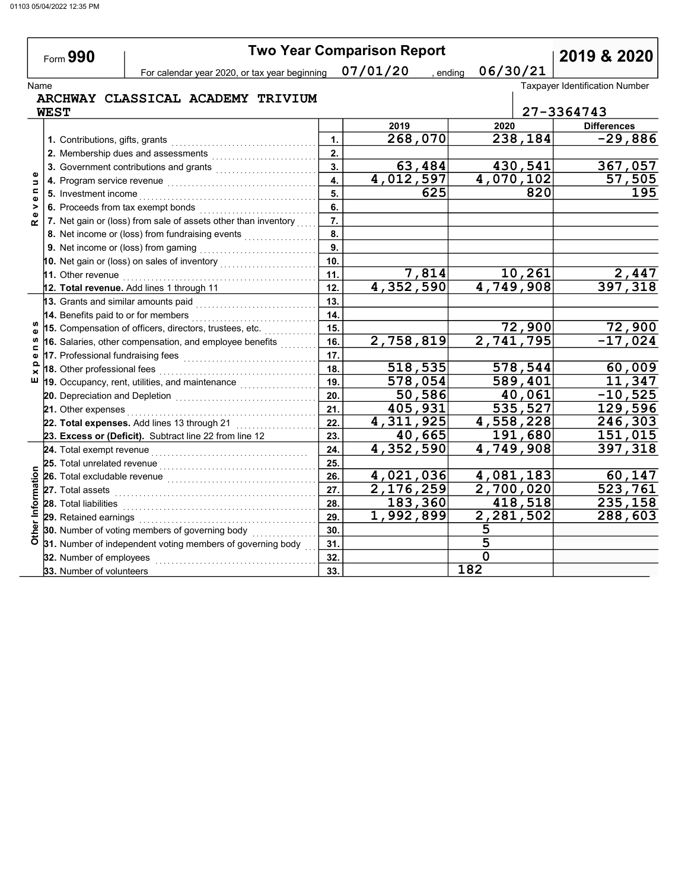|                           | Form $990$                          |                                                                                                                                                                                                                                      |                  | <b>Two Year Comparison Report</b> |                        |                        | 2019 & 2020                           |
|---------------------------|-------------------------------------|--------------------------------------------------------------------------------------------------------------------------------------------------------------------------------------------------------------------------------------|------------------|-----------------------------------|------------------------|------------------------|---------------------------------------|
|                           |                                     | For calendar year 2020, or tax year beginning $07/01/20$                                                                                                                                                                             |                  |                                   | , ending               | 06/30/21               |                                       |
| Name                      |                                     |                                                                                                                                                                                                                                      |                  |                                   |                        |                        | <b>Taxpayer Identification Number</b> |
|                           |                                     | ARCHWAY CLASSICAL ACADEMY TRIVIUM                                                                                                                                                                                                    |                  |                                   |                        |                        |                                       |
|                           | <b>WEST</b>                         |                                                                                                                                                                                                                                      |                  |                                   |                        |                        | 27-3364743                            |
|                           |                                     |                                                                                                                                                                                                                                      |                  | 2019                              |                        | 2020                   | <b>Differences</b>                    |
|                           | 1. Contributions, gifts, grants     |                                                                                                                                                                                                                                      | 1.               |                                   | 268,070                | 238, 184               | $-29,886$                             |
|                           |                                     | 2. Membership dues and assessments [111] Membership dues and assessments [11] Membership and Membership and Me                                                                                                                       | 2.               |                                   |                        |                        |                                       |
|                           |                                     |                                                                                                                                                                                                                                      | $\overline{3}$ . |                                   | 63,484                 | 430,541                | 367,057                               |
| Б                         |                                     |                                                                                                                                                                                                                                      | $\overline{4}$   | 4,012,597                         |                        | 4,070,102              | 57,505                                |
| $\mathbf{C}$<br>$\bullet$ |                                     | 5. Investment income <b>contract to the contract of the set of the contract of the set of the set of the set of the set of the set of the set of the set of the set of the set of the set of the set of the set of the set of th</b> | 5.               |                                   | 625                    | 820                    | 195                                   |
| ><br>$\mathbf o$          |                                     | 6. Proceeds from tax exempt bonds                                                                                                                                                                                                    | 6.               |                                   |                        |                        |                                       |
| œ                         |                                     | 7. Net gain or (loss) from sale of assets other than inventory                                                                                                                                                                       | 7.               |                                   |                        |                        |                                       |
|                           |                                     | 8. Net income or (loss) from fundraising events                                                                                                                                                                                      | 8.               |                                   |                        |                        |                                       |
|                           |                                     |                                                                                                                                                                                                                                      | $\overline{9}$ . |                                   |                        |                        |                                       |
|                           |                                     | 10. Net gain or (loss) on sales of inventory $\begin{array}{ c c c }\hline \end{array}$                                                                                                                                              | 10.              |                                   |                        |                        |                                       |
|                           | 11. Other revenue                   |                                                                                                                                                                                                                                      | 11.              |                                   | 7,814                  | 10, 261                | 2,447                                 |
|                           |                                     | 12. Total revenue. Add lines 1 through 11                                                                                                                                                                                            | 12.              | 4,352,590                         |                        | 4,749,908              | 397,318                               |
|                           |                                     | 13. Grants and similar amounts paid                                                                                                                                                                                                  | 13.              |                                   |                        |                        |                                       |
|                           | 14. Benefits paid to or for members |                                                                                                                                                                                                                                      | 14.              |                                   |                        |                        |                                       |
|                           |                                     | 15. Compensation of officers, directors, trustees, etc.                                                                                                                                                                              | 15.              |                                   |                        | 72,900                 | 72,900                                |
|                           |                                     | 16. Salaries, other compensation, and employee benefits                                                                                                                                                                              | 16.              | 2,758,819                         |                        | 2,741,795              | $-17,024$                             |
| $\bullet$                 | 17. Professional fundraising fees   |                                                                                                                                                                                                                                      | 17.              |                                   |                        |                        |                                       |
| Q<br>$\times$             | 18. Other professional fees         |                                                                                                                                                                                                                                      | $\overline{18}$  |                                   | 518,535                | 578,544                | 60,009                                |
| ш                         |                                     | 19. Occupancy, rent, utilities, and maintenance                                                                                                                                                                                      | 19.              |                                   | 578,054                | 589,401                | 11,347                                |
|                           |                                     |                                                                                                                                                                                                                                      | 20.              |                                   | 50,586                 | 40,061                 | $-10,525$                             |
|                           | 21. Other expenses                  |                                                                                                                                                                                                                                      | 21.              |                                   | 405,931                | $\overline{535}$ , 527 | 129,596                               |
|                           |                                     | 22. Total expenses. Add lines 13 through 21                                                                                                                                                                                          | 22.              | 4,311,925                         |                        | 4,558,228              | 246,303                               |
|                           |                                     | 23. Excess or (Deficit). Subtract line 22 from line 12                                                                                                                                                                               | 23.              |                                   | 40,665                 | 191,680                | 151,015                               |
|                           | 24. Total exempt revenue            |                                                                                                                                                                                                                                      | 24.              | 4,352,590                         |                        | 4,749,908              | 397,318                               |
|                           | 25. Total unrelated revenue         |                                                                                                                                                                                                                                      | 25.              |                                   |                        |                        |                                       |
|                           |                                     | 26. Total excludable revenue                                                                                                                                                                                                         | 26.              | 4,021,036                         |                        | 4,081,183              | 60,147                                |
|                           | 27. Total assets                    |                                                                                                                                                                                                                                      | 27.              | 2,176,259                         |                        | $\overline{2,700,020}$ | 523,761                               |
| Other Information         | 28. Total liabilities               |                                                                                                                                                                                                                                      | 28.              |                                   | $\overline{183}$ , 360 | 418,518                | 235,158                               |
|                           |                                     |                                                                                                                                                                                                                                      | 29.              | 1,992,899                         |                        | 2,281,502              | 288,603                               |
|                           |                                     | 30. Number of voting members of governing body                                                                                                                                                                                       | 30.              |                                   |                        | 5                      |                                       |
|                           |                                     | 31. Number of independent voting members of governing body                                                                                                                                                                           | 31.              |                                   |                        | $\overline{5}$         |                                       |
|                           | 32. Number of employees             |                                                                                                                                                                                                                                      | 32.              |                                   |                        | $\mathbf 0$            |                                       |
|                           | 33. Number of volunteers            |                                                                                                                                                                                                                                      | 33.              |                                   |                        | 182                    |                                       |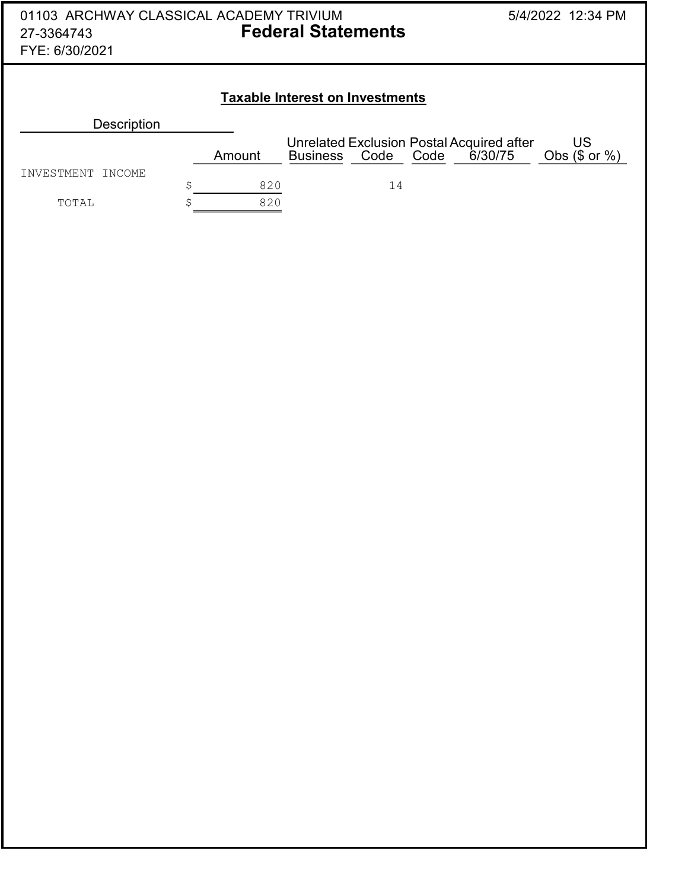| 01103 ARCHWAY CLASSICAL ACADEMY TRIVIUM<br>27-3364743<br>FYE: 6/30/2021 |           | <b>Federal Statements</b>                                            |      |         | 5/4/2022 12:34 PM     |
|-------------------------------------------------------------------------|-----------|----------------------------------------------------------------------|------|---------|-----------------------|
|                                                                         |           | <b>Taxable Interest on Investments</b>                               |      |         |                       |
| <b>Description</b>                                                      |           |                                                                      |      |         |                       |
|                                                                         | Amount    | Unrelated Exclusion Postal Acquired after<br>Code<br><b>Business</b> | Code | 6/30/75 | US<br>Obs $($ or  %)$ |
| INVESTMENT<br><b>TNCOME</b>                                             | \$<br>820 |                                                                      | 14   |         |                       |
| TOTAL                                                                   | 820       |                                                                      |      |         |                       |